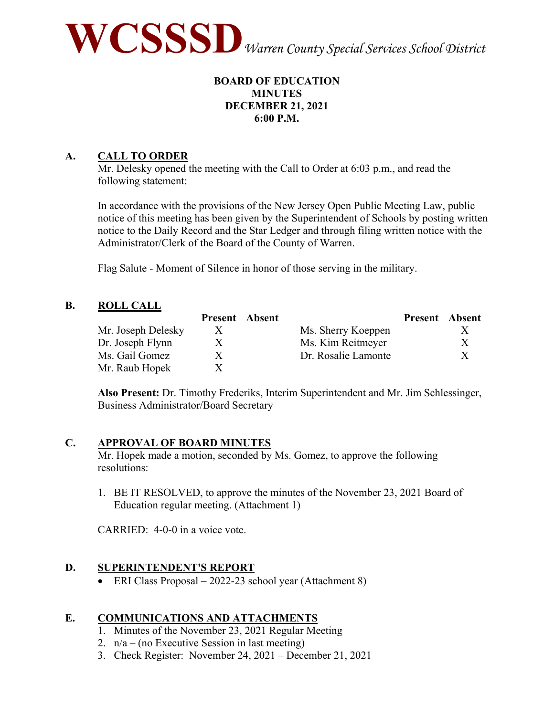

## **BOARD OF EDUCATION MINUTES DECEMBER 21, 2021 6:00 P.M.**

## **A. CALL TO ORDER**

Mr. Delesky opened the meeting with the Call to Order at 6:03 p.m., and read the following statement:

In accordance with the provisions of the New Jersey Open Public Meeting Law, public notice of this meeting has been given by the Superintendent of Schools by posting written notice to the Daily Record and the Star Ledger and through filing written notice with the Administrator/Clerk of the Board of the County of Warren.

Flag Salute - Moment of Silence in honor of those serving in the military.

## **B. ROLL CALL**

|                    | <b>Present</b> Absent |                     | <b>Present</b> Absent |    |
|--------------------|-----------------------|---------------------|-----------------------|----|
| Mr. Joseph Delesky | X                     | Ms. Sherry Koeppen  |                       |    |
| Dr. Joseph Flynn   | X.                    | Ms. Kim Reitmeyer   |                       | X. |
| Ms. Gail Gomez     | X.                    | Dr. Rosalie Lamonte |                       | X. |
| Mr. Raub Hopek     |                       |                     |                       |    |

**Also Present:** Dr. Timothy Frederiks, Interim Superintendent and Mr. Jim Schlessinger, Business Administrator/Board Secretary

## **C. APPROVAL OF BOARD MINUTES**

Mr. Hopek made a motion, seconded by Ms. Gomez, to approve the following resolutions:

1. BE IT RESOLVED, to approve the minutes of the November 23, 2021 Board of Education regular meeting. (Attachment 1)

CARRIED: 4-0-0 in a voice vote.

## **D. SUPERINTENDENT'S REPORT**

• ERI Class Proposal – 2022-23 school year (Attachment 8)

## **E. COMMUNICATIONS AND ATTACHMENTS**

- 1. Minutes of the November 23, 2021 Regular Meeting
- 2.  $n/a (no Executive Session in last meeting)$
- 3. Check Register: November 24, 2021 December 21, 2021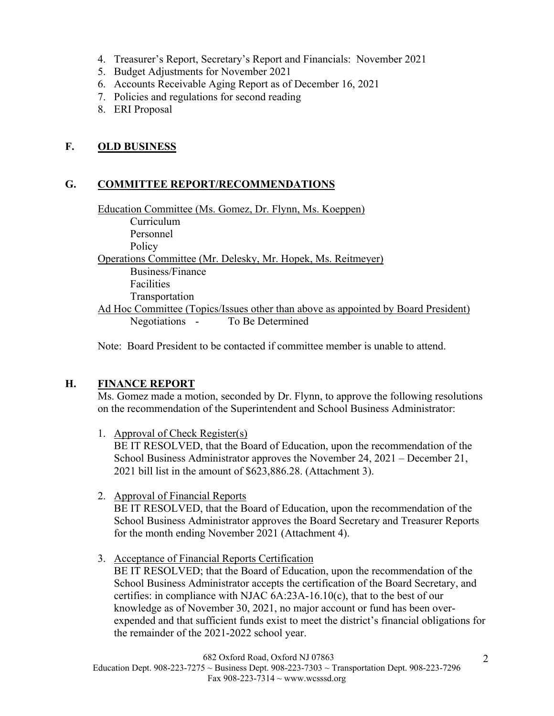- 4. Treasurer's Report, Secretary's Report and Financials: November 2021
- 5. Budget Adjustments for November 2021
- 6. Accounts Receivable Aging Report as of December 16, 2021
- 7. Policies and regulations for second reading
- 8. ERI Proposal

## **F. OLD BUSINESS**

## **G. COMMITTEE REPORT/RECOMMENDATIONS**

Education Committee (Ms. Gomez, Dr. Flynn, Ms. Koeppen) Curriculum Personnel Policy Operations Committee (Mr. Delesky, Mr. Hopek, Ms. Reitmeyer) Business/Finance Facilities Transportation Ad Hoc Committee (Topics/Issues other than above as appointed by Board President) Negotiations - To Be Determined

Note: Board President to be contacted if committee member is unable to attend.

## **H. FINANCE REPORT**

Ms. Gomez made a motion, seconded by Dr. Flynn, to approve the following resolutions on the recommendation of the Superintendent and School Business Administrator:

1. Approval of Check Register(s)

BE IT RESOLVED, that the Board of Education, upon the recommendation of the School Business Administrator approves the November 24, 2021 – December 21, 2021 bill list in the amount of \$623,886.28. (Attachment 3).

2. Approval of Financial Reports

BE IT RESOLVED, that the Board of Education, upon the recommendation of the School Business Administrator approves the Board Secretary and Treasurer Reports for the month ending November 2021 (Attachment 4).

3. Acceptance of Financial Reports Certification BE IT RESOLVED; that the Board of Education, upon the recommendation of the School Business Administrator accepts the certification of the Board Secretary, and certifies: in compliance with NJAC 6A:23A-16.10(c), that to the best of our knowledge as of November 30, 2021, no major account or fund has been overexpended and that sufficient funds exist to meet the district's financial obligations for the remainder of the 2021-2022 school year.

682 Oxford Road, Oxford NJ 07863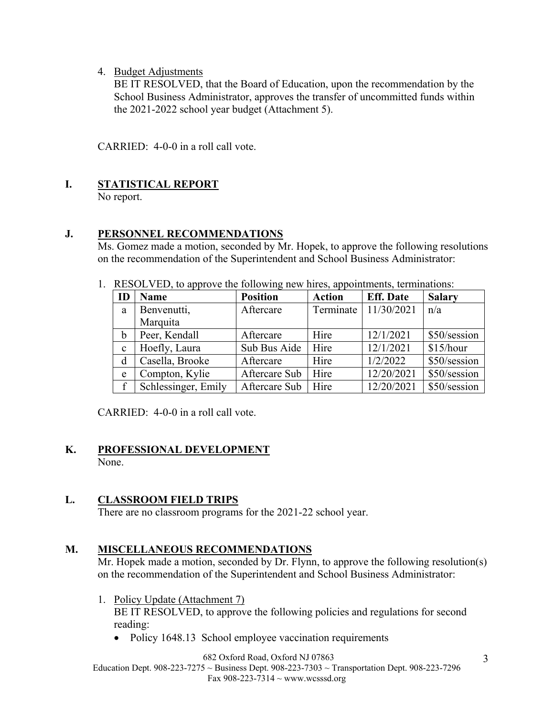4. Budget Adjustments

BE IT RESOLVED, that the Board of Education, upon the recommendation by the School Business Administrator, approves the transfer of uncommitted funds within the 2021-2022 school year budget (Attachment 5).

CARRIED: 4-0-0 in a roll call vote.

# **I. STATISTICAL REPORT**

No report.

## **J. PERSONNEL RECOMMENDATIONS**

Ms. Gomez made a motion, seconded by Mr. Hopek, to approve the following resolutions on the recommendation of the Superintendent and School Business Administrator:

1. RESOLVED, to approve the following new hires, appointments, terminations:

| ID          | Name                | <b>Position</b> | <b>Action</b> | <b>Eff.</b> Date       | <b>Salary</b> |
|-------------|---------------------|-----------------|---------------|------------------------|---------------|
| a           | Benvenutti,         | Aftercare       |               | Terminate   11/30/2021 | n/a           |
|             | Marquita            |                 |               |                        |               |
| $\mathbf b$ | Peer, Kendall       | Aftercare       | Hire          | 12/1/2021              | \$50/session  |
| $\mathbf c$ | Hoefly, Laura       | Sub Bus Aide    | Hire          | 12/1/2021              | \$15/hour     |
| d           | Casella, Brooke     | Aftercare       | Hire          | 1/2/2022               | \$50/session  |
| e           | Compton, Kylie      | Aftercare Sub   | Hire          | 12/20/2021             | \$50/session  |
| f           | Schlessinger, Emily | Aftercare Sub   | Hire          | 12/20/2021             | \$50/session  |

CARRIED: 4-0-0 in a roll call vote.

### **K. PROFESSIONAL DEVELOPMENT** None.

## **L. CLASSROOM FIELD TRIPS**

There are no classroom programs for the 2021-22 school year.

## **M. MISCELLANEOUS RECOMMENDATIONS**

Mr. Hopek made a motion, seconded by Dr. Flynn, to approve the following resolution(s) on the recommendation of the Superintendent and School Business Administrator:

- 1. Policy Update (Attachment 7) BE IT RESOLVED, to approve the following policies and regulations for second reading:
	- Policy 1648.13 School employee vaccination requirements

682 Oxford Road, Oxford NJ 07863

Education Dept. 908-223-7275  $\sim$  Business Dept. 908-223-7303  $\sim$  Transportation Dept. 908-223-7296 Fax 908-223-7314  $\sim$  www.wcsssd.org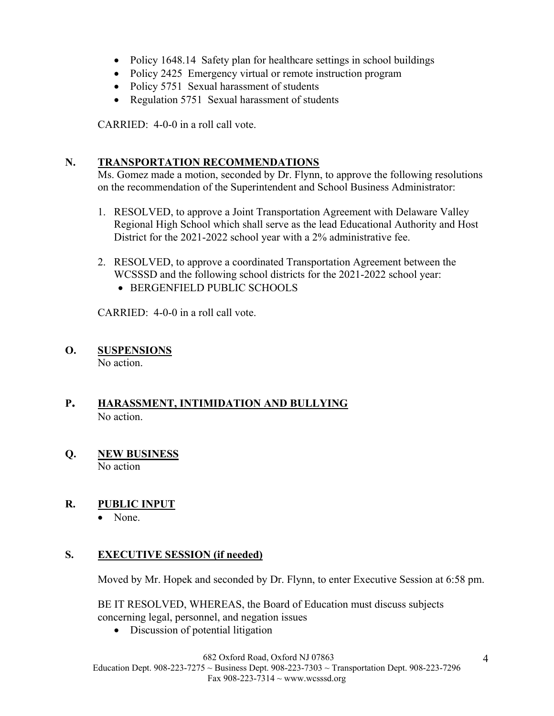- Policy 1648.14 Safety plan for healthcare settings in school buildings
- Policy 2425 Emergency virtual or remote instruction program
- Policy 5751 Sexual harassment of students
- Regulation 5751 Sexual harassment of students

CARRIED: 4-0-0 in a roll call vote.

## **N. TRANSPORTATION RECOMMENDATIONS**

Ms. Gomez made a motion, seconded by Dr. Flynn, to approve the following resolutions on the recommendation of the Superintendent and School Business Administrator:

- 1. RESOLVED, to approve a Joint Transportation Agreement with Delaware Valley Regional High School which shall serve as the lead Educational Authority and Host District for the 2021-2022 school year with a 2% administrative fee.
- 2. RESOLVED, to approve a coordinated Transportation Agreement between the WCSSSD and the following school districts for the 2021-2022 school year:
	- BERGENFIELD PUBLIC SCHOOLS

CARRIED: 4-0-0 in a roll call vote.

# **O. SUSPENSIONS**

No action.

# **P. HARASSMENT, INTIMIDATION AND BULLYING**  No action.

**Q. NEW BUSINESS**  No action

# R. PUBLIC INPUT

• None.

# **S. EXECUTIVE SESSION (if needed)**

Moved by Mr. Hopek and seconded by Dr. Flynn, to enter Executive Session at 6:58 pm.

BE IT RESOLVED, WHEREAS, the Board of Education must discuss subjects concerning legal, personnel, and negation issues

• Discussion of potential litigation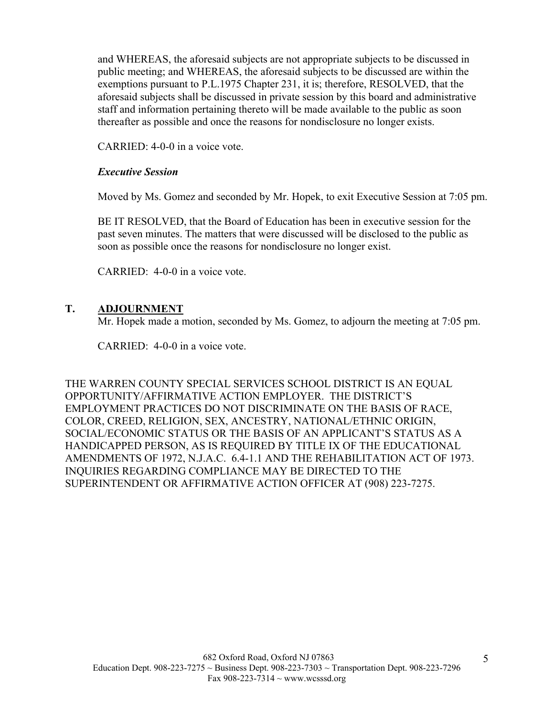and WHEREAS, the aforesaid subjects are not appropriate subjects to be discussed in public meeting; and WHEREAS, the aforesaid subjects to be discussed are within the exemptions pursuant to P.L.1975 Chapter 231, it is; therefore, RESOLVED, that the aforesaid subjects shall be discussed in private session by this board and administrative staff and information pertaining thereto will be made available to the public as soon thereafter as possible and once the reasons for nondisclosure no longer exists.

CARRIED: 4-0-0 in a voice vote.

## *Executive Session*

Moved by Ms. Gomez and seconded by Mr. Hopek, to exit Executive Session at 7:05 pm.

BE IT RESOLVED, that the Board of Education has been in executive session for the past seven minutes. The matters that were discussed will be disclosed to the public as soon as possible once the reasons for nondisclosure no longer exist.

CARRIED: 4-0-0 in a voice vote.

## **T. ADJOURNMENT**

Mr. Hopek made a motion, seconded by Ms. Gomez, to adjourn the meeting at 7:05 pm.

CARRIED: 4-0-0 in a voice vote.

THE WARREN COUNTY SPECIAL SERVICES SCHOOL DISTRICT IS AN EQUAL OPPORTUNITY/AFFIRMATIVE ACTION EMPLOYER. THE DISTRICT'S EMPLOYMENT PRACTICES DO NOT DISCRIMINATE ON THE BASIS OF RACE, COLOR, CREED, RELIGION, SEX, ANCESTRY, NATIONAL/ETHNIC ORIGIN, SOCIAL/ECONOMIC STATUS OR THE BASIS OF AN APPLICANT'S STATUS AS A HANDICAPPED PERSON, AS IS REQUIRED BY TITLE IX OF THE EDUCATIONAL AMENDMENTS OF 1972, N.J.A.C. 6.4-1.1 AND THE REHABILITATION ACT OF 1973. INQUIRIES REGARDING COMPLIANCE MAY BE DIRECTED TO THE SUPERINTENDENT OR AFFIRMATIVE ACTION OFFICER AT (908) 223-7275.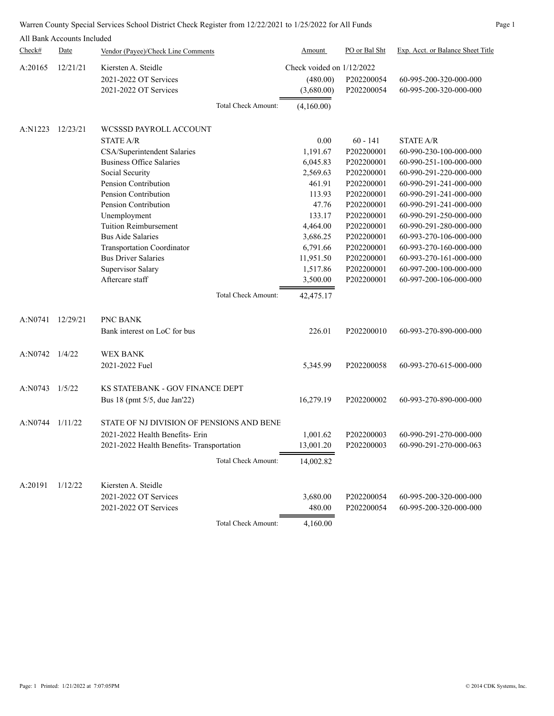|         | All Bank Accounts Included |                                           |                             |               |                                   |
|---------|----------------------------|-------------------------------------------|-----------------------------|---------------|-----------------------------------|
| Check#  | Date                       | Vendor (Payee)/Check Line Comments        | Amount                      | PO or Bal Sht | Exp. Acct. or Balance Sheet Title |
| A:20165 | 12/21/21                   | Kiersten A. Steidle                       | Check voided on $1/12/2022$ |               |                                   |
|         |                            | 2021-2022 OT Services                     | (480.00)                    | P202200054    | 60-995-200-320-000-000            |
|         |                            | 2021-2022 OT Services                     | (3,680.00)                  | P202200054    | 60-995-200-320-000-000            |
|         |                            | Total Check Amount:                       | (4,160.00)                  |               |                                   |
| A:N1223 | 12/23/21                   | WCSSSD PAYROLL ACCOUNT                    |                             |               |                                   |
|         |                            | <b>STATE A/R</b>                          | 0.00                        | $60 - 141$    | <b>STATE A/R</b>                  |
|         |                            | CSA/Superintendent Salaries               | 1,191.67                    | P202200001    | 60-990-230-100-000-000            |
|         |                            | <b>Business Office Salaries</b>           | 6,045.83                    | P202200001    | 60-990-251-100-000-000            |
|         |                            | Social Security                           | 2,569.63                    | P202200001    | 60-990-291-220-000-000            |
|         |                            | Pension Contribution                      | 461.91                      | P202200001    | 60-990-291-241-000-000            |
|         |                            | Pension Contribution                      | 113.93                      | P202200001    | 60-990-291-241-000-000            |
|         |                            | Pension Contribution                      | 47.76                       | P202200001    | 60-990-291-241-000-000            |
|         |                            | Unemployment                              | 133.17                      | P202200001    | 60-990-291-250-000-000            |
|         |                            | <b>Tuition Reimbursement</b>              | 4,464.00                    | P202200001    | 60-990-291-280-000-000            |
|         |                            | <b>Bus Aide Salaries</b>                  | 3,686.25                    | P202200001    | 60-993-270-106-000-000            |
|         |                            | Transportation Coordinator                | 6,791.66                    | P202200001    | 60-993-270-160-000-000            |
|         |                            | <b>Bus Driver Salaries</b>                | 11,951.50                   | P202200001    | 60-993-270-161-000-000            |
|         |                            | Supervisor Salary                         | 1,517.86                    | P202200001    | 60-997-200-100-000-000            |
|         |                            | Aftercare staff                           | 3,500.00                    | P202200001    | 60-997-200-106-000-000            |
|         |                            | Total Check Amount:                       | 42,475.17                   |               |                                   |
| A:N0741 | 12/29/21                   | PNC BANK                                  |                             |               |                                   |
|         |                            | Bank interest on LoC for bus              | 226.01                      | P202200010    | 60-993-270-890-000-000            |
|         |                            |                                           |                             |               |                                   |
| A:N0742 | 1/4/22                     | WEX BANK                                  |                             |               |                                   |
|         |                            | 2021-2022 Fuel                            | 5,345.99                    | P202200058    | 60-993-270-615-000-000            |
| A:N0743 | 1/5/22                     | <b>KS STATEBANK - GOV FINANCE DEPT</b>    |                             |               |                                   |
|         |                            | Bus 18 (pmt 5/5, due Jan'22)              | 16,279.19                   | P202200002    | 60-993-270-890-000-000            |
| A:N0744 | 1/11/22                    | STATE OF NJ DIVISION OF PENSIONS AND BENE |                             |               |                                   |
|         |                            | 2021-2022 Health Benefits- Erin           | 1,001.62                    | P202200003    | 60-990-291-270-000-000            |
|         |                            | 2021-2022 Health Benefits- Transportation | 13,001.20                   | P202200003    | 60-990-291-270-000-063            |
|         |                            |                                           |                             |               |                                   |
|         |                            | Total Check Amount:                       | 14,002.82                   |               |                                   |
| A:20191 | 1/12/22                    | Kiersten A. Steidle                       |                             |               |                                   |
|         |                            | 2021-2022 OT Services                     | 3,680.00                    | P202200054    | 60-995-200-320-000-000            |
|         |                            | 2021-2022 OT Services                     | 480.00                      | P202200054    | 60-995-200-320-000-000            |
|         |                            | <b>Total Check Amount:</b>                | 4,160.00                    |               |                                   |

Warren County Special Services School District Check Register from 12/22/2021 to 1/25/2022 for All Funds Page 1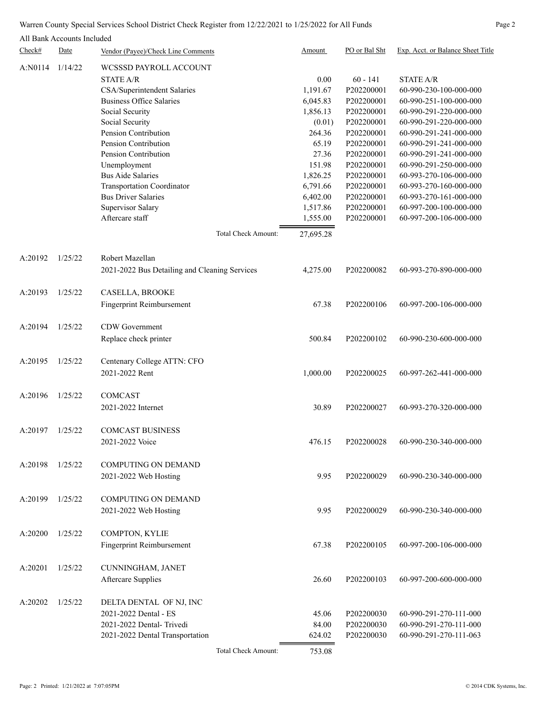### Warren County Special Services School District Check Register from 12/22/2021 to 1/25/2022 for All Funds Page 2

|         | All Bank Accounts Included |                                               |           |               |                                   |
|---------|----------------------------|-----------------------------------------------|-----------|---------------|-----------------------------------|
| Check#  | Date                       | Vendor (Payee)/Check Line Comments            | Amount    | PO or Bal Sht | Exp. Acct. or Balance Sheet Title |
| A:N0114 | 1/14/22                    | WCSSSD PAYROLL ACCOUNT                        |           |               |                                   |
|         |                            | <b>STATE A/R</b>                              | 0.00      | $60 - 141$    | <b>STATE A/R</b>                  |
|         |                            | CSA/Superintendent Salaries                   | 1,191.67  | P202200001    | 60-990-230-100-000-000            |
|         |                            | <b>Business Office Salaries</b>               | 6,045.83  | P202200001    | 60-990-251-100-000-000            |
|         |                            | Social Security                               | 1,856.13  | P202200001    | 60-990-291-220-000-000            |
|         |                            | Social Security                               |           | P202200001    | 60-990-291-220-000-000            |
|         |                            |                                               | (0.01)    | P202200001    |                                   |
|         |                            | Pension Contribution                          | 264.36    |               | 60-990-291-241-000-000            |
|         |                            | Pension Contribution                          | 65.19     | P202200001    | 60-990-291-241-000-000            |
|         |                            | Pension Contribution                          | 27.36     | P202200001    | 60-990-291-241-000-000            |
|         |                            | Unemployment                                  | 151.98    | P202200001    | 60-990-291-250-000-000            |
|         |                            | <b>Bus Aide Salaries</b>                      | 1,826.25  | P202200001    | 60-993-270-106-000-000            |
|         |                            | <b>Transportation Coordinator</b>             | 6,791.66  | P202200001    | 60-993-270-160-000-000            |
|         |                            | <b>Bus Driver Salaries</b>                    | 6,402.00  | P202200001    | 60-993-270-161-000-000            |
|         |                            | Supervisor Salary                             | 1,517.86  | P202200001    | 60-997-200-100-000-000            |
|         |                            | Aftercare staff                               | 1,555.00  | P202200001    | 60-997-200-106-000-000            |
|         |                            | Total Check Amount:                           | 27,695.28 |               |                                   |
|         |                            |                                               |           |               |                                   |
| A:20192 | 1/25/22                    | Robert Mazellan                               |           |               |                                   |
|         |                            | 2021-2022 Bus Detailing and Cleaning Services | 4,275.00  | P202200082    | 60-993-270-890-000-000            |
| A:20193 | 1/25/22                    | CASELLA, BROOKE                               |           |               |                                   |
|         |                            | Fingerprint Reimbursement                     | 67.38     | P202200106    | 60-997-200-106-000-000            |
|         |                            |                                               |           |               |                                   |
| A:20194 | 1/25/22                    | CDW Government                                |           |               |                                   |
|         |                            | Replace check printer                         | 500.84    | P202200102    | 60-990-230-600-000-000            |
| A:20195 | 1/25/22                    |                                               |           |               |                                   |
|         |                            | Centenary College ATTN: CFO                   |           |               |                                   |
|         |                            | 2021-2022 Rent                                | 1,000.00  | P202200025    | 60-997-262-441-000-000            |
| A:20196 | 1/25/22                    | COMCAST                                       |           |               |                                   |
|         |                            | 2021-2022 Internet                            | 30.89     | P202200027    | 60-993-270-320-000-000            |
|         |                            |                                               |           |               |                                   |
| A:20197 | 1/25/22                    | <b>COMCAST BUSINESS</b>                       |           |               |                                   |
|         |                            | 2021-2022 Voice                               | 476.15    | P202200028    | 60-990-230-340-000-000            |
|         |                            |                                               |           |               |                                   |
| A:20198 | 1/25/22                    | <b>COMPUTING ON DEMAND</b>                    |           |               |                                   |
|         |                            | 2021-2022 Web Hosting                         | 9.95      | P202200029    | 60-990-230-340-000-000            |
| A:20199 | 1/25/22                    | <b>COMPUTING ON DEMAND</b>                    |           |               |                                   |
|         |                            |                                               |           |               |                                   |
|         |                            | 2021-2022 Web Hosting                         | 9.95      | P202200029    | 60-990-230-340-000-000            |
| A:20200 | 1/25/22                    | COMPTON, KYLIE                                |           |               |                                   |
|         |                            | Fingerprint Reimbursement                     | 67.38     | P202200105    | 60-997-200-106-000-000            |
|         |                            |                                               |           |               |                                   |
| A:20201 | 1/25/22                    | CUNNINGHAM, JANET                             |           |               |                                   |
|         |                            | Aftercare Supplies                            | 26.60     | P202200103    | 60-997-200-600-000-000            |
| A:20202 | 1/25/22                    | DELTA DENTAL OF NJ, INC                       |           |               |                                   |
|         |                            | 2021-2022 Dental - ES                         | 45.06     | P202200030    | 60-990-291-270-111-000            |
|         |                            |                                               |           |               |                                   |

Total Check Amount: 753.08

2021-2022 Dental- Trivedi 84.00 P202200030 60-990-291-270-111-000 2021-2022 Dental Transportation 624.02 P202200030 60-990-291-270-111-063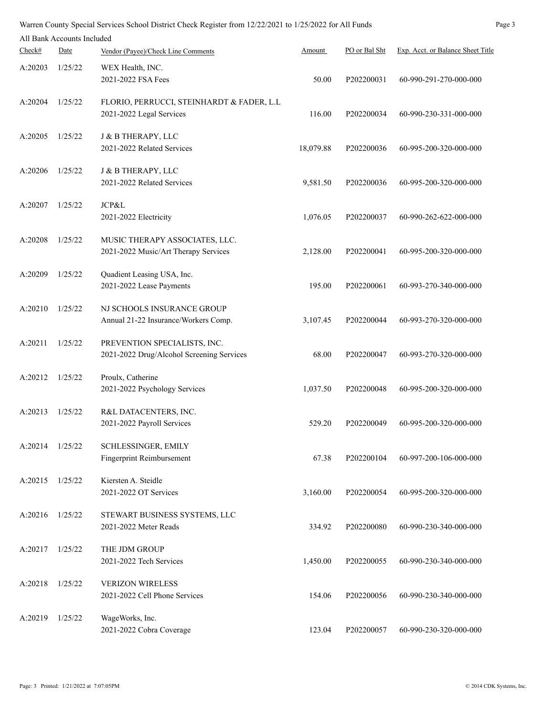| Page 3<br>Warren County Special Services School District Check Register from 12/22/2021 to 1/25/2022 for All Funds |                            |                                                  |           |               |                                   |  |  |
|--------------------------------------------------------------------------------------------------------------------|----------------------------|--------------------------------------------------|-----------|---------------|-----------------------------------|--|--|
|                                                                                                                    | All Bank Accounts Included |                                                  |           |               |                                   |  |  |
| Check#                                                                                                             | Date                       | Vendor (Payee)/Check Line Comments               | Amount    | PO or Bal Sht | Exp. Acct. or Balance Sheet Title |  |  |
| A:20203                                                                                                            | 1/25/22                    | WEX Health, INC.                                 |           |               |                                   |  |  |
|                                                                                                                    |                            | 2021-2022 FSA Fees                               | 50.00     | P202200031    | 60-990-291-270-000-000            |  |  |
|                                                                                                                    |                            |                                                  |           |               |                                   |  |  |
| A:20204                                                                                                            | 1/25/22                    | FLORIO, PERRUCCI, STEINHARDT & FADER, L.L        |           |               |                                   |  |  |
|                                                                                                                    |                            | 2021-2022 Legal Services                         | 116.00    | P202200034    | 60-990-230-331-000-000            |  |  |
|                                                                                                                    |                            |                                                  |           |               |                                   |  |  |
| A:20205                                                                                                            | 1/25/22                    | J & B THERAPY, LLC<br>2021-2022 Related Services | 18,079.88 | P202200036    | 60-995-200-320-000-000            |  |  |
|                                                                                                                    |                            |                                                  |           |               |                                   |  |  |
| A:20206                                                                                                            | 1/25/22                    | J & B THERAPY, LLC                               |           |               |                                   |  |  |
|                                                                                                                    |                            | 2021-2022 Related Services                       | 9,581.50  | P202200036    | 60-995-200-320-000-000            |  |  |
|                                                                                                                    |                            |                                                  |           |               |                                   |  |  |
| A:20207                                                                                                            | 1/25/22                    | JCP&L                                            |           |               |                                   |  |  |
|                                                                                                                    |                            | 2021-2022 Electricity                            | 1,076.05  | P202200037    | 60-990-262-622-000-000            |  |  |
| A:20208                                                                                                            | 1/25/22                    | MUSIC THERAPY ASSOCIATES, LLC.                   |           |               |                                   |  |  |
|                                                                                                                    |                            | 2021-2022 Music/Art Therapy Services             | 2,128.00  | P202200041    | 60-995-200-320-000-000            |  |  |
|                                                                                                                    |                            |                                                  |           |               |                                   |  |  |
| A:20209                                                                                                            | 1/25/22                    | Quadient Leasing USA, Inc.                       |           |               |                                   |  |  |
|                                                                                                                    |                            | 2021-2022 Lease Payments                         | 195.00    | P202200061    | 60-993-270-340-000-000            |  |  |
|                                                                                                                    |                            |                                                  |           |               |                                   |  |  |
| A:20210                                                                                                            | 1/25/22                    | NJ SCHOOLS INSURANCE GROUP                       |           |               |                                   |  |  |
|                                                                                                                    |                            | Annual 21-22 Insurance/Workers Comp.             | 3,107.45  | P202200044    | 60-993-270-320-000-000            |  |  |
| A:20211                                                                                                            | 1/25/22                    | PREVENTION SPECIALISTS, INC.                     |           |               |                                   |  |  |
|                                                                                                                    |                            | 2021-2022 Drug/Alcohol Screening Services        | 68.00     | P202200047    | 60-993-270-320-000-000            |  |  |
|                                                                                                                    |                            |                                                  |           |               |                                   |  |  |
| A:20212                                                                                                            | 1/25/22                    | Proulx, Catherine                                |           |               |                                   |  |  |
|                                                                                                                    |                            | 2021-2022 Psychology Services                    | 1,037.50  | P202200048    | 60-995-200-320-000-000            |  |  |
| A:20213                                                                                                            | 1/25/22                    | R&L DATACENTERS, INC.                            |           |               |                                   |  |  |
|                                                                                                                    |                            | 2021-2022 Payroll Services                       | 529.20    | P202200049    | 60-995-200-320-000-000            |  |  |
|                                                                                                                    |                            |                                                  |           |               |                                   |  |  |
| A:20214                                                                                                            | 1/25/22                    | SCHLESSINGER, EMILY                              |           |               |                                   |  |  |
|                                                                                                                    |                            | <b>Fingerprint Reimbursement</b>                 | 67.38     | P202200104    | 60-997-200-106-000-000            |  |  |
|                                                                                                                    |                            |                                                  |           |               |                                   |  |  |
| A:20215                                                                                                            | 1/25/22                    | Kiersten A. Steidle                              |           |               |                                   |  |  |
|                                                                                                                    |                            | 2021-2022 OT Services                            | 3,160.00  | P202200054    | 60-995-200-320-000-000            |  |  |
| A:20216                                                                                                            | 1/25/22                    | STEWART BUSINESS SYSTEMS, LLC                    |           |               |                                   |  |  |
|                                                                                                                    |                            | 2021-2022 Meter Reads                            | 334.92    | P202200080    | 60-990-230-340-000-000            |  |  |
|                                                                                                                    |                            |                                                  |           |               |                                   |  |  |
| A:20217                                                                                                            | 1/25/22                    | THE JDM GROUP                                    |           |               |                                   |  |  |
|                                                                                                                    |                            | 2021-2022 Tech Services                          | 1,450.00  | P202200055    | 60-990-230-340-000-000            |  |  |
|                                                                                                                    |                            |                                                  |           |               |                                   |  |  |
| A:20218                                                                                                            | 1/25/22                    | <b>VERIZON WIRELESS</b>                          |           |               |                                   |  |  |
|                                                                                                                    |                            | 2021-2022 Cell Phone Services                    | 154.06    | P202200056    | 60-990-230-340-000-000            |  |  |
| A:20219                                                                                                            | 1/25/22                    | WageWorks, Inc.                                  |           |               |                                   |  |  |
|                                                                                                                    |                            | 2021-2022 Cobra Coverage                         | 123.04    | P202200057    | 60-990-230-320-000-000            |  |  |
|                                                                                                                    |                            |                                                  |           |               |                                   |  |  |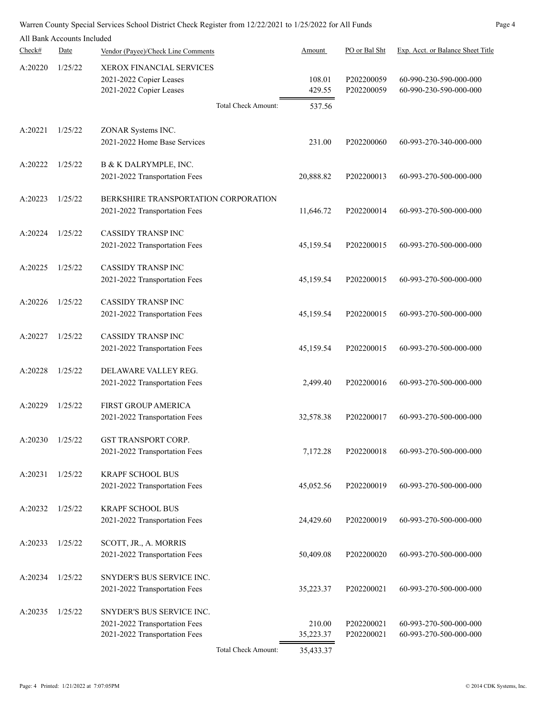|         | All Bank Accounts Included |                                                                                                              |                            |                          |                                                  |
|---------|----------------------------|--------------------------------------------------------------------------------------------------------------|----------------------------|--------------------------|--------------------------------------------------|
| Check#  | Date                       | Vendor (Payee)/Check Line Comments                                                                           | Amount                     | PO or Bal Sht            | Exp. Acct. or Balance Sheet Title                |
| A:20220 | 1/25/22                    | <b>XEROX FINANCIAL SERVICES</b><br>2021-2022 Copier Leases<br>2021-2022 Copier Leases<br>Total Check Amount: | 108.01<br>429.55<br>537.56 | P202200059<br>P202200059 | 60-990-230-590-000-000<br>60-990-230-590-000-000 |
| A:20221 | 1/25/22                    | ZONAR Systems INC.<br>2021-2022 Home Base Services                                                           | 231.00                     | P202200060               | 60-993-270-340-000-000                           |
| A:20222 | 1/25/22                    | B & K DALRYMPLE, INC.<br>2021-2022 Transportation Fees                                                       | 20,888.82                  | P202200013               | 60-993-270-500-000-000                           |
| A:20223 | 1/25/22                    | BERKSHIRE TRANSPORTATION CORPORATION<br>2021-2022 Transportation Fees                                        | 11,646.72                  | P202200014               | 60-993-270-500-000-000                           |
| A:20224 | 1/25/22                    | <b>CASSIDY TRANSP INC</b><br>2021-2022 Transportation Fees                                                   | 45,159.54                  | P202200015               | 60-993-270-500-000-000                           |
| A:20225 | 1/25/22                    | <b>CASSIDY TRANSP INC</b><br>2021-2022 Transportation Fees                                                   | 45,159.54                  | P202200015               | 60-993-270-500-000-000                           |
| A:20226 | 1/25/22                    | <b>CASSIDY TRANSP INC</b><br>2021-2022 Transportation Fees                                                   | 45,159.54                  | P202200015               | 60-993-270-500-000-000                           |
| A:20227 | 1/25/22                    | <b>CASSIDY TRANSP INC</b><br>2021-2022 Transportation Fees                                                   | 45,159.54                  | P202200015               | 60-993-270-500-000-000                           |
| A:20228 | 1/25/22                    | DELAWARE VALLEY REG.<br>2021-2022 Transportation Fees                                                        | 2,499.40                   | P202200016               | 60-993-270-500-000-000                           |
| A:20229 | 1/25/22                    | FIRST GROUP AMERICA<br>2021-2022 Transportation Fees                                                         | 32,578.38                  | P202200017               | 60-993-270-500-000-000                           |
| A:20230 | 1/25/22                    | <b>GST TRANSPORT CORP</b><br>2021-2022 Transportation Fees                                                   | 7,172.28                   | P202200018               | 60-993-270-500-000-000                           |
| A:20231 | 1/25/22                    | <b>KRAPF SCHOOL BUS</b><br>2021-2022 Transportation Fees                                                     | 45,052.56                  | P202200019               | 60-993-270-500-000-000                           |
| A:20232 | 1/25/22                    | <b>KRAPF SCHOOL BUS</b><br>2021-2022 Transportation Fees                                                     | 24,429.60                  | P202200019               | 60-993-270-500-000-000                           |
| A:20233 | 1/25/22                    | SCOTT, JR., A. MORRIS<br>2021-2022 Transportation Fees                                                       | 50,409.08                  | P202200020               | 60-993-270-500-000-000                           |
| A:20234 | 1/25/22                    | SNYDER'S BUS SERVICE INC.<br>2021-2022 Transportation Fees                                                   | 35,223.37                  | P202200021               | 60-993-270-500-000-000                           |
| A:20235 | 1/25/22                    | SNYDER'S BUS SERVICE INC.<br>2021-2022 Transportation Fees<br>2021-2022 Transportation Fees                  | 210.00<br>35,223.37        | P202200021<br>P202200021 | 60-993-270-500-000-000<br>60-993-270-500-000-000 |

Total Check Amount: 35,433.37

Page: 4 Printed: 1/21/2022 at 7:07:05PM © 2014 CDK Systems, Inc.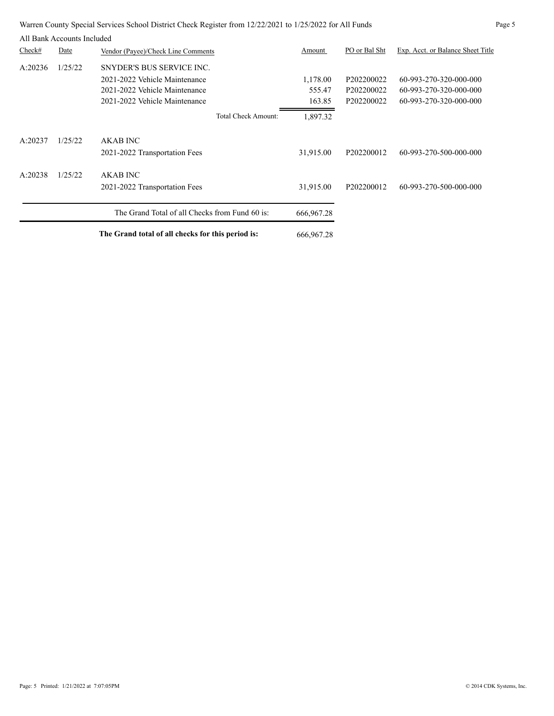| Warren County Special Services School District Check Register from 12/22/2021 to 1/25/2022 for All Funds | Page 5 |
|----------------------------------------------------------------------------------------------------------|--------|
|----------------------------------------------------------------------------------------------------------|--------|

|         | All Bank Accounts Included |                                                   |              |               |                                   |
|---------|----------------------------|---------------------------------------------------|--------------|---------------|-----------------------------------|
| Check#  | Date                       | Vendor (Payee)/Check Line Comments                | Amount       | PO or Bal Sht | Exp. Acct. or Balance Sheet Title |
| A:20236 | 1/25/22                    | SNYDER'S BUS SERVICE INC.                         |              |               |                                   |
|         |                            | 2021-2022 Vehicle Maintenance                     | 1,178.00     | P202200022    | 60-993-270-320-000-000            |
|         |                            | 2021-2022 Vehicle Maintenance                     | 555.47       | P202200022    | 60-993-270-320-000-000            |
|         |                            | 2021-2022 Vehicle Maintenance                     | 163.85       | P202200022    | 60-993-270-320-000-000            |
|         |                            | <b>Total Check Amount:</b>                        | 1,897.32     |               |                                   |
| A:20237 | 1/25/22                    | <b>AKAB INC</b>                                   |              |               |                                   |
|         |                            | 2021-2022 Transportation Fees                     | 31,915.00    | P202200012    | 60-993-270-500-000-000            |
| A:20238 | 1/25/22                    | <b>AKAB INC</b>                                   |              |               |                                   |
|         |                            | 2021-2022 Transportation Fees                     | 31,915.00    | P202200012    | 60-993-270-500-000-000            |
|         |                            | The Grand Total of all Checks from Fund 60 is:    | 666, 967. 28 |               |                                   |
|         |                            | The Grand total of all checks for this period is: | 666, 967. 28 |               |                                   |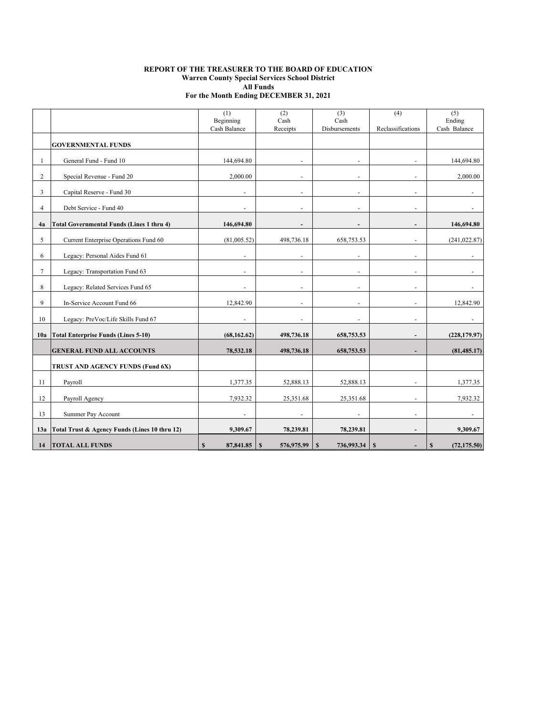#### **REPORT OF THE TREASURER TO THE BOARD OF EDUCATION Warren County Special Services School District All Funds For the Month Ending DECEMBER 31, 2021**

|                |                                                  | (1)<br>Beginning          | (2)<br>$\operatorname{Cash}$ | (3)<br>Cash                | (4)                      | (5)<br>Ending     |
|----------------|--------------------------------------------------|---------------------------|------------------------------|----------------------------|--------------------------|-------------------|
|                |                                                  | Cash Balance              | Receipts                     | Disbursements              | Reclassifications        | Cash Balance      |
|                | <b>GOVERNMENTAL FUNDS</b>                        |                           |                              |                            |                          |                   |
| -1             | General Fund - Fund 10                           | 144,694.80                |                              |                            |                          | 144,694.80        |
| 2              | Special Revenue - Fund 20                        | 2,000.00                  |                              |                            |                          | 2,000.00          |
| 3              | Capital Reserve - Fund 30                        | $\overline{\phantom{a}}$  | $\blacksquare$               | $\overline{\phantom{a}}$   | $\overline{\phantom{a}}$ | $\blacksquare$    |
| $\overline{4}$ | Debt Service - Fund 40                           |                           |                              | $\ddot{\phantom{1}}$       |                          |                   |
| 4a             | <b>Total Governmental Funds (Lines 1 thru 4)</b> | 146,694.80                |                              | $\blacksquare$             | $\blacksquare$           | 146,694.80        |
| 5              | Current Enterprise Operations Fund 60            | (81,005.52)               | 498,736.18                   | 658,753.53                 |                          | (241, 022.87)     |
| 6              | Legacy: Personal Aides Fund 61                   |                           |                              | $\overline{a}$             |                          |                   |
| $\tau$         | Legacy: Transportation Fund 63                   |                           |                              | ÷.                         |                          |                   |
| 8              | Legacy: Related Services Fund 65                 |                           |                              |                            |                          |                   |
| 9              | In-Service Account Fund 66                       | 12,842.90                 | $\overline{a}$               | $\blacksquare$             | $\sim$                   | 12,842.90         |
| 10             | Legacy: PreVoc/Life Skills Fund 67               |                           |                              | $\sim$                     | $\overline{a}$           |                   |
| 10a            | <b>Total Enterprise Funds (Lines 5-10)</b>       | (68, 162.62)              | 498,736.18                   | 658,753.53                 | $\overline{\phantom{0}}$ | (228, 179.97)     |
|                | <b>GENERAL FUND ALL ACCOUNTS</b>                 | 78,532.18                 | 498,736.18                   | 658,753.53                 |                          | (81, 485.17)      |
|                | TRUST AND AGENCY FUNDS (Fund 6X)                 |                           |                              |                            |                          |                   |
| 11             | Payroll                                          | 1,377.35                  | 52,888.13                    | 52,888.13                  |                          | 1,377.35          |
| 12             | Payroll Agency                                   | 7,932.32                  | 25,351.68                    | 25,351.68                  |                          | 7,932.32          |
| 13             | Summer Pay Account                               | ä,                        | ä,                           | ä,                         | $\blacksquare$           |                   |
| 13a            | Total Trust & Agency Funds (Lines 10 thru 12)    | 9,309.67                  | 78,239.81                    | 78,239.81                  |                          | 9,309.67          |
|                | 14   TOTAL ALL FUNDS                             | $\mathbf{s}$<br>87,841.85 | 576,975.99<br>S              | 736,993.34<br>$\mathbf{s}$ | S                        | (72, 175.50)<br>S |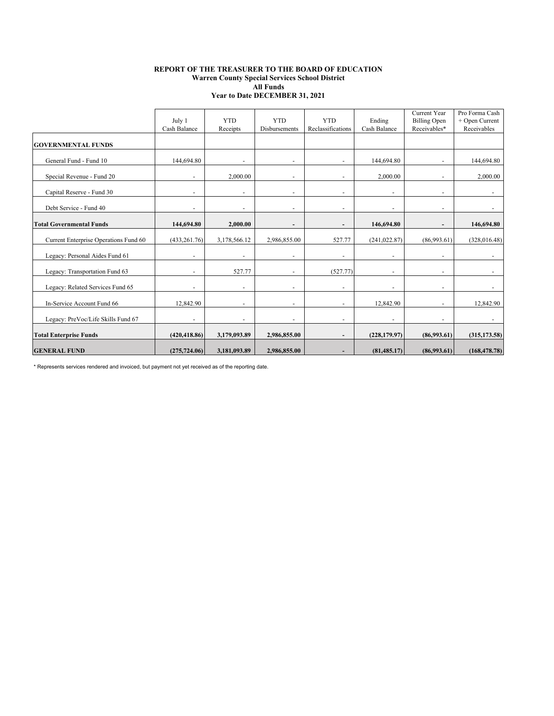#### **REPORT OF THE TREASURER TO THE BOARD OF EDUCATION Warren County Special Services School District All Funds Year to Date DECEMBER 31, 2021**

|                                       | July 1<br>Cash Balance   | <b>YTD</b><br>Receipts   | <b>YTD</b><br>Disbursements | <b>YTD</b><br>Reclassifications | Ending<br>Cash Balance       | Current Year<br><b>Billing Open</b><br>Receivables* | Pro Forma Cash<br>+ Open Current<br>Receivables |
|---------------------------------------|--------------------------|--------------------------|-----------------------------|---------------------------------|------------------------------|-----------------------------------------------------|-------------------------------------------------|
| <b>GOVERNMENTAL FUNDS</b>             |                          |                          |                             |                                 |                              |                                                     |                                                 |
| General Fund - Fund 10                | 144,694.80               |                          |                             |                                 | 144,694.80                   |                                                     | 144,694.80                                      |
| Special Revenue - Fund 20             |                          | 2,000.00                 | ÷.                          |                                 | 2,000.00                     |                                                     | 2,000.00                                        |
| Capital Reserve - Fund 30             |                          | $\overline{\phantom{a}}$ | ٠                           |                                 | $\overline{\phantom{a}}$     |                                                     |                                                 |
| Debt Service - Fund 40                |                          | $\overline{\phantom{a}}$ | ٠                           | $\overline{\phantom{0}}$        | ٠                            | $\overline{\phantom{a}}$                            | $\overline{\phantom{a}}$                        |
| <b>Total Governmental Funds</b>       | 144,694.80               | 2,000.00                 |                             |                                 | 146,694.80                   |                                                     | 146,694.80                                      |
| Current Enterprise Operations Fund 60 | (433, 261.76)            | 3,178,566.12             | 2,986,855.00                | 527.77                          | (241, 022.87)                | (86,993.61)                                         | (328, 016.48)                                   |
| Legacy: Personal Aides Fund 61        | $\overline{\phantom{a}}$ | $\overline{\phantom{a}}$ | ٠                           | $\overline{\phantom{0}}$        | $\overline{\phantom{a}}$     | $\overline{\phantom{a}}$                            | $\overline{\phantom{a}}$                        |
| Legacy: Transportation Fund 63        |                          | 527.77                   | ٠                           | (527.77)                        | $\qquad \qquad \blacksquare$ | $\overline{\phantom{a}}$                            |                                                 |
| Legacy: Related Services Fund 65      |                          | $\overline{\phantom{a}}$ |                             |                                 | $\overline{a}$               |                                                     |                                                 |
| In-Service Account Fund 66            | 12,842.90                |                          | ٠                           |                                 | 12,842.90                    |                                                     | 12,842.90                                       |
| Legacy: PreVoc/Life Skills Fund 67    | $\overline{\phantom{a}}$ | $\overline{\phantom{a}}$ | $\overline{\phantom{a}}$    | $\overline{\phantom{0}}$        | $\overline{\phantom{a}}$     | $\overline{\phantom{a}}$                            | $\sim$                                          |
| <b>Total Enterprise Funds</b>         | (420, 418.86)            | 3,179,093.89             | 2,986,855.00                | $\overline{\phantom{a}}$        | (228, 179.97)                | (86,993.61)                                         | (315, 173.58)                                   |
| <b>GENERAL FUND</b>                   | (275, 724.06)            | 3,181,093.89             | 2,986,855.00                |                                 | (81, 485.17)                 | (86,993.61)                                         | (168, 478.78)                                   |

\* Represents services rendered and invoiced, but payment not yet received as of the reporting date.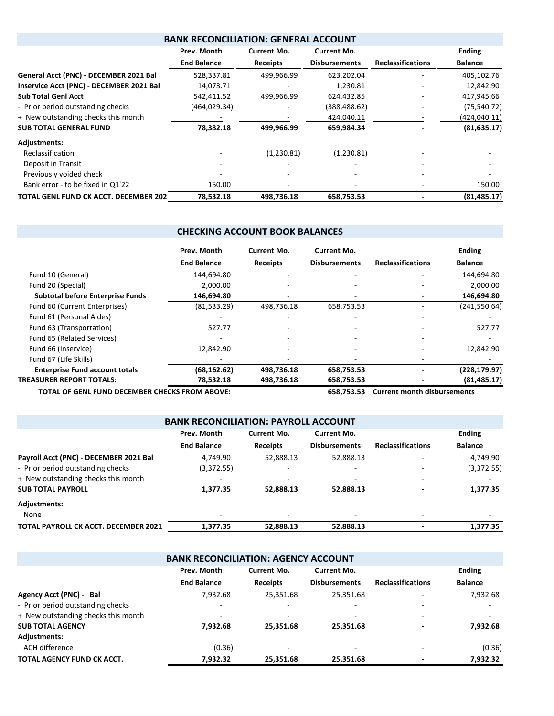| <b>BANK RECONCILIATION: GENERAL ACCOUNT</b> |                    |                 |                      |                          |                |  |  |  |
|---------------------------------------------|--------------------|-----------------|----------------------|--------------------------|----------------|--|--|--|
|                                             | Prev. Month        | Current Mo.     | Current Mo.          |                          | <b>Ending</b>  |  |  |  |
|                                             | <b>End Balance</b> | <b>Receipts</b> | <b>Disbursements</b> | <b>Reclassifications</b> | <b>Balance</b> |  |  |  |
| General Acct (PNC) - DECEMBER 2021 Bal      | 528,337.81         | 499,966.99      | 623,202.04           |                          | 405,102.76     |  |  |  |
| Inservice Acct (PNC) - DECEMBER 2021 Bal    | 14,073.71          |                 | 1,230.81             |                          | 12,842.90      |  |  |  |
| <b>Sub Total Genl Acct</b>                  | 542,411.52         | 499,966.99      | 624,432.85           |                          | 417,945.66     |  |  |  |
| - Prior period outstanding checks           | (464, 029.34)      |                 | (388,488.62)         |                          | (75, 540.72)   |  |  |  |
| + New outstanding checks this month         |                    |                 | 424,040.11           |                          | (424,040.11)   |  |  |  |
| <b>SUB TOTAL GENERAL FUND</b>               | 78,382.18          | 499,966.99      | 659,984.34           |                          | (81, 635.17)   |  |  |  |
| <b>Adjustments:</b>                         |                    |                 |                      |                          |                |  |  |  |
| Reclassification                            |                    | (1,230.81)      | (1,230.81)           |                          |                |  |  |  |
| Deposit in Transit                          |                    |                 |                      |                          |                |  |  |  |
| Previously voided check                     |                    |                 |                      |                          |                |  |  |  |
| Bank error - to be fixed in Q1'22           | 150.00             |                 |                      |                          | 150.00         |  |  |  |
| TOTAL GENL FUND CK ACCT. DECEMBER 202       | 78,532.18          | 498,736.18      | 658,753.53           |                          | (81, 485.17)   |  |  |  |

## **CHECKING ACCOUNT BOOK BALANCES**

|                                         | Prev. Month        | Current Mo.     | <b>Current Mo.</b>   |                          | <b>Ending</b>  |
|-----------------------------------------|--------------------|-----------------|----------------------|--------------------------|----------------|
|                                         | <b>End Balance</b> | <b>Receipts</b> | <b>Disbursements</b> | <b>Reclassifications</b> | <b>Balance</b> |
| Fund 10 (General)                       | 144,694.80         |                 |                      |                          | 144,694.80     |
| Fund 20 (Special)                       | 2,000.00           |                 |                      |                          | 2,000.00       |
| <b>Subtotal before Enterprise Funds</b> | 146,694.80         |                 |                      |                          | 146,694.80     |
| Fund 60 (Current Enterprises)           | (81,533.29)        | 498,736.18      | 658,753.53           |                          | (241, 550.64)  |
| Fund 61 (Personal Aides)                |                    |                 |                      |                          |                |
| Fund 63 (Transportation)                | 527.77             |                 |                      |                          | 527.77         |
| Fund 65 (Related Services)              |                    |                 |                      |                          |                |
| Fund 66 (Inservice)                     | 12.842.90          |                 |                      |                          | 12,842.90      |
| Fund 67 (Life Skills)                   |                    |                 |                      |                          |                |
| <b>Enterprise Fund account totals</b>   | (68, 162.62)       | 498,736.18      | 658,753.53           |                          | (228, 179.97)  |
| <b>TREASURER REPORT TOTALS:</b>         | 78,532.18          | 498,736.18      | 658,753.53           |                          | (81, 485.17)   |

**TOTAL OF GENL FUND DECEMBER CHECKS FROM ABOVE: 658,753.53 Current month disbursements**

| <b>BANK RECONCILIATION: PAYROLL ACCOUNT</b> |                          |                    |                      |                          |                |  |  |  |  |  |
|---------------------------------------------|--------------------------|--------------------|----------------------|--------------------------|----------------|--|--|--|--|--|
|                                             | Prev. Month              | <b>Current Mo.</b> | Current Mo.          |                          | <b>Ending</b>  |  |  |  |  |  |
|                                             | <b>End Balance</b>       | <b>Receipts</b>    | <b>Disbursements</b> | <b>Reclassifications</b> | <b>Balance</b> |  |  |  |  |  |
| Payroll Acct (PNC) - DECEMBER 2021 Bal      | 4.749.90                 | 52,888.13          | 52,888.13            |                          | 4,749.90       |  |  |  |  |  |
| - Prior period outstanding checks           | (3,372.55)               |                    |                      |                          | (3,372.55)     |  |  |  |  |  |
| + New outstanding checks this month         |                          |                    |                      |                          |                |  |  |  |  |  |
| <b>SUB TOTAL PAYROLL</b>                    | 1,377.35                 | 52,888.13          | 52,888.13            |                          | 1,377.35       |  |  |  |  |  |
| <b>Adjustments:</b>                         |                          |                    |                      |                          |                |  |  |  |  |  |
| None                                        | $\overline{\phantom{0}}$ |                    |                      | $\overline{\phantom{a}}$ |                |  |  |  |  |  |
| TOTAL PAYROLL CK ACCT. DECEMBER 2021        | 1,377.35                 | 52.888.13          | 52,888.13            |                          | 1.377.35       |  |  |  |  |  |
|                                             |                          |                    |                      |                          |                |  |  |  |  |  |

| <b>BANK RECONCILIATION: AGENCY ACCOUNT</b> |                                                  |                 |                      |                          |                          |  |  |  |  |  |
|--------------------------------------------|--------------------------------------------------|-----------------|----------------------|--------------------------|--------------------------|--|--|--|--|--|
|                                            | Prev. Month<br>Current Mo.<br><b>Current Mo.</b> |                 |                      |                          |                          |  |  |  |  |  |
|                                            | <b>End Balance</b>                               | <b>Receipts</b> | <b>Disbursements</b> | <b>Reclassifications</b> | <b>Balance</b>           |  |  |  |  |  |
| Agency Acct (PNC) - Bal                    | 7,932.68                                         | 25,351.68       | 25,351.68            |                          | 7,932.68                 |  |  |  |  |  |
| - Prior period outstanding checks          | $\overline{\phantom{0}}$                         |                 |                      |                          | $\overline{\phantom{0}}$ |  |  |  |  |  |
| + New outstanding checks this month        |                                                  |                 |                      |                          |                          |  |  |  |  |  |
| <b>SUB TOTAL AGENCY</b>                    | 7,932.68                                         | 25,351.68       | 25.351.68            |                          | 7,932.68                 |  |  |  |  |  |
| Adjustments:                               |                                                  |                 |                      |                          |                          |  |  |  |  |  |
| ACH difference                             | (0.36)                                           |                 |                      |                          | (0.36)                   |  |  |  |  |  |
| TOTAL AGENCY FUND CK ACCT.                 | 7,932.32                                         | 25,351.68       | 25,351.68            |                          | 7,932.32                 |  |  |  |  |  |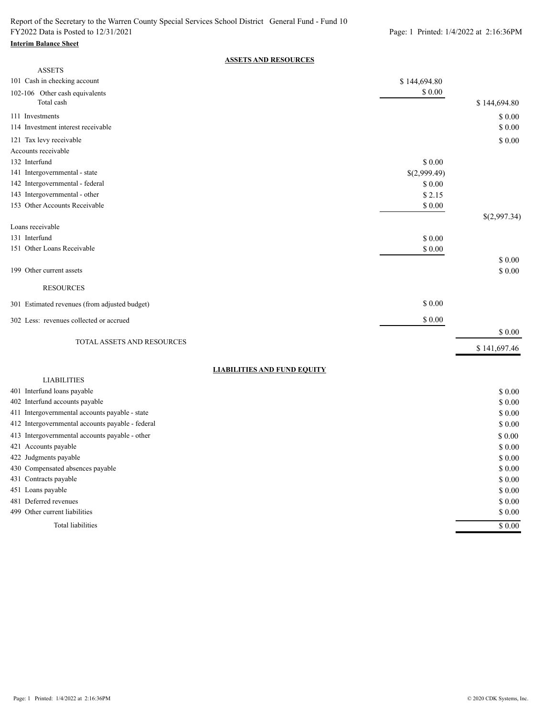#### **Interim Balance Sheet**

### **ASSETS AND RESOURCES**

| <b>ASSETS</b>                                    |                   |              |
|--------------------------------------------------|-------------------|--------------|
| 101 Cash in checking account                     | \$144,694.80      |              |
| 102-106 Other cash equivalents<br>Total cash     | $\$$ $0.00$       | \$144,694.80 |
| 111 Investments                                  |                   | \$0.00       |
| 114 Investment interest receivable               |                   | \$0.00       |
| 121 Tax levy receivable                          |                   | \$0.00       |
| Accounts receivable                              |                   |              |
| 132 Interfund                                    | \$ 0.00           |              |
| 141 Intergovernmental - state                    | \$(2,999.49)      |              |
| 142 Intergovernmental - federal                  | \$ 0.00           |              |
| 143 Intergovernmental - other                    | \$2.15            |              |
| 153 Other Accounts Receivable                    | \$0.00            |              |
| Loans receivable                                 |                   | \$(2,997.34) |
| 131 Interfund                                    |                   |              |
| 151 Other Loans Receivable                       | \$0.00<br>\$ 0.00 |              |
|                                                  |                   | \$ 0.00      |
| 199 Other current assets                         |                   | \$ 0.00      |
| <b>RESOURCES</b>                                 |                   |              |
| 301 Estimated revenues (from adjusted budget)    | \$0.00            |              |
| 302 Less: revenues collected or accrued          | \$0.00            |              |
|                                                  |                   | \$ 0.00      |
| TOTAL ASSETS AND RESOURCES                       |                   |              |
|                                                  |                   | \$141,697.46 |
| <b>LIABILITIES AND FUND EQUITY</b>               |                   |              |
| <b>LIABILITIES</b>                               |                   |              |
| 401 Interfund loans payable                      |                   | \$0.00       |
| 402 Interfund accounts payable                   |                   | \$0.00       |
| 411 Intergovernmental accounts payable - state   |                   | \$ 0.00      |
| 412 Intergovernmental accounts payable - federal |                   | \$0.00       |
| 413 Intergovernmental accounts payable - other   |                   | \$ 0.00      |
| 421 Accounts payable                             |                   | \$0.00       |
| 422 Judgments payable                            |                   | \$ 0.00      |
| 430 Compensated absences payable                 |                   | \$ 0.00      |
| 431 Contracts payable                            |                   | \$0.00       |
| 451 Loans payable                                |                   | \$0.00       |
| 481 Deferred revenues                            |                   | \$0.00       |
| 499 Other current liabilities                    |                   | \$0.00       |
| Total liabilities                                |                   | \$0.00       |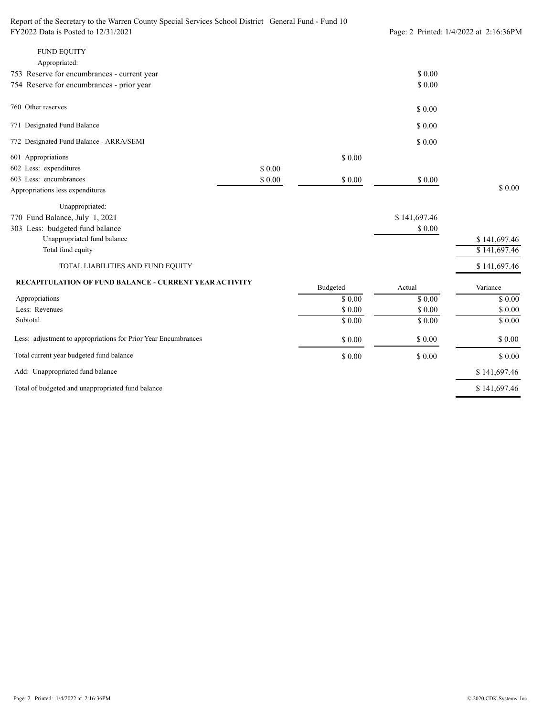| <b>FUND EQUITY</b>                                             |         |          |              |              |
|----------------------------------------------------------------|---------|----------|--------------|--------------|
| Appropriated:                                                  |         |          |              |              |
| 753 Reserve for encumbrances - current year                    |         |          | \$0.00       |              |
| 754 Reserve for encumbrances - prior year                      |         |          | \$0.00       |              |
| 760 Other reserves                                             |         |          | \$0.00       |              |
| 771 Designated Fund Balance                                    |         |          | \$0.00       |              |
| 772 Designated Fund Balance - ARRA/SEMI                        |         |          | \$0.00       |              |
| 601 Appropriations                                             |         | \$0.00   |              |              |
| 602 Less: expenditures                                         | \$0.00  |          |              |              |
| 603 Less: encumbrances                                         | $$0.00$ | \$0.00   | \$0.00       |              |
| Appropriations less expenditures                               |         |          |              | \$0.00       |
| Unappropriated:                                                |         |          |              |              |
| 770 Fund Balance, July 1, 2021                                 |         |          | \$141,697.46 |              |
| 303 Less: budgeted fund balance                                |         |          | \$0.00       |              |
| Unappropriated fund balance                                    |         |          |              | \$141,697.46 |
| Total fund equity                                              |         |          |              | \$141,697.46 |
| TOTAL LIABILITIES AND FUND EQUITY                              |         |          |              | \$141,697.46 |
| <b>RECAPITULATION OF FUND BALANCE - CURRENT YEAR ACTIVITY</b>  |         | Budgeted | Actual       | Variance     |
| Appropriations                                                 |         | \$0.00   | \$0.00       | \$0.00       |
| Less: Revenues                                                 |         | \$0.00   | \$0.00       | $$0.00$      |
| Subtotal                                                       |         | \$0.00   | \$0.00       | \$0.00       |
| Less: adjustment to appropriations for Prior Year Encumbrances |         | \$0.00   | \$0.00       | \$0.00       |

\$ 141,697.46 \$ 141,697.46 \$ 0.00 \$ 0.00 \$ 0.00 Add: Unappropriated fund balance Total current year budgeted fund balance

Total of budgeted and unappropriated fund balance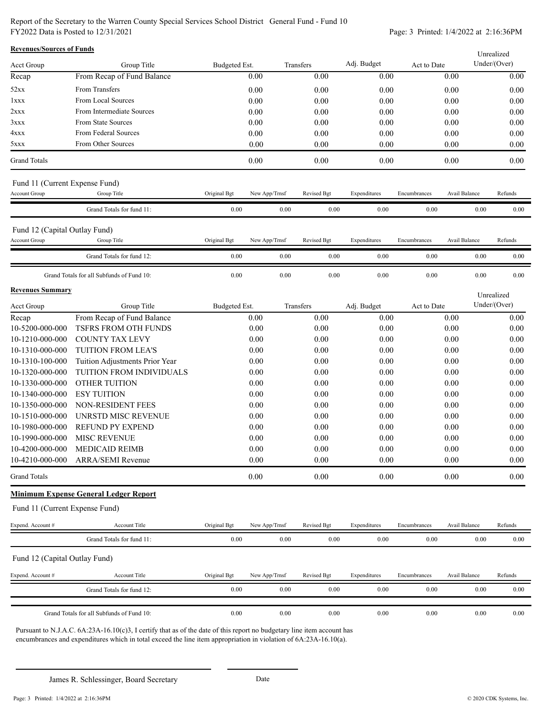Report of the Secretary to the Warren County Special Services School District General Fund - Fund 10 FY2022 Data is Posted to 12/31/2021 Page: 3 Printed: 1/4/2022 at 2:16:36PM

| <b>Revenues/Sources of Funds</b> |                                              |               |               |             |              |              |               | Unrealized   |
|----------------------------------|----------------------------------------------|---------------|---------------|-------------|--------------|--------------|---------------|--------------|
| <b>Acct Group</b>                | Group Title                                  | Budgeted Est. |               | Transfers   | Adj. Budget  | Act to Date  |               | Under/(Over) |
| Recap                            | From Recap of Fund Balance                   |               | 0.00          | 0.00        | 0.00         |              | 0.00          | 0.00         |
| 52xx                             | From Transfers                               |               | 0.00          | 0.00        | 0.00         |              | 0.00          | 0.00         |
| 1xxx                             | From Local Sources                           |               | 0.00          | 0.00        | 0.00         |              | 0.00          | 0.00         |
| 2xxx                             | From Intermediate Sources                    |               | 0.00          | 0.00        | 0.00         |              | 0.00          | 0.00         |
| 3xxx                             | From State Sources                           |               | 0.00          | 0.00        | 0.00         |              | 0.00          | 0.00         |
| 4xxx                             | From Federal Sources                         |               | 0.00          | 0.00        | 0.00         |              | 0.00          | 0.00         |
| 5xxx                             | From Other Sources                           |               | 0.00          | 0.00        | 0.00         |              | 0.00          | 0.00         |
| <b>Grand Totals</b>              |                                              |               | 0.00          | 0.00        | 0.00         |              | 0.00          | 0.00         |
| Fund 11 (Current Expense Fund)   |                                              |               |               |             |              |              |               |              |
| <b>Account Group</b>             | Group Title                                  | Original Bgt  | New App/Trnsf | Revised Bgt | Expenditures | Encumbrances | Avail Balance | Refunds      |
|                                  | Grand Totals for fund 11:                    | $0.00\,$      | 0.00          | $0.00\,$    | $0.00\,$     | $0.00\,$     | 0.00          | 0.00         |
| Fund 12 (Capital Outlay Fund)    |                                              |               |               |             |              |              |               |              |
| <b>Account Group</b>             | Group Title                                  | Original Bgt  | New App/Trnsf | Revised Bgt | Expenditures | Encumbrances | Avail Balance | Refunds      |
|                                  | Grand Totals for fund 12:                    | 0.00          | 0.00          | 0.00        | 0.00         | 0.00         | 0.00          | 0.00         |
|                                  | Grand Totals for all Subfunds of Fund 10:    | 0.00          | $0.00\,$      | 0.00        | $0.00\,$     | 0.00         | 0.00          | 0.00         |
| <b>Revenues Summary</b>          |                                              |               |               |             |              |              |               | Unrealized   |
| Acct Group                       | Group Title                                  | Budgeted Est. |               | Transfers   | Adj. Budget  | Act to Date  |               | Under/(Over) |
| Recap                            | From Recap of Fund Balance                   |               | 0.00          | 0.00        | 0.00         |              | 0.00          | 0.00         |
| 10-5200-000-000                  | TSFRS FROM OTH FUNDS                         |               | $0.00\,$      | 0.00        | 0.00         |              | $0.00\,$      | 0.00         |
| 10-1210-000-000                  | <b>COUNTY TAX LEVY</b>                       |               | 0.00          | 0.00        | 0.00         |              | 0.00          | 0.00         |
| 10-1310-000-000                  | TUITION FROM LEA'S                           |               | 0.00          | 0.00        | 0.00         |              | 0.00          | 0.00         |
| 10-1310-100-000                  | Tuition Adjustments Prior Year               |               | 0.00          | 0.00        | 0.00         |              | 0.00          | 0.00         |
| 10-1320-000-000                  | TUITION FROM INDIVIDUALS                     |               | 0.00          | 0.00        | 0.00         |              | 0.00          | 0.00         |
| 10-1330-000-000                  | OTHER TUITION                                |               | 0.00          | 0.00        | 0.00         |              | 0.00          | 0.00         |
| 10-1340-000-000                  | <b>ESY TUITION</b>                           |               | 0.00          | 0.00        | 0.00         |              | 0.00          | 0.00         |
| 10-1350-000-000                  | NON-RESIDENT FEES                            |               | 0.00          | 0.00        | 0.00         |              | 0.00          | 0.00         |
| 10-1510-000-000                  | UNRSTD MISC REVENUE                          |               | 0.00          | 0.00        | 0.00         |              | 0.00          | 0.00         |
| 10-1980-000-000                  | <b>REFUND PY EXPEND</b>                      |               | 0.00          | 0.00        | 0.00         |              | 0.00          | 0.00         |
| 10-1990-000-000                  | <b>MISC REVENUE</b>                          |               | 0.00          | 0.00        | 0.00         |              | 0.00          | 0.00         |
| 10-4200-000-000                  | <b>MEDICAID REIMB</b>                        |               | 0.00          | 0.00        | 0.00         |              | 0.00          | 0.00         |
|                                  | 10-4210-000-000 ARRA/SEMI Revenue            |               | 0.00          | 0.00        | 0.00         |              | 0.00          | 0.00         |
| <b>Grand Totals</b>              |                                              |               | 0.00          | 0.00        | 0.00         |              | 0.00          | 0.00         |
|                                  | <b>Minimum Expense General Ledger Report</b> |               |               |             |              |              |               |              |
| Fund 11 (Current Expense Fund)   |                                              |               |               |             |              |              |               |              |
| Expend. Account #                | Account Title                                | Original Bgt  | New App/Trnsf | Revised Bgt | Expenditures | Encumbrances | Avail Balance | Refunds      |
|                                  | Grand Totals for fund 11:                    | 0.00          | 0.00          | 0.00        | 0.00         | 0.00         | $0.00\,$      | 0.00         |
| Fund 12 (Capital Outlay Fund)    |                                              |               |               |             |              |              |               |              |
| Expend. Account #                | Account Title                                | Original Bgt  | New App/Trnsf | Revised Bgt | Expenditures | Encumbrances | Avail Balance | Refunds      |
|                                  | Grand Totals for fund 12:                    | 0.00          | 0.00          | 0.00        | 0.00         | 0.00         | 0.00          | 0.00         |
|                                  | Grand Totals for all Subfunds of Fund 10:    | 0.00          | 0.00          | 0.00        | 0.00         | 0.00         | 0.00          | 0.00         |

Pursuant to N.J.A.C. 6A:23A-16.10(c)3, I certify that as of the date of this report no budgetary line item account has encumbrances and expenditures which in total exceed the line item appropriation in violation of 6A:23A-16.10(a).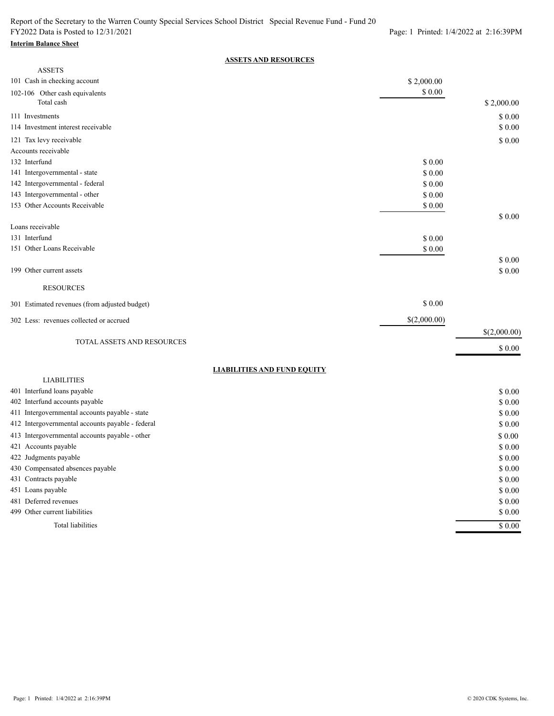# **Interim Balance Sheet**

### **ASSETS AND RESOURCES**

| <b>ASSETS</b>                                    |              |              |
|--------------------------------------------------|--------------|--------------|
| 101 Cash in checking account                     | \$2,000.00   |              |
| 102-106 Other cash equivalents                   | \$ 0.00      |              |
| Total cash                                       |              | \$2,000.00   |
| 111 Investments                                  |              | \$0.00       |
| 114 Investment interest receivable               |              | \$0.00       |
| 121 Tax levy receivable                          |              | \$0.00       |
| Accounts receivable                              |              |              |
| 132 Interfund                                    | \$0.00       |              |
| 141 Intergovernmental - state                    | \$ 0.00      |              |
| 142 Intergovernmental - federal                  | \$ 0.00      |              |
| 143 Intergovernmental - other                    | \$0.00       |              |
| 153 Other Accounts Receivable                    | \$ 0.00      |              |
|                                                  |              | \$ 0.00      |
| Loans receivable                                 |              |              |
| 131 Interfund                                    | \$0.00       |              |
| 151 Other Loans Receivable                       | \$0.00       |              |
|                                                  |              | \$0.00       |
| 199 Other current assets                         |              | \$0.00       |
| <b>RESOURCES</b>                                 |              |              |
| 301 Estimated revenues (from adjusted budget)    | \$0.00       |              |
| 302 Less: revenues collected or accrued          | \$(2,000.00) |              |
|                                                  |              | \$(2,000.00) |
| TOTAL ASSETS AND RESOURCES                       |              | \$0.00       |
|                                                  |              |              |
| <b>LIABILITIES AND FUND EQUITY</b>               |              |              |
| <b>LIABILITIES</b>                               |              |              |
| 401 Interfund loans payable                      |              | \$0.00       |
| 402 Interfund accounts payable                   |              | \$0.00       |
| 411 Intergovernmental accounts payable - state   |              | \$ 0.00      |
| 412 Intergovernmental accounts payable - federal |              | \$0.00       |
| 413 Intergovernmental accounts payable - other   |              | \$0.00       |
| 421 Accounts payable                             |              | \$0.00       |
| 422 Judgments payable                            |              | \$0.00       |
| 430 Compensated absences payable                 |              | \$0.00       |
| 431 Contracts payable                            |              | \$0.00       |
| 451 Loans payable                                |              | \$0.00       |
| 481 Deferred revenues                            |              | \$ 0.00      |
| 499 Other current liabilities                    |              | \$ 0.00      |
| Total liabilities                                |              | \$0.00       |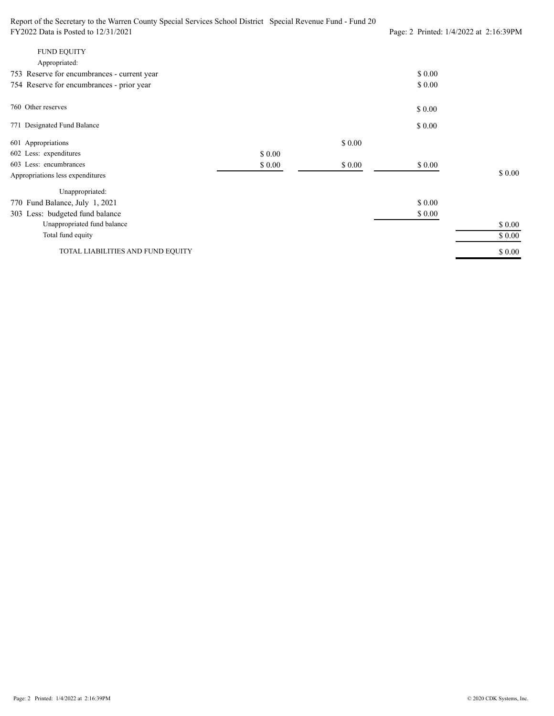Report of the Secretary to the Warren County Special Services School District Special Revenue Fund - Fund 20 FY2022 Data is Posted to 12/31/2021 Page: 2 Printed: 1/4/2022 at 2:16:39PM \$ 0.00 \$ 0.00 754 Reserve for encumbrances - prior year 753 Reserve for encumbrances - current year Appropriated: FUND EQUITY 771 Designated Fund Balance \$ 0.00 \$ 0.00 760 Other reserves \$ 0.00 \$ 0.00 \$ 0.00 \$ 0.00 \$ 0.00 \$ 0.00 \$ 0.00 \$ 0.00 \$ 0.00 \$ 0.00 \$ 0.00 \$ 0.00 TOTAL LIABILITIES AND FUND EQUITY Total fund equity Unappropriated fund balance 303 Less: budgeted fund balance Unappropriated: Appropriations less expenditures 603 Less: encumbrances 602 Less: expenditures 601 Appropriations 770 Fund Balance, July 1, 2021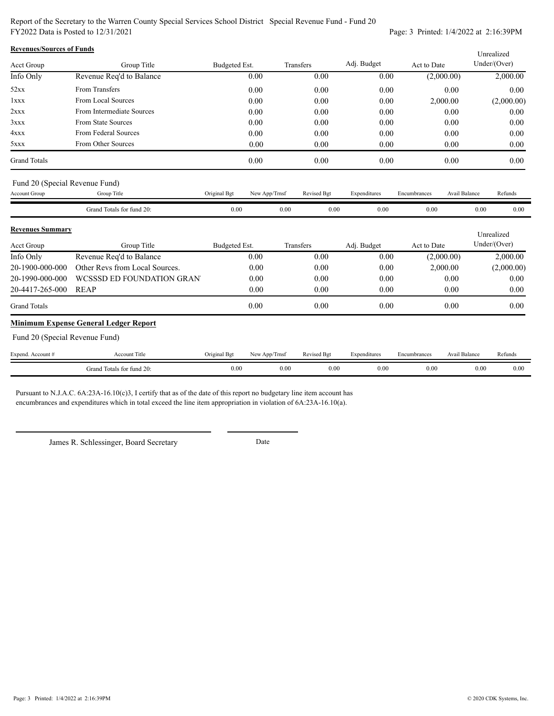Report of the Secretary to the Warren County Special Services School District Special Revenue Fund - Fund 20 FY2022 Data is Posted to 12/31/2021 Page: 3 Printed: 1/4/2022 at 2:16:39PM

| <b>Revenues/Sources of Funds</b> |                                |               |               |             |              |              |               | Unrealized                                 |
|----------------------------------|--------------------------------|---------------|---------------|-------------|--------------|--------------|---------------|--------------------------------------------|
| Acct Group                       | Group Title                    | Budgeted Est. |               | Transfers   | Adj. Budget  | Act to Date  |               | Under/(Over)                               |
| Info Only                        | Revenue Req'd to Balance       |               | 0.00          | 0.00        | 0.00         | (2,000.00)   |               | 2,000.00                                   |
| 52xx                             | From Transfers                 |               | 0.00          | 0.00        | 0.00         |              | 0.00          | 0.00                                       |
| 1xxx                             | From Local Sources             |               | 0.00          | 0.00        | 0.00         | 2,000.00     |               | (2,000.00)                                 |
| 2xxx                             | From Intermediate Sources      |               | 0.00          | 0.00        | 0.00         |              | 0.00          | 0.00                                       |
| 3xxx                             | From State Sources             |               | 0.00          | 0.00        | 0.00         |              | 0.00          | 0.00                                       |
| 4xxx                             | From Federal Sources           |               | 0.00          | 0.00        | 0.00         |              | 0.00          | 0.00                                       |
| 5xxx                             | From Other Sources             |               | 0.00          | 0.00        | 0.00         |              | 0.00          | 0.00                                       |
| <b>Grand Totals</b>              |                                |               | 0.00          | 0.00        | 0.00         |              | 0.00          | 0.00                                       |
|                                  | Fund 20 (Special Revenue Fund) |               |               |             |              |              |               |                                            |
| Account Group                    | Group Title                    | Original Bgt  | New App/Trnsf | Revised Bgt | Expenditures | Encumbrances | Avail Balance | Refunds                                    |
|                                  | Grand Totals for fund 20:      | 0.00          | 0.00          | 0.00        | 0.00         | 0.00         | 0.00          | $0.00\,$                                   |
| <b>Revenues Summary</b>          |                                |               |               |             |              |              |               | $\mathbf{v}$ , and the set of $\mathbf{v}$ |

| Acct Group                                     | Group Title                                  | Budgeted Est. | Transfers | Adj. Budget | Act to Date | Unrealized<br>Under/Over) |
|------------------------------------------------|----------------------------------------------|---------------|-----------|-------------|-------------|---------------------------|
| Info Only                                      | Revenue Req'd to Balance                     | 0.00          | 0.00      | 0.00        | (2,000.00)  | 2,000.00                  |
| 20-1900-000-000                                | Other Revs from Local Sources.               | 0.00          | 0.00      | 0.00        | 2,000.00    | (2,000.00)                |
| 20-1990-000-000                                | WCSSSD ED FOUNDATION GRAN                    | 0.00          | 0.00      | 0.00        | 0.00        | 0.00                      |
| 20-4417-265-000                                | REAP                                         | 0.00          | 0.00      | 0.00        | 0.00        | 0.00                      |
| <b>Grand Totals</b>                            |                                              | 0.00          | 0.00      | 0.00        | 0.00        | 0.00                      |
|                                                | <b>Minimum Expense General Ledger Report</b> |               |           |             |             |                           |
| $P = 1.20$ $(0 \quad 1.00 \quad \text{F} = 1)$ |                                              |               |           |             |             |                           |

Fund 20 (Special Revenue Fund)

| Expend.<br>Account # | -Title<br>Account                       | Original Bgt | New App/Irnsi | <b>Revised Bgt</b> | $\sim$<br>Expenditures | Encumbrance <sup>-</sup> | Avail Balance | Refunds   |
|----------------------|-----------------------------------------|--------------|---------------|--------------------|------------------------|--------------------------|---------------|-----------|
|                      | : ንቡ-<br>Totals for fund 20:<br>. irand | $_{0.00}$    | $_{0.00}$     | 0.00               | $_{0.00}$              | $_{0.00}$                | 0.00          | $_{0.00}$ |

Pursuant to N.J.A.C. 6A:23A-16.10(c)3, I certify that as of the date of this report no budgetary line item account has encumbrances and expenditures which in total exceed the line item appropriation in violation of 6A:23A-16.10(a).

James R. Schlessinger, Board Secretary Date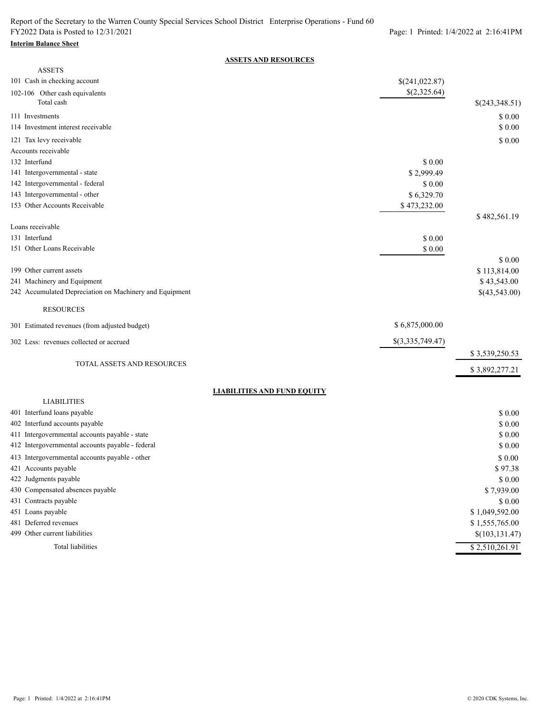#### **Interim Balance Sheet**

### **ASSETS AND RESOURCES**

| <b>ASSETS</b>                                            |                  |                            |
|----------------------------------------------------------|------------------|----------------------------|
| 101 Cash in checking account                             | \$(241,022.87)   |                            |
| 102-106 Other cash equivalents                           | \$(2,325.64)     |                            |
| Total cash                                               |                  | \$(243,348.51)             |
| 111 Investments                                          |                  | \$0.00                     |
| 114 Investment interest receivable                       |                  | \$0.00                     |
| 121 Tax levy receivable                                  |                  | \$0.00                     |
| Accounts receivable                                      |                  |                            |
| 132 Interfund                                            | \$0.00           |                            |
| 141 Intergovernmental - state                            | \$2,999.49       |                            |
| 142 Intergovernmental - federal                          | \$0.00           |                            |
| 143 Intergovernmental - other                            | \$6,329.70       |                            |
| 153 Other Accounts Receivable                            | \$473,232.00     |                            |
|                                                          |                  | \$482,561.19               |
| Loans receivable                                         |                  |                            |
| 131 Interfund                                            | \$0.00           |                            |
| 151 Other Loans Receivable                               | \$ 0.00          |                            |
|                                                          |                  | \$0.00                     |
| 199 Other current assets                                 |                  | \$113,814.00               |
| 241 Machinery and Equipment                              |                  | \$43,543.00                |
| 242 Accumulated Depreciation on Machinery and Equipment  |                  | \$(43,543.00)              |
| <b>RESOURCES</b>                                         |                  |                            |
| 301 Estimated revenues (from adjusted budget)            | \$6,875,000.00   |                            |
| 302 Less: revenues collected or accrued                  | \$(3,335,749.47) |                            |
|                                                          |                  | \$3,539,250.53             |
| TOTAL ASSETS AND RESOURCES                               |                  | \$3,892,277.21             |
|                                                          |                  |                            |
| <b>LIABILITIES AND FUND EQUITY</b><br><b>LIABILITIES</b> |                  |                            |
| 401 Interfund loans payable                              |                  | \$0.00                     |
| 402 Interfund accounts payable                           |                  | \$0.00                     |
| 411 Intergovernmental accounts payable - state           |                  | \$0.00                     |
| 412 Intergovernmental accounts payable - federal         |                  | \$0.00                     |
| 413 Intergovernmental accounts payable - other           |                  | \$ 0.00                    |
| 421 Accounts payable                                     |                  | \$97.38                    |
| 422 Judgments payable                                    |                  | \$0.00                     |
| 430 Compensated absences payable                         |                  | \$7,939.00                 |
| 431 Contracts payable                                    |                  | \$0.00                     |
| 451 Loans payable                                        |                  | \$1,049,592.00             |
| 481 Deferred revenues                                    |                  | \$1,555,765.00             |
| 499 Other current liabilities                            |                  | \$(103, 131.47)            |
| Total liabilities                                        |                  | $\overline{$}2,510,261.91$ |
|                                                          |                  |                            |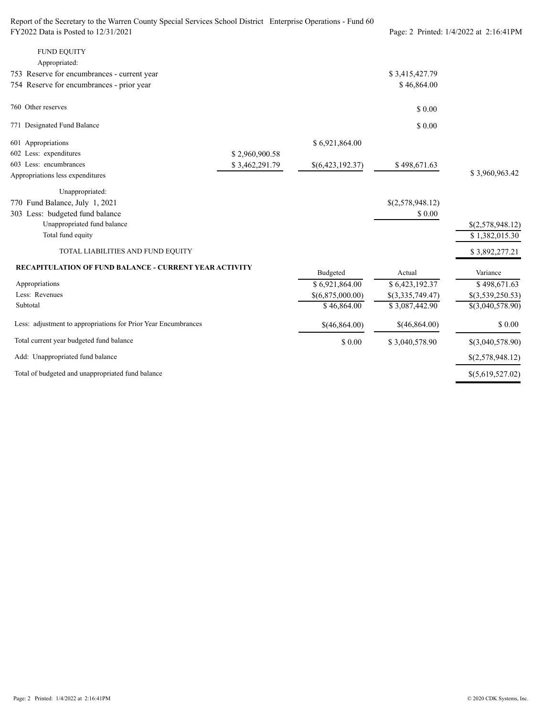| Report of the Secretary to the Warren County Special Services School District Enterprise Operations - Fund 60 |                |                  |                  |                                        |
|---------------------------------------------------------------------------------------------------------------|----------------|------------------|------------------|----------------------------------------|
| FY2022 Data is Posted to 12/31/2021                                                                           |                |                  |                  | Page: 2 Printed: 1/4/2022 at 2:16:41PM |
| <b>FUND EQUITY</b>                                                                                            |                |                  |                  |                                        |
| Appropriated:                                                                                                 |                |                  |                  |                                        |
| 753 Reserve for encumbrances - current year                                                                   |                |                  | \$3,415,427.79   |                                        |
| 754 Reserve for encumbrances - prior year                                                                     |                |                  | \$46,864.00      |                                        |
| 760 Other reserves                                                                                            |                |                  | \$0.00           |                                        |
| 771 Designated Fund Balance                                                                                   |                |                  | \$0.00           |                                        |
| 601 Appropriations                                                                                            |                | \$6,921,864.00   |                  |                                        |
| 602 Less: expenditures                                                                                        | \$2,960,900.58 |                  |                  |                                        |
| 603 Less: encumbrances                                                                                        | \$3,462,291.79 | \$(6,423,192.37) | \$498,671.63     |                                        |
| Appropriations less expenditures                                                                              |                |                  |                  | \$3,960,963.42                         |
| Unappropriated:                                                                                               |                |                  |                  |                                        |
| 770 Fund Balance, July 1, 2021                                                                                |                |                  | \$(2,578,948.12) |                                        |
| 303 Less: budgeted fund balance                                                                               |                |                  | \$0.00           |                                        |
| Unappropriated fund balance                                                                                   |                |                  |                  | \$(2,578,948.12)                       |
| Total fund equity                                                                                             |                |                  |                  | \$1,382,015.30                         |
| TOTAL LIABILITIES AND FUND EQUITY                                                                             |                |                  |                  | \$3,892,277.21                         |
| <b>RECAPITULATION OF FUND BALANCE - CURRENT YEAR ACTIVITY</b>                                                 |                | Budgeted         | Actual           | Variance                               |
| Appropriations                                                                                                |                | \$6,921,864.00   | \$6,423,192.37   | \$498,671.63                           |
| Less: Revenues                                                                                                |                | \$(6,875,000.00) | \$(3,335,749.47) | \$(3,539,250.53)                       |
| Subtotal                                                                                                      |                | \$46,864.00      | \$3,087,442.90   | \$(3,040,578.90)                       |
| Less: adjustment to appropriations for Prior Year Encumbrances                                                |                | \$(46,864.00)    | \$(46,864.00)    | \$ 0.00                                |
| Total current year budgeted fund balance                                                                      |                | \$ 0.00          | \$3,040,578.90   | \$(3,040,578.90)                       |
| Add: Unappropriated fund balance                                                                              |                |                  |                  | \$(2,578,948.12)                       |
| Total of budgeted and unappropriated fund balance                                                             |                |                  |                  | \$(5,619,527.02)                       |
|                                                                                                               |                |                  |                  |                                        |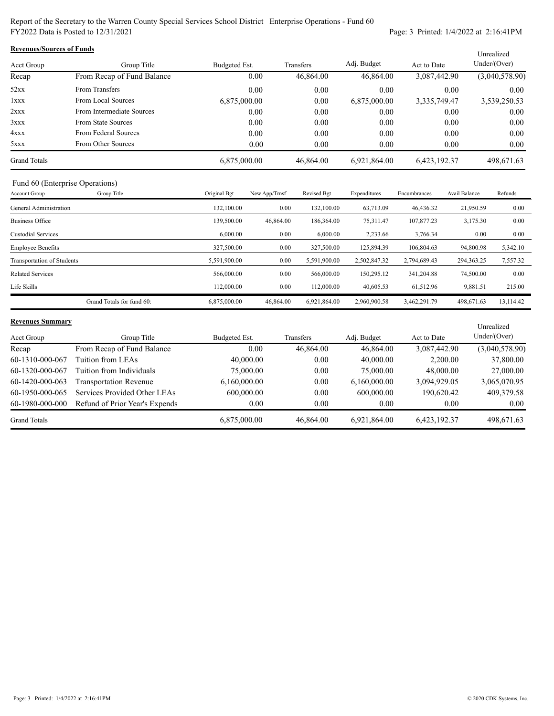Report of the Secretary to the Warren County Special Services School District Enterprise Operations - Fund 60 FY2022 Data is Posted to 12/31/2021 Page: 3 Printed: 1/4/2022 at 2:16:41PM

| <b>Revenues/Sources of Funds</b> |                            |               |           |              |              |                |  |  |
|----------------------------------|----------------------------|---------------|-----------|--------------|--------------|----------------|--|--|
| Acct Group                       | Group Title                | Budgeted Est. | Transfers | Adj. Budget  | Act to Date  | Under/(Over)   |  |  |
| Recap                            | From Recap of Fund Balance | 0.00          | 46,864.00 | 46,864.00    | 3,087,442.90 | (3,040,578.90) |  |  |
| 52xx                             | From Transfers             | 0.00          | 0.00      | 0.00         | 0.00         | 0.00           |  |  |
| 1xxx                             | From Local Sources         | 6,875,000.00  | 0.00      | 6,875,000.00 | 3,335,749.47 | 3,539,250.53   |  |  |
| 2xxx                             | From Intermediate Sources  | 0.00          | 0.00      | 0.00         | 0.00         | 0.00           |  |  |
| 3xxx                             | From State Sources         | 0.00          | 0.00      | 0.00         | 0.00         | 0.00           |  |  |
| 4xxx                             | From Federal Sources       | 0.00          | 0.00      | 0.00         | 0.00         | 0.00           |  |  |
| 5xxx                             | From Other Sources         | 0.00          | 0.00      | 0.00         | 0.00         | 0.00           |  |  |
| <b>Grand Totals</b>              |                            | 6,875,000.00  | 46,864.00 | 6.921.864.00 | 6,423,192.37 | 498,671.63     |  |  |

### Fund 60 (Enterprise Operations)

| Account Group              | Group Title               | Original Bgt | New App/Trnsf | Revised Bgt  | Expenditures | Encumbrances | Avail Balance | Refunds   |
|----------------------------|---------------------------|--------------|---------------|--------------|--------------|--------------|---------------|-----------|
| General Administration     |                           | 132,100.00   | 0.00          | 132,100.00   | 63,713.09    | 46,436.32    | 21,950.59     | 0.00      |
| <b>Business Office</b>     |                           | 139,500.00   | 46,864.00     | 186,364.00   | 75,311.47    | 107,877.23   | 3,175.30      | 0.00      |
| <b>Custodial Services</b>  |                           | 6,000.00     | 0.00          | 6,000.00     | 2,233.66     | 3,766.34     | 0.00          | 0.00      |
| <b>Employee Benefits</b>   |                           | 327,500.00   | 0.00          | 327,500.00   | 125,894.39   | 106,804.63   | 94,800.98     | 5,342.10  |
| Transportation of Students |                           | 5,591,900.00 | 0.00          | 5,591,900.00 | 2,502,847.32 | 2,794,689.43 | 294,363.25    | 7,557.32  |
| <b>Related Services</b>    |                           | 566,000.00   | 0.00          | 566,000.00   | 150.295.12   | 341,204.88   | 74,500.00     | 0.00      |
| Life Skills                |                           | 112,000.00   | 0.00          | 112,000.00   | 40,605.53    | 61.512.96    | 9,881.51      | 215.00    |
|                            | Grand Totals for fund 60: | 6,875,000.00 | 46,864.00     | 6.921.864.00 | 2.960.900.58 | 3,462,291.79 | 498,671.63    | 13.114.42 |

#### **Revenues Summary**

| <b>Revenues Summary</b> |                                |               |           |              |              | Unrealized     |
|-------------------------|--------------------------------|---------------|-----------|--------------|--------------|----------------|
| Acct Group              | Group Title                    | Budgeted Est. | Transfers | Adj. Budget  | Act to Date  | Under/(Over)   |
| Recap                   | From Recap of Fund Balance     | 0.00          | 46,864.00 | 46,864.00    | 3,087,442.90 | (3,040,578.90) |
| 60-1310-000-067         | Tuition from LEAs              | 40,000.00     | 0.00      | 40,000.00    | 2,200.00     | 37,800.00      |
| 60-1320-000-067         | Tuition from Individuals       | 75,000.00     | 0.00      | 75,000.00    | 48,000.00    | 27,000.00      |
| 60-1420-000-063         | <b>Transportation Revenue</b>  | 6,160,000.00  | 0.00      | 6,160,000.00 | 3.094.929.05 | 3,065,070.95   |
| 60-1950-000-065         | Services Provided Other LEAs   | 600,000.00    | 0.00      | 600,000.00   | 190,620.42   | 409,379.58     |
| 60-1980-000-000         | Refund of Prior Year's Expends | 0.00          | 0.00      | 0.00         | 0.00         | 0.00           |
| <b>Grand Totals</b>     |                                | 6,875,000.00  | 46,864.00 | 6,921,864.00 | 6,423,192.37 | 498,671.63     |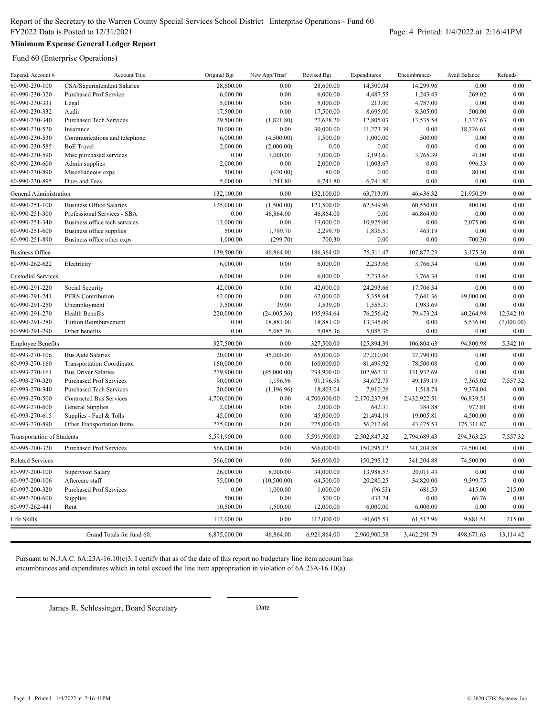# **Minimum Expense General Ledger Report**

Fund 60 (Enterprise Operations)

| 60-990-230-100<br>CSA/Superintendent Salaries<br>28,600.00<br>0.00<br>28,600.00<br>14,300.04<br>14,299.96<br>0.00<br>0.00<br>60-990-230-320<br>6,000.00<br>0.00<br>6,000.00<br>4,487.55<br>269.02<br>0.00<br><b>Purchased Prof Service</b><br>1,243.43<br>0.00<br>0.00<br>0.00<br>60-990-230-331<br>5,000.00<br>5,000.00<br>213.00<br>4,787.00<br>Legal<br>0.00<br>60-990-230-332<br>Audit<br>17,500.00<br>0.00<br>17,500.00<br>8,695.00<br>8,305.00<br>500.00<br>60-990-230-340<br>29,500.00<br>0.00<br><b>Purchased Tech Services</b><br>(1,821.80)<br>27,678.20<br>12,805.03<br>13,535.54<br>1,337.63<br>$0.00\,$<br>30,000.00<br>0.00<br>0.00<br>60-990-230-520<br>Insurance<br>30,000.00<br>11,273.39<br>18,726.61<br>6,000.00<br>(4,500.00)<br>1,000.00<br>500.00<br>0.00<br>60-990-230-530<br>Communications and telephone<br>1,500.00<br>0.00<br>2,000.00<br>(2,000.00)<br>0.00<br>0.00<br>0.00<br>0.00<br>0.00<br>60-990-230-585<br><b>BoE</b> Travel<br>41.00<br>0.00<br>60-990-230-590<br>Misc purchased services<br>0.00<br>7,000.00<br>7,000.00<br>3,193.61<br>3,765.39<br>60-990-230-600<br>2,000.00<br>0.00<br>2,000.00<br>1,003.67<br>0.00<br>996.33<br>0.00<br>Admin supplies<br>0.00<br>60-990-230-890<br>Miscellaneous exps<br>500.00<br>(420.00)<br>80.00<br>0.00<br>0.00<br>80.00<br>60-990-230-895<br>0.00<br>0.00<br>Dues and Fees<br>5,000.00<br>1,741.80<br>6,741.80<br>6,741.80<br>0.00<br>132,100.00<br>0.00<br>132,100.00<br>63,713.09<br>46,436.32<br>21,950.59<br>0.00<br>General Administration<br>60-990-251-100<br><b>Business Office Salaries</b><br>125,000.00<br>(1,500.00)<br>123,500.00<br>62,549.96<br>60,550.04<br>400.00<br>0.00<br>60-990-251-300<br>0.00<br>46,864.00<br>0.00<br>46,864.00<br>0.00<br>0.00<br>Professional Services - SBA<br>46,864.00<br>60-990-251-340<br>13,000.00<br>$0.00\,$<br>13,000.00<br>10,925.00<br>0.00<br>2,075.00<br>0.00<br>Business office tech services<br>1,799.70<br>60-990-251-600<br>500.00<br>2,299.70<br>1,836.51<br>463.19<br>0.00<br>0.00<br>Business office supplies<br>1,000.00<br>700.30<br>0.00<br>0.00<br>700.30<br>0.00<br>60-990-251-890<br>Business office other exps<br>(299.70)<br>139,500.00<br>75,311.47<br>107,877.23<br>0.00<br><b>Business Office</b><br>46,864.00<br>186,364.00<br>3,175.30<br>60-990-262-622<br>6,000.00<br>6,000.00<br>Electricity<br>0.00<br>2,233.66<br>3,766.34<br>0.00<br>0.00<br>6,000.00<br>0.00<br>6,000.00<br>0.00<br>0.00<br><b>Custodial Services</b><br>2,233.66<br>3,766.34<br>0.00<br>60-990-291-220<br>Social Security<br>42,000.00<br>0.00<br>42,000.00<br>24,293.66<br>17,706.34<br>0.00<br>0.00<br>60-990-291-241<br>PERS Contribution<br>62,000.00<br>62,000.00<br>5,358.64<br>7,641.36<br>49,000.00<br>0.00<br>3,500.00<br>39.00<br>3,539.00<br>1,555.31<br>1,983.69<br>0.00<br>60-990-291-250<br>Unemployment<br>0.00<br>195,994.64<br>79,473.24<br>60-990-291-270<br><b>Health Benefits</b><br>220,000.00<br>(24,005.36)<br>76,256.42<br>40,264.98<br>12,342.10<br>0.00<br>18,881.00<br>0.00<br>5,536.00<br>(7,000.00)<br>60-990-291-280<br><b>Tuition Reimbursement</b><br>18,881.00<br>13,345.00<br>60-990-291-290<br>Other benefits<br>0.00<br>5,085.36<br>5,085.36<br>5,085.36<br>0.00<br>0.00<br>0.00<br>327,500.00<br>0.00<br>106,804.63<br>94,800.98<br>327,500.00<br>125,894.39<br>5,342.10<br><b>Employee Benefits</b><br>45,000.00<br>60-993-270-106<br><b>Bus Aide Salaries</b><br>20,000.00<br>65,000.00<br>27,210.00<br>37,790.00<br>0.00<br>0.00<br>$0.00\,$<br>81,499.92<br>0.00<br>60-993-270-160<br><b>Transportation Coordinator</b><br>160,000.00<br>160,000.00<br>78,500.08<br>0.00<br>0.00<br>60-993-270-161<br><b>Bus Driver Salaries</b><br>279,900.00<br>(45,000.00)<br>234,900.00<br>102,967.31<br>131,932.69<br>0.00<br>60-993-270-320<br><b>Purchased Prof Services</b><br>90,000.00<br>1,196.96<br>91,196.96<br>34,672.75<br>49,159.19<br>7,365.02<br>7,557.32<br>60-993-270-340<br>(1, 196.96)<br>18,803.04<br>7,910.26<br>1,518.74<br>9,374.04<br>0.00<br><b>Purchased Tech Services</b><br>20,000.00<br>60-993-270-500<br>Contracted Bus Services<br>4,700,000.00<br>0.00<br>4,700,000.00<br>2,170,237.98<br>2,432,922.51<br>96,839.51<br>0.00<br>60-993-270-600<br><b>General Supplies</b><br>0.00<br>642.31<br>972.81<br>0.00<br>2,000.00<br>2,000.00<br>384.88<br>0.00<br>45,000.00<br>21,494.19<br>19,005.81<br>4,500.00<br>0.00<br>60-993-270-615<br>Supplies - Fuel & Tolls<br>45,000.00<br>0.00<br>60-993-270-890<br>Other Transportation Items<br>275,000.00<br>0.00<br>275,000.00<br>56,212.60<br>43,475.53<br>175,311.87<br>5,591,900.00<br>0.00<br>5,591,900.00<br>2,502,847.32<br>2,794,689.43<br>294,363.25<br>7,557.32<br>Transportation of Students<br>0.00<br>60-995-200-320<br>566,000.00<br>566,000.00<br>150,295.12<br>341,204.88<br>74,500.00<br>0.00<br><b>Purchased Prof Services</b><br>0.00<br>0.00<br><b>Related Services</b><br>566,000.00<br>566,000.00<br>150,295.12<br>341,204.88<br>74,500.00<br>8,000.00<br>60-997-200-100<br>Supervisor Salary<br>26,000.00<br>34,000.00<br>13,988.57<br>20,011.43<br>0.00<br>0.00<br>75,000.00<br>20,280.25<br>34,820.00<br>9,399.75<br>0.00<br>60-997-200-106<br>Aftercare staff<br>(10,500.00)<br>64,500.00<br>415.00<br>60-997-200-320<br><b>Purchased Prof Services</b><br>0.00<br>1,000.00<br>1,000.00<br>(96.53)<br>681.53<br>215.00<br>500.00<br>0.00<br>500.00<br>433.24<br>0.00<br>66.76<br>0.00<br>60-997-200-600<br>Supplies<br>60-997-262-441<br>10,500.00<br>1,500.00<br>12,000.00<br>6,000.00<br>6,000.00<br>0.00<br>0.00<br>Rent<br>Life Skills<br>112,000.00<br>0.00<br>112,000.00<br>40,605.53<br>61,512.96<br>9,881.51<br>215.00<br>Grand Totals for fund 60:<br>6,875,000.00<br>46,864.00<br>6,921,864.00<br>2,960,900.58<br>3,462,291.79<br>498,671.63<br>13.114.42 | Expend. Account # | Account Title | Original Bgt | New App/Trnsf | Revised Bgt | Expenditures | Encumbrances | Avail Balance | Refunds |
|------------------------------------------------------------------------------------------------------------------------------------------------------------------------------------------------------------------------------------------------------------------------------------------------------------------------------------------------------------------------------------------------------------------------------------------------------------------------------------------------------------------------------------------------------------------------------------------------------------------------------------------------------------------------------------------------------------------------------------------------------------------------------------------------------------------------------------------------------------------------------------------------------------------------------------------------------------------------------------------------------------------------------------------------------------------------------------------------------------------------------------------------------------------------------------------------------------------------------------------------------------------------------------------------------------------------------------------------------------------------------------------------------------------------------------------------------------------------------------------------------------------------------------------------------------------------------------------------------------------------------------------------------------------------------------------------------------------------------------------------------------------------------------------------------------------------------------------------------------------------------------------------------------------------------------------------------------------------------------------------------------------------------------------------------------------------------------------------------------------------------------------------------------------------------------------------------------------------------------------------------------------------------------------------------------------------------------------------------------------------------------------------------------------------------------------------------------------------------------------------------------------------------------------------------------------------------------------------------------------------------------------------------------------------------------------------------------------------------------------------------------------------------------------------------------------------------------------------------------------------------------------------------------------------------------------------------------------------------------------------------------------------------------------------------------------------------------------------------------------------------------------------------------------------------------------------------------------------------------------------------------------------------------------------------------------------------------------------------------------------------------------------------------------------------------------------------------------------------------------------------------------------------------------------------------------------------------------------------------------------------------------------------------------------------------------------------------------------------------------------------------------------------------------------------------------------------------------------------------------------------------------------------------------------------------------------------------------------------------------------------------------------------------------------------------------------------------------------------------------------------------------------------------------------------------------------------------------------------------------------------------------------------------------------------------------------------------------------------------------------------------------------------------------------------------------------------------------------------------------------------------------------------------------------------------------------------------------------------------------------------------------------------------------------------------------------------------------------------------------------------------------------------------------------------------------------------------------------------------------------------------------------------------------------------------------------------------------------------------------------------------------------------------------------------------------------------------------------------------------------------------------------------------------------------------------------------------------------------------------------------------------------------------------------------------------------------------------------------------------------------------------------------------------------------------------------------------------------------------------------------------------------------------------------------------------------------------------------------------------------------------------------------------------------------------------------------------------------------------------------------------------------------------------------------------------------------------|-------------------|---------------|--------------|---------------|-------------|--------------|--------------|---------------|---------|
|                                                                                                                                                                                                                                                                                                                                                                                                                                                                                                                                                                                                                                                                                                                                                                                                                                                                                                                                                                                                                                                                                                                                                                                                                                                                                                                                                                                                                                                                                                                                                                                                                                                                                                                                                                                                                                                                                                                                                                                                                                                                                                                                                                                                                                                                                                                                                                                                                                                                                                                                                                                                                                                                                                                                                                                                                                                                                                                                                                                                                                                                                                                                                                                                                                                                                                                                                                                                                                                                                                                                                                                                                                                                                                                                                                                                                                                                                                                                                                                                                                                                                                                                                                                                                                                                                                                                                                                                                                                                                                                                                                                                                                                                                                                                                                                                                                                                                                                                                                                                                                                                                                                                                                                                                                                                                                                                                                                                                                                                                                                                                                                                                                                                                                                                                                                                                                    |                   |               |              |               |             |              |              |               |         |
|                                                                                                                                                                                                                                                                                                                                                                                                                                                                                                                                                                                                                                                                                                                                                                                                                                                                                                                                                                                                                                                                                                                                                                                                                                                                                                                                                                                                                                                                                                                                                                                                                                                                                                                                                                                                                                                                                                                                                                                                                                                                                                                                                                                                                                                                                                                                                                                                                                                                                                                                                                                                                                                                                                                                                                                                                                                                                                                                                                                                                                                                                                                                                                                                                                                                                                                                                                                                                                                                                                                                                                                                                                                                                                                                                                                                                                                                                                                                                                                                                                                                                                                                                                                                                                                                                                                                                                                                                                                                                                                                                                                                                                                                                                                                                                                                                                                                                                                                                                                                                                                                                                                                                                                                                                                                                                                                                                                                                                                                                                                                                                                                                                                                                                                                                                                                                                    |                   |               |              |               |             |              |              |               |         |
|                                                                                                                                                                                                                                                                                                                                                                                                                                                                                                                                                                                                                                                                                                                                                                                                                                                                                                                                                                                                                                                                                                                                                                                                                                                                                                                                                                                                                                                                                                                                                                                                                                                                                                                                                                                                                                                                                                                                                                                                                                                                                                                                                                                                                                                                                                                                                                                                                                                                                                                                                                                                                                                                                                                                                                                                                                                                                                                                                                                                                                                                                                                                                                                                                                                                                                                                                                                                                                                                                                                                                                                                                                                                                                                                                                                                                                                                                                                                                                                                                                                                                                                                                                                                                                                                                                                                                                                                                                                                                                                                                                                                                                                                                                                                                                                                                                                                                                                                                                                                                                                                                                                                                                                                                                                                                                                                                                                                                                                                                                                                                                                                                                                                                                                                                                                                                                    |                   |               |              |               |             |              |              |               |         |
|                                                                                                                                                                                                                                                                                                                                                                                                                                                                                                                                                                                                                                                                                                                                                                                                                                                                                                                                                                                                                                                                                                                                                                                                                                                                                                                                                                                                                                                                                                                                                                                                                                                                                                                                                                                                                                                                                                                                                                                                                                                                                                                                                                                                                                                                                                                                                                                                                                                                                                                                                                                                                                                                                                                                                                                                                                                                                                                                                                                                                                                                                                                                                                                                                                                                                                                                                                                                                                                                                                                                                                                                                                                                                                                                                                                                                                                                                                                                                                                                                                                                                                                                                                                                                                                                                                                                                                                                                                                                                                                                                                                                                                                                                                                                                                                                                                                                                                                                                                                                                                                                                                                                                                                                                                                                                                                                                                                                                                                                                                                                                                                                                                                                                                                                                                                                                                    |                   |               |              |               |             |              |              |               |         |
|                                                                                                                                                                                                                                                                                                                                                                                                                                                                                                                                                                                                                                                                                                                                                                                                                                                                                                                                                                                                                                                                                                                                                                                                                                                                                                                                                                                                                                                                                                                                                                                                                                                                                                                                                                                                                                                                                                                                                                                                                                                                                                                                                                                                                                                                                                                                                                                                                                                                                                                                                                                                                                                                                                                                                                                                                                                                                                                                                                                                                                                                                                                                                                                                                                                                                                                                                                                                                                                                                                                                                                                                                                                                                                                                                                                                                                                                                                                                                                                                                                                                                                                                                                                                                                                                                                                                                                                                                                                                                                                                                                                                                                                                                                                                                                                                                                                                                                                                                                                                                                                                                                                                                                                                                                                                                                                                                                                                                                                                                                                                                                                                                                                                                                                                                                                                                                    |                   |               |              |               |             |              |              |               |         |
|                                                                                                                                                                                                                                                                                                                                                                                                                                                                                                                                                                                                                                                                                                                                                                                                                                                                                                                                                                                                                                                                                                                                                                                                                                                                                                                                                                                                                                                                                                                                                                                                                                                                                                                                                                                                                                                                                                                                                                                                                                                                                                                                                                                                                                                                                                                                                                                                                                                                                                                                                                                                                                                                                                                                                                                                                                                                                                                                                                                                                                                                                                                                                                                                                                                                                                                                                                                                                                                                                                                                                                                                                                                                                                                                                                                                                                                                                                                                                                                                                                                                                                                                                                                                                                                                                                                                                                                                                                                                                                                                                                                                                                                                                                                                                                                                                                                                                                                                                                                                                                                                                                                                                                                                                                                                                                                                                                                                                                                                                                                                                                                                                                                                                                                                                                                                                                    |                   |               |              |               |             |              |              |               |         |
|                                                                                                                                                                                                                                                                                                                                                                                                                                                                                                                                                                                                                                                                                                                                                                                                                                                                                                                                                                                                                                                                                                                                                                                                                                                                                                                                                                                                                                                                                                                                                                                                                                                                                                                                                                                                                                                                                                                                                                                                                                                                                                                                                                                                                                                                                                                                                                                                                                                                                                                                                                                                                                                                                                                                                                                                                                                                                                                                                                                                                                                                                                                                                                                                                                                                                                                                                                                                                                                                                                                                                                                                                                                                                                                                                                                                                                                                                                                                                                                                                                                                                                                                                                                                                                                                                                                                                                                                                                                                                                                                                                                                                                                                                                                                                                                                                                                                                                                                                                                                                                                                                                                                                                                                                                                                                                                                                                                                                                                                                                                                                                                                                                                                                                                                                                                                                                    |                   |               |              |               |             |              |              |               |         |
|                                                                                                                                                                                                                                                                                                                                                                                                                                                                                                                                                                                                                                                                                                                                                                                                                                                                                                                                                                                                                                                                                                                                                                                                                                                                                                                                                                                                                                                                                                                                                                                                                                                                                                                                                                                                                                                                                                                                                                                                                                                                                                                                                                                                                                                                                                                                                                                                                                                                                                                                                                                                                                                                                                                                                                                                                                                                                                                                                                                                                                                                                                                                                                                                                                                                                                                                                                                                                                                                                                                                                                                                                                                                                                                                                                                                                                                                                                                                                                                                                                                                                                                                                                                                                                                                                                                                                                                                                                                                                                                                                                                                                                                                                                                                                                                                                                                                                                                                                                                                                                                                                                                                                                                                                                                                                                                                                                                                                                                                                                                                                                                                                                                                                                                                                                                                                                    |                   |               |              |               |             |              |              |               |         |
|                                                                                                                                                                                                                                                                                                                                                                                                                                                                                                                                                                                                                                                                                                                                                                                                                                                                                                                                                                                                                                                                                                                                                                                                                                                                                                                                                                                                                                                                                                                                                                                                                                                                                                                                                                                                                                                                                                                                                                                                                                                                                                                                                                                                                                                                                                                                                                                                                                                                                                                                                                                                                                                                                                                                                                                                                                                                                                                                                                                                                                                                                                                                                                                                                                                                                                                                                                                                                                                                                                                                                                                                                                                                                                                                                                                                                                                                                                                                                                                                                                                                                                                                                                                                                                                                                                                                                                                                                                                                                                                                                                                                                                                                                                                                                                                                                                                                                                                                                                                                                                                                                                                                                                                                                                                                                                                                                                                                                                                                                                                                                                                                                                                                                                                                                                                                                                    |                   |               |              |               |             |              |              |               |         |
|                                                                                                                                                                                                                                                                                                                                                                                                                                                                                                                                                                                                                                                                                                                                                                                                                                                                                                                                                                                                                                                                                                                                                                                                                                                                                                                                                                                                                                                                                                                                                                                                                                                                                                                                                                                                                                                                                                                                                                                                                                                                                                                                                                                                                                                                                                                                                                                                                                                                                                                                                                                                                                                                                                                                                                                                                                                                                                                                                                                                                                                                                                                                                                                                                                                                                                                                                                                                                                                                                                                                                                                                                                                                                                                                                                                                                                                                                                                                                                                                                                                                                                                                                                                                                                                                                                                                                                                                                                                                                                                                                                                                                                                                                                                                                                                                                                                                                                                                                                                                                                                                                                                                                                                                                                                                                                                                                                                                                                                                                                                                                                                                                                                                                                                                                                                                                                    |                   |               |              |               |             |              |              |               |         |
|                                                                                                                                                                                                                                                                                                                                                                                                                                                                                                                                                                                                                                                                                                                                                                                                                                                                                                                                                                                                                                                                                                                                                                                                                                                                                                                                                                                                                                                                                                                                                                                                                                                                                                                                                                                                                                                                                                                                                                                                                                                                                                                                                                                                                                                                                                                                                                                                                                                                                                                                                                                                                                                                                                                                                                                                                                                                                                                                                                                                                                                                                                                                                                                                                                                                                                                                                                                                                                                                                                                                                                                                                                                                                                                                                                                                                                                                                                                                                                                                                                                                                                                                                                                                                                                                                                                                                                                                                                                                                                                                                                                                                                                                                                                                                                                                                                                                                                                                                                                                                                                                                                                                                                                                                                                                                                                                                                                                                                                                                                                                                                                                                                                                                                                                                                                                                                    |                   |               |              |               |             |              |              |               |         |
|                                                                                                                                                                                                                                                                                                                                                                                                                                                                                                                                                                                                                                                                                                                                                                                                                                                                                                                                                                                                                                                                                                                                                                                                                                                                                                                                                                                                                                                                                                                                                                                                                                                                                                                                                                                                                                                                                                                                                                                                                                                                                                                                                                                                                                                                                                                                                                                                                                                                                                                                                                                                                                                                                                                                                                                                                                                                                                                                                                                                                                                                                                                                                                                                                                                                                                                                                                                                                                                                                                                                                                                                                                                                                                                                                                                                                                                                                                                                                                                                                                                                                                                                                                                                                                                                                                                                                                                                                                                                                                                                                                                                                                                                                                                                                                                                                                                                                                                                                                                                                                                                                                                                                                                                                                                                                                                                                                                                                                                                                                                                                                                                                                                                                                                                                                                                                                    |                   |               |              |               |             |              |              |               |         |
|                                                                                                                                                                                                                                                                                                                                                                                                                                                                                                                                                                                                                                                                                                                                                                                                                                                                                                                                                                                                                                                                                                                                                                                                                                                                                                                                                                                                                                                                                                                                                                                                                                                                                                                                                                                                                                                                                                                                                                                                                                                                                                                                                                                                                                                                                                                                                                                                                                                                                                                                                                                                                                                                                                                                                                                                                                                                                                                                                                                                                                                                                                                                                                                                                                                                                                                                                                                                                                                                                                                                                                                                                                                                                                                                                                                                                                                                                                                                                                                                                                                                                                                                                                                                                                                                                                                                                                                                                                                                                                                                                                                                                                                                                                                                                                                                                                                                                                                                                                                                                                                                                                                                                                                                                                                                                                                                                                                                                                                                                                                                                                                                                                                                                                                                                                                                                                    |                   |               |              |               |             |              |              |               |         |
|                                                                                                                                                                                                                                                                                                                                                                                                                                                                                                                                                                                                                                                                                                                                                                                                                                                                                                                                                                                                                                                                                                                                                                                                                                                                                                                                                                                                                                                                                                                                                                                                                                                                                                                                                                                                                                                                                                                                                                                                                                                                                                                                                                                                                                                                                                                                                                                                                                                                                                                                                                                                                                                                                                                                                                                                                                                                                                                                                                                                                                                                                                                                                                                                                                                                                                                                                                                                                                                                                                                                                                                                                                                                                                                                                                                                                                                                                                                                                                                                                                                                                                                                                                                                                                                                                                                                                                                                                                                                                                                                                                                                                                                                                                                                                                                                                                                                                                                                                                                                                                                                                                                                                                                                                                                                                                                                                                                                                                                                                                                                                                                                                                                                                                                                                                                                                                    |                   |               |              |               |             |              |              |               |         |
|                                                                                                                                                                                                                                                                                                                                                                                                                                                                                                                                                                                                                                                                                                                                                                                                                                                                                                                                                                                                                                                                                                                                                                                                                                                                                                                                                                                                                                                                                                                                                                                                                                                                                                                                                                                                                                                                                                                                                                                                                                                                                                                                                                                                                                                                                                                                                                                                                                                                                                                                                                                                                                                                                                                                                                                                                                                                                                                                                                                                                                                                                                                                                                                                                                                                                                                                                                                                                                                                                                                                                                                                                                                                                                                                                                                                                                                                                                                                                                                                                                                                                                                                                                                                                                                                                                                                                                                                                                                                                                                                                                                                                                                                                                                                                                                                                                                                                                                                                                                                                                                                                                                                                                                                                                                                                                                                                                                                                                                                                                                                                                                                                                                                                                                                                                                                                                    |                   |               |              |               |             |              |              |               |         |
|                                                                                                                                                                                                                                                                                                                                                                                                                                                                                                                                                                                                                                                                                                                                                                                                                                                                                                                                                                                                                                                                                                                                                                                                                                                                                                                                                                                                                                                                                                                                                                                                                                                                                                                                                                                                                                                                                                                                                                                                                                                                                                                                                                                                                                                                                                                                                                                                                                                                                                                                                                                                                                                                                                                                                                                                                                                                                                                                                                                                                                                                                                                                                                                                                                                                                                                                                                                                                                                                                                                                                                                                                                                                                                                                                                                                                                                                                                                                                                                                                                                                                                                                                                                                                                                                                                                                                                                                                                                                                                                                                                                                                                                                                                                                                                                                                                                                                                                                                                                                                                                                                                                                                                                                                                                                                                                                                                                                                                                                                                                                                                                                                                                                                                                                                                                                                                    |                   |               |              |               |             |              |              |               |         |
|                                                                                                                                                                                                                                                                                                                                                                                                                                                                                                                                                                                                                                                                                                                                                                                                                                                                                                                                                                                                                                                                                                                                                                                                                                                                                                                                                                                                                                                                                                                                                                                                                                                                                                                                                                                                                                                                                                                                                                                                                                                                                                                                                                                                                                                                                                                                                                                                                                                                                                                                                                                                                                                                                                                                                                                                                                                                                                                                                                                                                                                                                                                                                                                                                                                                                                                                                                                                                                                                                                                                                                                                                                                                                                                                                                                                                                                                                                                                                                                                                                                                                                                                                                                                                                                                                                                                                                                                                                                                                                                                                                                                                                                                                                                                                                                                                                                                                                                                                                                                                                                                                                                                                                                                                                                                                                                                                                                                                                                                                                                                                                                                                                                                                                                                                                                                                                    |                   |               |              |               |             |              |              |               |         |
|                                                                                                                                                                                                                                                                                                                                                                                                                                                                                                                                                                                                                                                                                                                                                                                                                                                                                                                                                                                                                                                                                                                                                                                                                                                                                                                                                                                                                                                                                                                                                                                                                                                                                                                                                                                                                                                                                                                                                                                                                                                                                                                                                                                                                                                                                                                                                                                                                                                                                                                                                                                                                                                                                                                                                                                                                                                                                                                                                                                                                                                                                                                                                                                                                                                                                                                                                                                                                                                                                                                                                                                                                                                                                                                                                                                                                                                                                                                                                                                                                                                                                                                                                                                                                                                                                                                                                                                                                                                                                                                                                                                                                                                                                                                                                                                                                                                                                                                                                                                                                                                                                                                                                                                                                                                                                                                                                                                                                                                                                                                                                                                                                                                                                                                                                                                                                                    |                   |               |              |               |             |              |              |               |         |
|                                                                                                                                                                                                                                                                                                                                                                                                                                                                                                                                                                                                                                                                                                                                                                                                                                                                                                                                                                                                                                                                                                                                                                                                                                                                                                                                                                                                                                                                                                                                                                                                                                                                                                                                                                                                                                                                                                                                                                                                                                                                                                                                                                                                                                                                                                                                                                                                                                                                                                                                                                                                                                                                                                                                                                                                                                                                                                                                                                                                                                                                                                                                                                                                                                                                                                                                                                                                                                                                                                                                                                                                                                                                                                                                                                                                                                                                                                                                                                                                                                                                                                                                                                                                                                                                                                                                                                                                                                                                                                                                                                                                                                                                                                                                                                                                                                                                                                                                                                                                                                                                                                                                                                                                                                                                                                                                                                                                                                                                                                                                                                                                                                                                                                                                                                                                                                    |                   |               |              |               |             |              |              |               |         |
|                                                                                                                                                                                                                                                                                                                                                                                                                                                                                                                                                                                                                                                                                                                                                                                                                                                                                                                                                                                                                                                                                                                                                                                                                                                                                                                                                                                                                                                                                                                                                                                                                                                                                                                                                                                                                                                                                                                                                                                                                                                                                                                                                                                                                                                                                                                                                                                                                                                                                                                                                                                                                                                                                                                                                                                                                                                                                                                                                                                                                                                                                                                                                                                                                                                                                                                                                                                                                                                                                                                                                                                                                                                                                                                                                                                                                                                                                                                                                                                                                                                                                                                                                                                                                                                                                                                                                                                                                                                                                                                                                                                                                                                                                                                                                                                                                                                                                                                                                                                                                                                                                                                                                                                                                                                                                                                                                                                                                                                                                                                                                                                                                                                                                                                                                                                                                                    |                   |               |              |               |             |              |              |               |         |
|                                                                                                                                                                                                                                                                                                                                                                                                                                                                                                                                                                                                                                                                                                                                                                                                                                                                                                                                                                                                                                                                                                                                                                                                                                                                                                                                                                                                                                                                                                                                                                                                                                                                                                                                                                                                                                                                                                                                                                                                                                                                                                                                                                                                                                                                                                                                                                                                                                                                                                                                                                                                                                                                                                                                                                                                                                                                                                                                                                                                                                                                                                                                                                                                                                                                                                                                                                                                                                                                                                                                                                                                                                                                                                                                                                                                                                                                                                                                                                                                                                                                                                                                                                                                                                                                                                                                                                                                                                                                                                                                                                                                                                                                                                                                                                                                                                                                                                                                                                                                                                                                                                                                                                                                                                                                                                                                                                                                                                                                                                                                                                                                                                                                                                                                                                                                                                    |                   |               |              |               |             |              |              |               |         |
|                                                                                                                                                                                                                                                                                                                                                                                                                                                                                                                                                                                                                                                                                                                                                                                                                                                                                                                                                                                                                                                                                                                                                                                                                                                                                                                                                                                                                                                                                                                                                                                                                                                                                                                                                                                                                                                                                                                                                                                                                                                                                                                                                                                                                                                                                                                                                                                                                                                                                                                                                                                                                                                                                                                                                                                                                                                                                                                                                                                                                                                                                                                                                                                                                                                                                                                                                                                                                                                                                                                                                                                                                                                                                                                                                                                                                                                                                                                                                                                                                                                                                                                                                                                                                                                                                                                                                                                                                                                                                                                                                                                                                                                                                                                                                                                                                                                                                                                                                                                                                                                                                                                                                                                                                                                                                                                                                                                                                                                                                                                                                                                                                                                                                                                                                                                                                                    |                   |               |              |               |             |              |              |               |         |
|                                                                                                                                                                                                                                                                                                                                                                                                                                                                                                                                                                                                                                                                                                                                                                                                                                                                                                                                                                                                                                                                                                                                                                                                                                                                                                                                                                                                                                                                                                                                                                                                                                                                                                                                                                                                                                                                                                                                                                                                                                                                                                                                                                                                                                                                                                                                                                                                                                                                                                                                                                                                                                                                                                                                                                                                                                                                                                                                                                                                                                                                                                                                                                                                                                                                                                                                                                                                                                                                                                                                                                                                                                                                                                                                                                                                                                                                                                                                                                                                                                                                                                                                                                                                                                                                                                                                                                                                                                                                                                                                                                                                                                                                                                                                                                                                                                                                                                                                                                                                                                                                                                                                                                                                                                                                                                                                                                                                                                                                                                                                                                                                                                                                                                                                                                                                                                    |                   |               |              |               |             |              |              |               |         |
|                                                                                                                                                                                                                                                                                                                                                                                                                                                                                                                                                                                                                                                                                                                                                                                                                                                                                                                                                                                                                                                                                                                                                                                                                                                                                                                                                                                                                                                                                                                                                                                                                                                                                                                                                                                                                                                                                                                                                                                                                                                                                                                                                                                                                                                                                                                                                                                                                                                                                                                                                                                                                                                                                                                                                                                                                                                                                                                                                                                                                                                                                                                                                                                                                                                                                                                                                                                                                                                                                                                                                                                                                                                                                                                                                                                                                                                                                                                                                                                                                                                                                                                                                                                                                                                                                                                                                                                                                                                                                                                                                                                                                                                                                                                                                                                                                                                                                                                                                                                                                                                                                                                                                                                                                                                                                                                                                                                                                                                                                                                                                                                                                                                                                                                                                                                                                                    |                   |               |              |               |             |              |              |               |         |
|                                                                                                                                                                                                                                                                                                                                                                                                                                                                                                                                                                                                                                                                                                                                                                                                                                                                                                                                                                                                                                                                                                                                                                                                                                                                                                                                                                                                                                                                                                                                                                                                                                                                                                                                                                                                                                                                                                                                                                                                                                                                                                                                                                                                                                                                                                                                                                                                                                                                                                                                                                                                                                                                                                                                                                                                                                                                                                                                                                                                                                                                                                                                                                                                                                                                                                                                                                                                                                                                                                                                                                                                                                                                                                                                                                                                                                                                                                                                                                                                                                                                                                                                                                                                                                                                                                                                                                                                                                                                                                                                                                                                                                                                                                                                                                                                                                                                                                                                                                                                                                                                                                                                                                                                                                                                                                                                                                                                                                                                                                                                                                                                                                                                                                                                                                                                                                    |                   |               |              |               |             |              |              |               |         |
|                                                                                                                                                                                                                                                                                                                                                                                                                                                                                                                                                                                                                                                                                                                                                                                                                                                                                                                                                                                                                                                                                                                                                                                                                                                                                                                                                                                                                                                                                                                                                                                                                                                                                                                                                                                                                                                                                                                                                                                                                                                                                                                                                                                                                                                                                                                                                                                                                                                                                                                                                                                                                                                                                                                                                                                                                                                                                                                                                                                                                                                                                                                                                                                                                                                                                                                                                                                                                                                                                                                                                                                                                                                                                                                                                                                                                                                                                                                                                                                                                                                                                                                                                                                                                                                                                                                                                                                                                                                                                                                                                                                                                                                                                                                                                                                                                                                                                                                                                                                                                                                                                                                                                                                                                                                                                                                                                                                                                                                                                                                                                                                                                                                                                                                                                                                                                                    |                   |               |              |               |             |              |              |               |         |
|                                                                                                                                                                                                                                                                                                                                                                                                                                                                                                                                                                                                                                                                                                                                                                                                                                                                                                                                                                                                                                                                                                                                                                                                                                                                                                                                                                                                                                                                                                                                                                                                                                                                                                                                                                                                                                                                                                                                                                                                                                                                                                                                                                                                                                                                                                                                                                                                                                                                                                                                                                                                                                                                                                                                                                                                                                                                                                                                                                                                                                                                                                                                                                                                                                                                                                                                                                                                                                                                                                                                                                                                                                                                                                                                                                                                                                                                                                                                                                                                                                                                                                                                                                                                                                                                                                                                                                                                                                                                                                                                                                                                                                                                                                                                                                                                                                                                                                                                                                                                                                                                                                                                                                                                                                                                                                                                                                                                                                                                                                                                                                                                                                                                                                                                                                                                                                    |                   |               |              |               |             |              |              |               |         |
|                                                                                                                                                                                                                                                                                                                                                                                                                                                                                                                                                                                                                                                                                                                                                                                                                                                                                                                                                                                                                                                                                                                                                                                                                                                                                                                                                                                                                                                                                                                                                                                                                                                                                                                                                                                                                                                                                                                                                                                                                                                                                                                                                                                                                                                                                                                                                                                                                                                                                                                                                                                                                                                                                                                                                                                                                                                                                                                                                                                                                                                                                                                                                                                                                                                                                                                                                                                                                                                                                                                                                                                                                                                                                                                                                                                                                                                                                                                                                                                                                                                                                                                                                                                                                                                                                                                                                                                                                                                                                                                                                                                                                                                                                                                                                                                                                                                                                                                                                                                                                                                                                                                                                                                                                                                                                                                                                                                                                                                                                                                                                                                                                                                                                                                                                                                                                                    |                   |               |              |               |             |              |              |               |         |
|                                                                                                                                                                                                                                                                                                                                                                                                                                                                                                                                                                                                                                                                                                                                                                                                                                                                                                                                                                                                                                                                                                                                                                                                                                                                                                                                                                                                                                                                                                                                                                                                                                                                                                                                                                                                                                                                                                                                                                                                                                                                                                                                                                                                                                                                                                                                                                                                                                                                                                                                                                                                                                                                                                                                                                                                                                                                                                                                                                                                                                                                                                                                                                                                                                                                                                                                                                                                                                                                                                                                                                                                                                                                                                                                                                                                                                                                                                                                                                                                                                                                                                                                                                                                                                                                                                                                                                                                                                                                                                                                                                                                                                                                                                                                                                                                                                                                                                                                                                                                                                                                                                                                                                                                                                                                                                                                                                                                                                                                                                                                                                                                                                                                                                                                                                                                                                    |                   |               |              |               |             |              |              |               |         |
|                                                                                                                                                                                                                                                                                                                                                                                                                                                                                                                                                                                                                                                                                                                                                                                                                                                                                                                                                                                                                                                                                                                                                                                                                                                                                                                                                                                                                                                                                                                                                                                                                                                                                                                                                                                                                                                                                                                                                                                                                                                                                                                                                                                                                                                                                                                                                                                                                                                                                                                                                                                                                                                                                                                                                                                                                                                                                                                                                                                                                                                                                                                                                                                                                                                                                                                                                                                                                                                                                                                                                                                                                                                                                                                                                                                                                                                                                                                                                                                                                                                                                                                                                                                                                                                                                                                                                                                                                                                                                                                                                                                                                                                                                                                                                                                                                                                                                                                                                                                                                                                                                                                                                                                                                                                                                                                                                                                                                                                                                                                                                                                                                                                                                                                                                                                                                                    |                   |               |              |               |             |              |              |               |         |
|                                                                                                                                                                                                                                                                                                                                                                                                                                                                                                                                                                                                                                                                                                                                                                                                                                                                                                                                                                                                                                                                                                                                                                                                                                                                                                                                                                                                                                                                                                                                                                                                                                                                                                                                                                                                                                                                                                                                                                                                                                                                                                                                                                                                                                                                                                                                                                                                                                                                                                                                                                                                                                                                                                                                                                                                                                                                                                                                                                                                                                                                                                                                                                                                                                                                                                                                                                                                                                                                                                                                                                                                                                                                                                                                                                                                                                                                                                                                                                                                                                                                                                                                                                                                                                                                                                                                                                                                                                                                                                                                                                                                                                                                                                                                                                                                                                                                                                                                                                                                                                                                                                                                                                                                                                                                                                                                                                                                                                                                                                                                                                                                                                                                                                                                                                                                                                    |                   |               |              |               |             |              |              |               |         |
|                                                                                                                                                                                                                                                                                                                                                                                                                                                                                                                                                                                                                                                                                                                                                                                                                                                                                                                                                                                                                                                                                                                                                                                                                                                                                                                                                                                                                                                                                                                                                                                                                                                                                                                                                                                                                                                                                                                                                                                                                                                                                                                                                                                                                                                                                                                                                                                                                                                                                                                                                                                                                                                                                                                                                                                                                                                                                                                                                                                                                                                                                                                                                                                                                                                                                                                                                                                                                                                                                                                                                                                                                                                                                                                                                                                                                                                                                                                                                                                                                                                                                                                                                                                                                                                                                                                                                                                                                                                                                                                                                                                                                                                                                                                                                                                                                                                                                                                                                                                                                                                                                                                                                                                                                                                                                                                                                                                                                                                                                                                                                                                                                                                                                                                                                                                                                                    |                   |               |              |               |             |              |              |               |         |
|                                                                                                                                                                                                                                                                                                                                                                                                                                                                                                                                                                                                                                                                                                                                                                                                                                                                                                                                                                                                                                                                                                                                                                                                                                                                                                                                                                                                                                                                                                                                                                                                                                                                                                                                                                                                                                                                                                                                                                                                                                                                                                                                                                                                                                                                                                                                                                                                                                                                                                                                                                                                                                                                                                                                                                                                                                                                                                                                                                                                                                                                                                                                                                                                                                                                                                                                                                                                                                                                                                                                                                                                                                                                                                                                                                                                                                                                                                                                                                                                                                                                                                                                                                                                                                                                                                                                                                                                                                                                                                                                                                                                                                                                                                                                                                                                                                                                                                                                                                                                                                                                                                                                                                                                                                                                                                                                                                                                                                                                                                                                                                                                                                                                                                                                                                                                                                    |                   |               |              |               |             |              |              |               |         |
|                                                                                                                                                                                                                                                                                                                                                                                                                                                                                                                                                                                                                                                                                                                                                                                                                                                                                                                                                                                                                                                                                                                                                                                                                                                                                                                                                                                                                                                                                                                                                                                                                                                                                                                                                                                                                                                                                                                                                                                                                                                                                                                                                                                                                                                                                                                                                                                                                                                                                                                                                                                                                                                                                                                                                                                                                                                                                                                                                                                                                                                                                                                                                                                                                                                                                                                                                                                                                                                                                                                                                                                                                                                                                                                                                                                                                                                                                                                                                                                                                                                                                                                                                                                                                                                                                                                                                                                                                                                                                                                                                                                                                                                                                                                                                                                                                                                                                                                                                                                                                                                                                                                                                                                                                                                                                                                                                                                                                                                                                                                                                                                                                                                                                                                                                                                                                                    |                   |               |              |               |             |              |              |               |         |
|                                                                                                                                                                                                                                                                                                                                                                                                                                                                                                                                                                                                                                                                                                                                                                                                                                                                                                                                                                                                                                                                                                                                                                                                                                                                                                                                                                                                                                                                                                                                                                                                                                                                                                                                                                                                                                                                                                                                                                                                                                                                                                                                                                                                                                                                                                                                                                                                                                                                                                                                                                                                                                                                                                                                                                                                                                                                                                                                                                                                                                                                                                                                                                                                                                                                                                                                                                                                                                                                                                                                                                                                                                                                                                                                                                                                                                                                                                                                                                                                                                                                                                                                                                                                                                                                                                                                                                                                                                                                                                                                                                                                                                                                                                                                                                                                                                                                                                                                                                                                                                                                                                                                                                                                                                                                                                                                                                                                                                                                                                                                                                                                                                                                                                                                                                                                                                    |                   |               |              |               |             |              |              |               |         |
|                                                                                                                                                                                                                                                                                                                                                                                                                                                                                                                                                                                                                                                                                                                                                                                                                                                                                                                                                                                                                                                                                                                                                                                                                                                                                                                                                                                                                                                                                                                                                                                                                                                                                                                                                                                                                                                                                                                                                                                                                                                                                                                                                                                                                                                                                                                                                                                                                                                                                                                                                                                                                                                                                                                                                                                                                                                                                                                                                                                                                                                                                                                                                                                                                                                                                                                                                                                                                                                                                                                                                                                                                                                                                                                                                                                                                                                                                                                                                                                                                                                                                                                                                                                                                                                                                                                                                                                                                                                                                                                                                                                                                                                                                                                                                                                                                                                                                                                                                                                                                                                                                                                                                                                                                                                                                                                                                                                                                                                                                                                                                                                                                                                                                                                                                                                                                                    |                   |               |              |               |             |              |              |               |         |
|                                                                                                                                                                                                                                                                                                                                                                                                                                                                                                                                                                                                                                                                                                                                                                                                                                                                                                                                                                                                                                                                                                                                                                                                                                                                                                                                                                                                                                                                                                                                                                                                                                                                                                                                                                                                                                                                                                                                                                                                                                                                                                                                                                                                                                                                                                                                                                                                                                                                                                                                                                                                                                                                                                                                                                                                                                                                                                                                                                                                                                                                                                                                                                                                                                                                                                                                                                                                                                                                                                                                                                                                                                                                                                                                                                                                                                                                                                                                                                                                                                                                                                                                                                                                                                                                                                                                                                                                                                                                                                                                                                                                                                                                                                                                                                                                                                                                                                                                                                                                                                                                                                                                                                                                                                                                                                                                                                                                                                                                                                                                                                                                                                                                                                                                                                                                                                    |                   |               |              |               |             |              |              |               |         |
|                                                                                                                                                                                                                                                                                                                                                                                                                                                                                                                                                                                                                                                                                                                                                                                                                                                                                                                                                                                                                                                                                                                                                                                                                                                                                                                                                                                                                                                                                                                                                                                                                                                                                                                                                                                                                                                                                                                                                                                                                                                                                                                                                                                                                                                                                                                                                                                                                                                                                                                                                                                                                                                                                                                                                                                                                                                                                                                                                                                                                                                                                                                                                                                                                                                                                                                                                                                                                                                                                                                                                                                                                                                                                                                                                                                                                                                                                                                                                                                                                                                                                                                                                                                                                                                                                                                                                                                                                                                                                                                                                                                                                                                                                                                                                                                                                                                                                                                                                                                                                                                                                                                                                                                                                                                                                                                                                                                                                                                                                                                                                                                                                                                                                                                                                                                                                                    |                   |               |              |               |             |              |              |               |         |
|                                                                                                                                                                                                                                                                                                                                                                                                                                                                                                                                                                                                                                                                                                                                                                                                                                                                                                                                                                                                                                                                                                                                                                                                                                                                                                                                                                                                                                                                                                                                                                                                                                                                                                                                                                                                                                                                                                                                                                                                                                                                                                                                                                                                                                                                                                                                                                                                                                                                                                                                                                                                                                                                                                                                                                                                                                                                                                                                                                                                                                                                                                                                                                                                                                                                                                                                                                                                                                                                                                                                                                                                                                                                                                                                                                                                                                                                                                                                                                                                                                                                                                                                                                                                                                                                                                                                                                                                                                                                                                                                                                                                                                                                                                                                                                                                                                                                                                                                                                                                                                                                                                                                                                                                                                                                                                                                                                                                                                                                                                                                                                                                                                                                                                                                                                                                                                    |                   |               |              |               |             |              |              |               |         |
|                                                                                                                                                                                                                                                                                                                                                                                                                                                                                                                                                                                                                                                                                                                                                                                                                                                                                                                                                                                                                                                                                                                                                                                                                                                                                                                                                                                                                                                                                                                                                                                                                                                                                                                                                                                                                                                                                                                                                                                                                                                                                                                                                                                                                                                                                                                                                                                                                                                                                                                                                                                                                                                                                                                                                                                                                                                                                                                                                                                                                                                                                                                                                                                                                                                                                                                                                                                                                                                                                                                                                                                                                                                                                                                                                                                                                                                                                                                                                                                                                                                                                                                                                                                                                                                                                                                                                                                                                                                                                                                                                                                                                                                                                                                                                                                                                                                                                                                                                                                                                                                                                                                                                                                                                                                                                                                                                                                                                                                                                                                                                                                                                                                                                                                                                                                                                                    |                   |               |              |               |             |              |              |               |         |
|                                                                                                                                                                                                                                                                                                                                                                                                                                                                                                                                                                                                                                                                                                                                                                                                                                                                                                                                                                                                                                                                                                                                                                                                                                                                                                                                                                                                                                                                                                                                                                                                                                                                                                                                                                                                                                                                                                                                                                                                                                                                                                                                                                                                                                                                                                                                                                                                                                                                                                                                                                                                                                                                                                                                                                                                                                                                                                                                                                                                                                                                                                                                                                                                                                                                                                                                                                                                                                                                                                                                                                                                                                                                                                                                                                                                                                                                                                                                                                                                                                                                                                                                                                                                                                                                                                                                                                                                                                                                                                                                                                                                                                                                                                                                                                                                                                                                                                                                                                                                                                                                                                                                                                                                                                                                                                                                                                                                                                                                                                                                                                                                                                                                                                                                                                                                                                    |                   |               |              |               |             |              |              |               |         |
|                                                                                                                                                                                                                                                                                                                                                                                                                                                                                                                                                                                                                                                                                                                                                                                                                                                                                                                                                                                                                                                                                                                                                                                                                                                                                                                                                                                                                                                                                                                                                                                                                                                                                                                                                                                                                                                                                                                                                                                                                                                                                                                                                                                                                                                                                                                                                                                                                                                                                                                                                                                                                                                                                                                                                                                                                                                                                                                                                                                                                                                                                                                                                                                                                                                                                                                                                                                                                                                                                                                                                                                                                                                                                                                                                                                                                                                                                                                                                                                                                                                                                                                                                                                                                                                                                                                                                                                                                                                                                                                                                                                                                                                                                                                                                                                                                                                                                                                                                                                                                                                                                                                                                                                                                                                                                                                                                                                                                                                                                                                                                                                                                                                                                                                                                                                                                                    |                   |               |              |               |             |              |              |               |         |
|                                                                                                                                                                                                                                                                                                                                                                                                                                                                                                                                                                                                                                                                                                                                                                                                                                                                                                                                                                                                                                                                                                                                                                                                                                                                                                                                                                                                                                                                                                                                                                                                                                                                                                                                                                                                                                                                                                                                                                                                                                                                                                                                                                                                                                                                                                                                                                                                                                                                                                                                                                                                                                                                                                                                                                                                                                                                                                                                                                                                                                                                                                                                                                                                                                                                                                                                                                                                                                                                                                                                                                                                                                                                                                                                                                                                                                                                                                                                                                                                                                                                                                                                                                                                                                                                                                                                                                                                                                                                                                                                                                                                                                                                                                                                                                                                                                                                                                                                                                                                                                                                                                                                                                                                                                                                                                                                                                                                                                                                                                                                                                                                                                                                                                                                                                                                                                    |                   |               |              |               |             |              |              |               |         |
|                                                                                                                                                                                                                                                                                                                                                                                                                                                                                                                                                                                                                                                                                                                                                                                                                                                                                                                                                                                                                                                                                                                                                                                                                                                                                                                                                                                                                                                                                                                                                                                                                                                                                                                                                                                                                                                                                                                                                                                                                                                                                                                                                                                                                                                                                                                                                                                                                                                                                                                                                                                                                                                                                                                                                                                                                                                                                                                                                                                                                                                                                                                                                                                                                                                                                                                                                                                                                                                                                                                                                                                                                                                                                                                                                                                                                                                                                                                                                                                                                                                                                                                                                                                                                                                                                                                                                                                                                                                                                                                                                                                                                                                                                                                                                                                                                                                                                                                                                                                                                                                                                                                                                                                                                                                                                                                                                                                                                                                                                                                                                                                                                                                                                                                                                                                                                                    |                   |               |              |               |             |              |              |               |         |
|                                                                                                                                                                                                                                                                                                                                                                                                                                                                                                                                                                                                                                                                                                                                                                                                                                                                                                                                                                                                                                                                                                                                                                                                                                                                                                                                                                                                                                                                                                                                                                                                                                                                                                                                                                                                                                                                                                                                                                                                                                                                                                                                                                                                                                                                                                                                                                                                                                                                                                                                                                                                                                                                                                                                                                                                                                                                                                                                                                                                                                                                                                                                                                                                                                                                                                                                                                                                                                                                                                                                                                                                                                                                                                                                                                                                                                                                                                                                                                                                                                                                                                                                                                                                                                                                                                                                                                                                                                                                                                                                                                                                                                                                                                                                                                                                                                                                                                                                                                                                                                                                                                                                                                                                                                                                                                                                                                                                                                                                                                                                                                                                                                                                                                                                                                                                                                    |                   |               |              |               |             |              |              |               |         |
|                                                                                                                                                                                                                                                                                                                                                                                                                                                                                                                                                                                                                                                                                                                                                                                                                                                                                                                                                                                                                                                                                                                                                                                                                                                                                                                                                                                                                                                                                                                                                                                                                                                                                                                                                                                                                                                                                                                                                                                                                                                                                                                                                                                                                                                                                                                                                                                                                                                                                                                                                                                                                                                                                                                                                                                                                                                                                                                                                                                                                                                                                                                                                                                                                                                                                                                                                                                                                                                                                                                                                                                                                                                                                                                                                                                                                                                                                                                                                                                                                                                                                                                                                                                                                                                                                                                                                                                                                                                                                                                                                                                                                                                                                                                                                                                                                                                                                                                                                                                                                                                                                                                                                                                                                                                                                                                                                                                                                                                                                                                                                                                                                                                                                                                                                                                                                                    |                   |               |              |               |             |              |              |               |         |
|                                                                                                                                                                                                                                                                                                                                                                                                                                                                                                                                                                                                                                                                                                                                                                                                                                                                                                                                                                                                                                                                                                                                                                                                                                                                                                                                                                                                                                                                                                                                                                                                                                                                                                                                                                                                                                                                                                                                                                                                                                                                                                                                                                                                                                                                                                                                                                                                                                                                                                                                                                                                                                                                                                                                                                                                                                                                                                                                                                                                                                                                                                                                                                                                                                                                                                                                                                                                                                                                                                                                                                                                                                                                                                                                                                                                                                                                                                                                                                                                                                                                                                                                                                                                                                                                                                                                                                                                                                                                                                                                                                                                                                                                                                                                                                                                                                                                                                                                                                                                                                                                                                                                                                                                                                                                                                                                                                                                                                                                                                                                                                                                                                                                                                                                                                                                                                    |                   |               |              |               |             |              |              |               |         |
|                                                                                                                                                                                                                                                                                                                                                                                                                                                                                                                                                                                                                                                                                                                                                                                                                                                                                                                                                                                                                                                                                                                                                                                                                                                                                                                                                                                                                                                                                                                                                                                                                                                                                                                                                                                                                                                                                                                                                                                                                                                                                                                                                                                                                                                                                                                                                                                                                                                                                                                                                                                                                                                                                                                                                                                                                                                                                                                                                                                                                                                                                                                                                                                                                                                                                                                                                                                                                                                                                                                                                                                                                                                                                                                                                                                                                                                                                                                                                                                                                                                                                                                                                                                                                                                                                                                                                                                                                                                                                                                                                                                                                                                                                                                                                                                                                                                                                                                                                                                                                                                                                                                                                                                                                                                                                                                                                                                                                                                                                                                                                                                                                                                                                                                                                                                                                                    |                   |               |              |               |             |              |              |               |         |

Pursuant to N.J.A.C. 6A:23A-16.10(c)3, I certify that as of the date of this report no budgetary line item account has encumbrances and expenditures which in total exceed the line item appropriation in violation of 6A:23A-16.10(a).

James R. Schlessinger, Board Secretary Date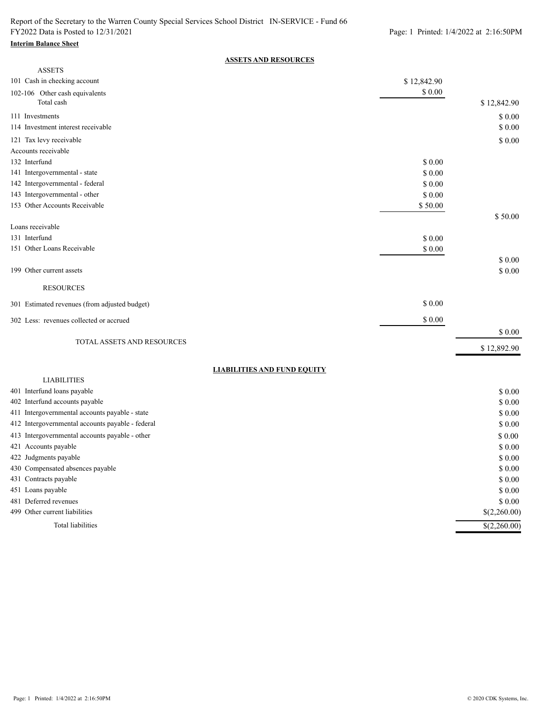#### **Interim Balance Sheet**

### **ASSETS AND RESOURCES**

| <b>ASSETS</b>                                                                    |             |                           |
|----------------------------------------------------------------------------------|-------------|---------------------------|
| 101 Cash in checking account                                                     | \$12,842.90 |                           |
| 102-106 Other cash equivalents<br>Total cash                                     | $\$$ 0.00   | \$12,842.90               |
| 111 Investments                                                                  |             | $\$$ 0.00                 |
| 114 Investment interest receivable                                               |             | \$0.00                    |
| 121 Tax levy receivable                                                          |             | \$0.00                    |
| Accounts receivable                                                              |             |                           |
| 132 Interfund                                                                    | \$ 0.00     |                           |
| 141 Intergovernmental - state                                                    | \$0.00      |                           |
| 142 Intergovernmental - federal                                                  | \$ 0.00     |                           |
| 143 Intergovernmental - other                                                    | \$0.00      |                           |
| 153 Other Accounts Receivable                                                    | \$50.00     |                           |
|                                                                                  |             | \$50.00                   |
| Loans receivable                                                                 |             |                           |
| 131 Interfund                                                                    | \$0.00      |                           |
| 151 Other Loans Receivable                                                       | $\$$ 0.00   |                           |
|                                                                                  |             | \$0.00                    |
| 199 Other current assets                                                         |             | \$0.00                    |
| <b>RESOURCES</b>                                                                 |             |                           |
| 301 Estimated revenues (from adjusted budget)                                    | \$0.00      |                           |
| 302 Less: revenues collected or accrued                                          | \$0.00      |                           |
|                                                                                  |             | \$ 0.00                   |
| TOTAL ASSETS AND RESOURCES                                                       |             | \$12,892.90               |
|                                                                                  |             |                           |
| <b>LIABILITIES AND FUND EQUITY</b>                                               |             |                           |
| <b>LIABILITIES</b>                                                               |             |                           |
| 401 Interfund loans payable                                                      |             | \$0.00                    |
| 402 Interfund accounts payable<br>411 Intergovernmental accounts payable - state |             | \$ 0.00                   |
| 412 Intergovernmental accounts payable - federal                                 |             | \$ 0.00<br>\$ 0.00        |
|                                                                                  |             |                           |
| 413 Intergovernmental accounts payable - other                                   |             | \$0.00                    |
| 421 Accounts payable                                                             |             | \$0.00                    |
| 422 Judgments payable<br>430 Compensated absences payable                        |             | \$0.00                    |
| 431 Contracts payable                                                            |             | \$ 0.00                   |
| 451 Loans payable                                                                |             | \$ 0.00<br>\$ 0.00        |
| 481 Deferred revenues                                                            |             | \$0.00                    |
| 499 Other current liabilities                                                    |             | \$(2,260.00)              |
|                                                                                  |             |                           |
| Total liabilities                                                                |             | $\overline{\$(2,260.00)}$ |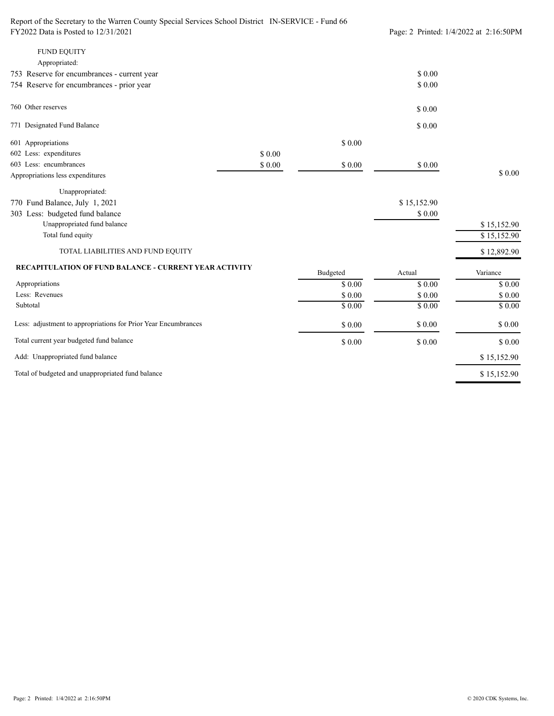| Report of the Secretary to the Warren County Special Services School District IN-SERVICE - Fund 66 |                                        |          |             |             |
|----------------------------------------------------------------------------------------------------|----------------------------------------|----------|-------------|-------------|
| FY2022 Data is Posted to 12/31/2021                                                                | Page: 2 Printed: 1/4/2022 at 2:16:50PM |          |             |             |
| <b>FUND EQUITY</b>                                                                                 |                                        |          |             |             |
| Appropriated:                                                                                      |                                        |          |             |             |
| 753 Reserve for encumbrances - current year                                                        |                                        |          | \$0.00      |             |
| 754 Reserve for encumbrances - prior year                                                          |                                        |          | \$ 0.00     |             |
| 760 Other reserves                                                                                 |                                        |          | \$0.00      |             |
| 771 Designated Fund Balance                                                                        |                                        |          | \$0.00      |             |
| 601 Appropriations                                                                                 |                                        | \$0.00   |             |             |
| 602 Less: expenditures                                                                             | \$0.00                                 |          |             |             |
| 603 Less: encumbrances                                                                             | \$0.00                                 | \$0.00   | \$0.00      |             |
| Appropriations less expenditures                                                                   |                                        |          |             | \$0.00      |
| Unappropriated:                                                                                    |                                        |          |             |             |
| 770 Fund Balance, July 1, 2021                                                                     |                                        |          | \$15,152.90 |             |
| 303 Less: budgeted fund balance                                                                    |                                        |          | \$0.00      |             |
| Unappropriated fund balance                                                                        |                                        |          |             | \$15,152.90 |
| Total fund equity                                                                                  |                                        |          |             | \$15,152.90 |
| TOTAL LIABILITIES AND FUND EQUITY                                                                  |                                        |          |             | \$12,892.90 |
| <b>RECAPITULATION OF FUND BALANCE - CURRENT YEAR ACTIVITY</b>                                      |                                        | Budgeted | Actual      | Variance    |
| Appropriations                                                                                     |                                        | \$0.00   | \$0.00      | \$0.00      |
| Less: Revenues                                                                                     |                                        | \$ 0.00  | \$0.00      | \$0.00      |
| Subtotal                                                                                           |                                        | \$0.00   | \$0.00      | \$0.00      |
| Less: adjustment to appropriations for Prior Year Encumbrances                                     |                                        | \$0.00   | $\$$ $0.00$ | \$ 0.00     |
| Total current year budgeted fund balance                                                           |                                        | \$0.00   | \$0.00      | \$0.00      |
| Add: Unappropriated fund balance                                                                   |                                        |          |             | \$15,152.90 |
| Total of budgeted and unappropriated fund balance                                                  |                                        |          |             | \$15,152.90 |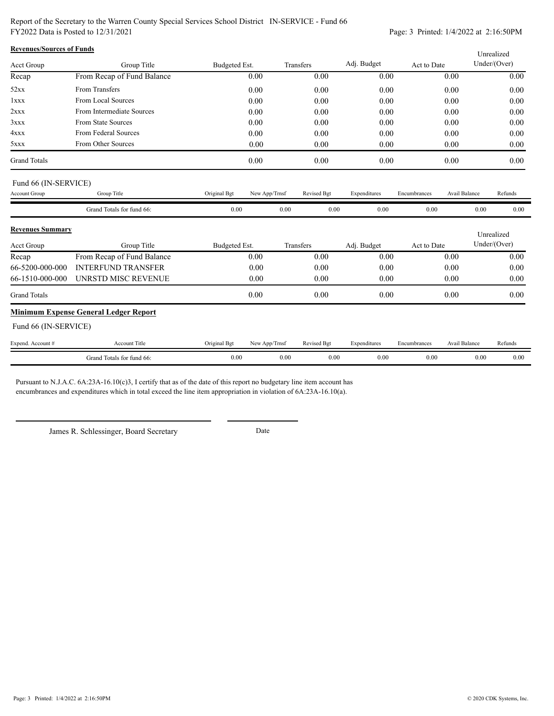Report of the Secretary to the Warren County Special Services School District IN-SERVICE - Fund 66 FY2022 Data is Posted to 12/31/2021 Page: 3 Printed: 1/4/2022 at 2:16:50PM

| <b>Revenues/Sources of Funds</b> |                                              |               |               |           |             |              |              |                      | Unrealized   |         |
|----------------------------------|----------------------------------------------|---------------|---------------|-----------|-------------|--------------|--------------|----------------------|--------------|---------|
| Acct Group                       | Group Title                                  | Budgeted Est. |               | Transfers |             | Adj. Budget  | Act to Date  |                      | Under/(Over) |         |
| Recap                            | From Recap of Fund Balance                   |               | 0.00          |           | 0.00        | 0.00         |              | 0.00                 |              | 0.00    |
| 52xx                             | From Transfers                               |               | 0.00          |           | 0.00        | 0.00         |              | 0.00                 |              | 0.00    |
| lxxx                             | From Local Sources                           |               | 0.00          |           | 0.00        | 0.00         |              | 0.00                 |              | 0.00    |
| 2xxx                             | From Intermediate Sources                    |               | 0.00          |           | 0.00        | 0.00         |              | 0.00                 |              | 0.00    |
| 3xxx                             | From State Sources                           |               | 0.00          |           | 0.00        | 0.00         |              | 0.00                 |              | 0.00    |
| 4xxx                             | From Federal Sources                         |               | 0.00          |           | 0.00        | 0.00         |              | 0.00                 |              | 0.00    |
| 5xxx                             | From Other Sources                           |               | 0.00          |           | 0.00        | 0.00         |              | 0.00                 |              | 0.00    |
| <b>Grand Totals</b>              |                                              |               | 0.00          |           | 0.00        | 0.00         |              | 0.00                 |              | 0.00    |
| Fund 66 (IN-SERVICE)             |                                              |               |               |           |             |              |              |                      |              |         |
| Account Group                    | Group Title                                  | Original Bgt  | New App/Trnsf |           | Revised Bgt | Expenditures | Encumbrances | <b>Avail Balance</b> |              | Refunds |
|                                  | Grand Totals for fund 66:                    | 0.00          |               | 0.00      | 0.00        | 0.00         | 0.00         |                      | 0.00         | 0.00    |
| <b>Revenues Summary</b>          |                                              |               |               |           |             |              |              |                      | Unrealized   |         |
| <b>Acct Group</b>                | Group Title                                  | Budgeted Est. |               | Transfers |             | Adj. Budget  | Act to Date  |                      | Under/(Over) |         |
| Recap                            | From Recap of Fund Balance                   |               | 0.00          |           | 0.00        | 0.00         |              | 0.00                 |              | 0.00    |
| 66-5200-000-000                  | <b>INTERFUND TRANSFER</b>                    |               | 0.00          |           | 0.00        | 0.00         |              | 0.00                 |              | 0.00    |
| 66-1510-000-000                  | UNRSTD MISC REVENUE                          |               | 0.00          |           | 0.00        | 0.00         |              | 0.00                 |              | 0.00    |
| <b>Grand Totals</b>              |                                              |               | 0.00          |           | 0.00        | 0.00         |              | 0.00                 |              | 0.00    |
|                                  | <b>Minimum Expense General Ledger Report</b> |               |               |           |             |              |              |                      |              |         |
| Fund 66 (IN-SERVICE)             |                                              |               |               |           |             |              |              |                      |              |         |
| Expend. Account #                | <b>Account Title</b>                         | Original Bgt  | New App/Trnsf |           | Revised Bgt | Expenditures | Encumbrances | Avail Balance        |              | Refunds |
|                                  | Grand Totals for fund 66:                    | 0.00          |               | 0.00      | 0.00        | 0.00         | 0.00         |                      | 0.00         | 0.00    |

Pursuant to N.J.A.C. 6A:23A-16.10(c)3, I certify that as of the date of this report no budgetary line item account has encumbrances and expenditures which in total exceed the line item appropriation in violation of 6A:23A-16.10(a).

James R. Schlessinger, Board Secretary Date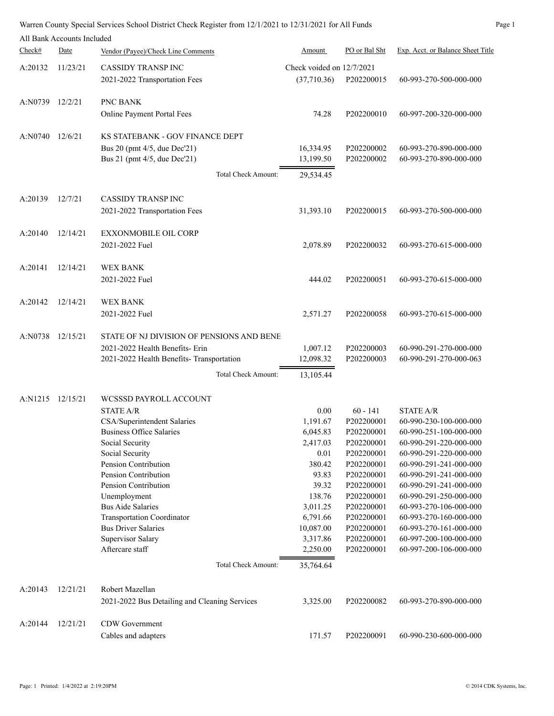|         | All Bank Accounts Included |                                                                                                                                                                                                                                                                                                                                                                                                          |                                                                                                                                                                  |                                                                                                                                                                                                  |                                                                                                                                                                                                                                                                                                                                                             |
|---------|----------------------------|----------------------------------------------------------------------------------------------------------------------------------------------------------------------------------------------------------------------------------------------------------------------------------------------------------------------------------------------------------------------------------------------------------|------------------------------------------------------------------------------------------------------------------------------------------------------------------|--------------------------------------------------------------------------------------------------------------------------------------------------------------------------------------------------|-------------------------------------------------------------------------------------------------------------------------------------------------------------------------------------------------------------------------------------------------------------------------------------------------------------------------------------------------------------|
| Check#  | Date                       | Vendor (Payee)/Check Line Comments                                                                                                                                                                                                                                                                                                                                                                       | Amount                                                                                                                                                           | PO or Bal Sht                                                                                                                                                                                    | Exp. Acct. or Balance Sheet Title                                                                                                                                                                                                                                                                                                                           |
| A:20132 | 11/23/21                   | <b>CASSIDY TRANSPINC</b><br>2021-2022 Transportation Fees                                                                                                                                                                                                                                                                                                                                                | Check voided on 12/7/2021<br>(37,710.36)                                                                                                                         | P202200015                                                                                                                                                                                       | 60-993-270-500-000-000                                                                                                                                                                                                                                                                                                                                      |
| A:N0739 | 12/2/21                    | PNC BANK<br>Online Payment Portal Fees                                                                                                                                                                                                                                                                                                                                                                   | 74.28                                                                                                                                                            | P202200010                                                                                                                                                                                       | 60-997-200-320-000-000                                                                                                                                                                                                                                                                                                                                      |
| A:N0740 | 12/6/21                    | KS STATEBANK - GOV FINANCE DEPT<br>Bus 20 (pmt 4/5, due Dec'21)<br>Bus 21 (pmt 4/5, due Dec'21)<br>Total Check Amount:                                                                                                                                                                                                                                                                                   | 16,334.95<br>13,199.50<br>29,534.45                                                                                                                              | P202200002<br>P202200002                                                                                                                                                                         | 60-993-270-890-000-000<br>60-993-270-890-000-000                                                                                                                                                                                                                                                                                                            |
|         |                            |                                                                                                                                                                                                                                                                                                                                                                                                          |                                                                                                                                                                  |                                                                                                                                                                                                  |                                                                                                                                                                                                                                                                                                                                                             |
| A:20139 | 12/7/21                    | <b>CASSIDY TRANSP INC</b><br>2021-2022 Transportation Fees                                                                                                                                                                                                                                                                                                                                               | 31,393.10                                                                                                                                                        | P202200015                                                                                                                                                                                       | 60-993-270-500-000-000                                                                                                                                                                                                                                                                                                                                      |
| A:20140 | 12/14/21                   | <b>EXXONMOBILE OIL CORP</b><br>2021-2022 Fuel                                                                                                                                                                                                                                                                                                                                                            | 2,078.89                                                                                                                                                         | P202200032                                                                                                                                                                                       | 60-993-270-615-000-000                                                                                                                                                                                                                                                                                                                                      |
| A:20141 | 12/14/21                   | WEX BANK<br>2021-2022 Fuel                                                                                                                                                                                                                                                                                                                                                                               | 444.02                                                                                                                                                           | P202200051                                                                                                                                                                                       | 60-993-270-615-000-000                                                                                                                                                                                                                                                                                                                                      |
| A:20142 | 12/14/21                   | <b>WEX BANK</b><br>2021-2022 Fuel                                                                                                                                                                                                                                                                                                                                                                        | 2,571.27                                                                                                                                                         | P202200058                                                                                                                                                                                       | 60-993-270-615-000-000                                                                                                                                                                                                                                                                                                                                      |
| A:N0738 | 12/15/21                   | STATE OF NJ DIVISION OF PENSIONS AND BENE<br>2021-2022 Health Benefits- Erin<br>2021-2022 Health Benefits- Transportation                                                                                                                                                                                                                                                                                | 1,007.12<br>12,098.32                                                                                                                                            | P202200003<br>P202200003                                                                                                                                                                         | 60-990-291-270-000-000<br>60-990-291-270-000-063                                                                                                                                                                                                                                                                                                            |
|         |                            | Total Check Amount:                                                                                                                                                                                                                                                                                                                                                                                      | 13,105.44                                                                                                                                                        |                                                                                                                                                                                                  |                                                                                                                                                                                                                                                                                                                                                             |
| A:N1215 | 12/15/21                   | WCSSSD PAYROLL ACCOUNT<br><b>STATE A/R</b><br>CSA/Superintendent Salaries<br><b>Business Office Salaries</b><br>Social Security<br>Social Security<br>Pension Contribution<br>Pension Contribution<br>Pension Contribution<br>Unemployment<br><b>Bus Aide Salaries</b><br><b>Transportation Coordinator</b><br><b>Bus Driver Salaries</b><br>Supervisor Salary<br>Aftercare staff<br>Total Check Amount: | 0.00<br>1,191.67<br>6,045.83<br>2,417.03<br>0.01<br>380.42<br>93.83<br>39.32<br>138.76<br>3,011.25<br>6,791.66<br>10,087.00<br>3,317.86<br>2,250.00<br>35,764.64 | $60 - 141$<br>P202200001<br>P202200001<br>P202200001<br>P202200001<br>P202200001<br>P202200001<br>P202200001<br>P202200001<br>P202200001<br>P202200001<br>P202200001<br>P202200001<br>P202200001 | STATE A/R<br>60-990-230-100-000-000<br>60-990-251-100-000-000<br>60-990-291-220-000-000<br>60-990-291-220-000-000<br>60-990-291-241-000-000<br>60-990-291-241-000-000<br>60-990-291-241-000-000<br>60-990-291-250-000-000<br>60-993-270-106-000-000<br>60-993-270-160-000-000<br>60-993-270-161-000-000<br>60-997-200-100-000-000<br>60-997-200-106-000-000 |
| A:20143 | 12/21/21                   | Robert Mazellan<br>2021-2022 Bus Detailing and Cleaning Services                                                                                                                                                                                                                                                                                                                                         | 3,325.00                                                                                                                                                         | P202200082                                                                                                                                                                                       | 60-993-270-890-000-000                                                                                                                                                                                                                                                                                                                                      |
| A:20144 | 12/21/21                   | CDW Government<br>Cables and adapters                                                                                                                                                                                                                                                                                                                                                                    | 171.57                                                                                                                                                           | P202200091                                                                                                                                                                                       | 60-990-230-600-000-000                                                                                                                                                                                                                                                                                                                                      |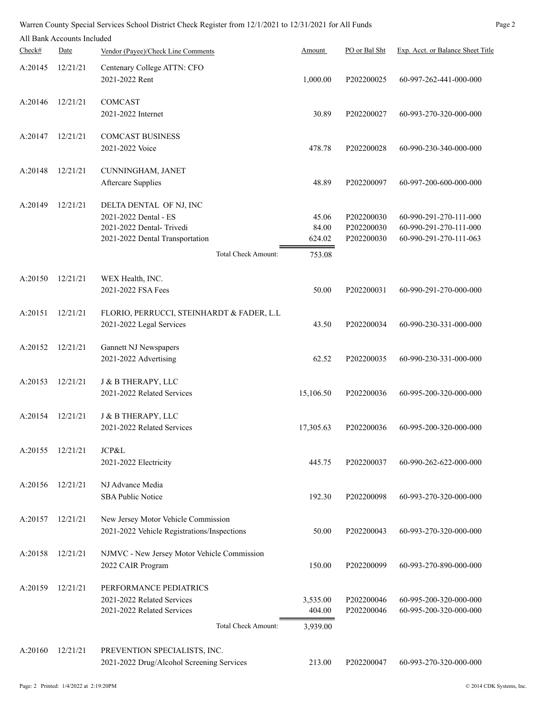|         | All Bank Accounts Included |                                                                                                                                        |                                    |                                        |                                                                            |
|---------|----------------------------|----------------------------------------------------------------------------------------------------------------------------------------|------------------------------------|----------------------------------------|----------------------------------------------------------------------------|
| Check#  | Date                       | Vendor (Payee)/Check Line Comments                                                                                                     | Amount                             | PO or Bal Sht                          | Exp. Acct. or Balance Sheet Title                                          |
| A:20145 | 12/21/21                   | Centenary College ATTN: CFO<br>2021-2022 Rent                                                                                          | 1,000.00                           | P202200025                             | 60-997-262-441-000-000                                                     |
| A:20146 | 12/21/21                   | COMCAST<br>2021-2022 Internet                                                                                                          | 30.89                              | P202200027                             | 60-993-270-320-000-000                                                     |
| A:20147 | 12/21/21                   | <b>COMCAST BUSINESS</b><br>2021-2022 Voice                                                                                             | 478.78                             | P202200028                             | 60-990-230-340-000-000                                                     |
| A:20148 | 12/21/21                   | CUNNINGHAM, JANET<br><b>Aftercare Supplies</b>                                                                                         | 48.89                              | P202200097                             | 60-997-200-600-000-000                                                     |
| A:20149 | 12/21/21                   | DELTA DENTAL OF NJ, INC<br>2021-2022 Dental - ES<br>2021-2022 Dental-Trivedi<br>2021-2022 Dental Transportation<br>Total Check Amount: | 45.06<br>84.00<br>624.02<br>753.08 | P202200030<br>P202200030<br>P202200030 | 60-990-291-270-111-000<br>60-990-291-270-111-000<br>60-990-291-270-111-063 |
|         |                            |                                                                                                                                        |                                    |                                        |                                                                            |
| A:20150 | 12/21/21                   | WEX Health, INC.<br>2021-2022 FSA Fees                                                                                                 | 50.00                              | P202200031                             | 60-990-291-270-000-000                                                     |
| A:20151 | 12/21/21                   | FLORIO, PERRUCCI, STEINHARDT & FADER, L.L<br>2021-2022 Legal Services                                                                  | 43.50                              | P202200034                             | 60-990-230-331-000-000                                                     |
| A:20152 | 12/21/21                   | Gannett NJ Newspapers<br>2021-2022 Advertising                                                                                         | 62.52                              | P202200035                             | 60-990-230-331-000-000                                                     |
| A:20153 | 12/21/21                   | J & B THERAPY, LLC<br>2021-2022 Related Services                                                                                       | 15,106.50                          | P202200036                             | 60-995-200-320-000-000                                                     |
| A:20154 | 12/21/21                   | <b>J &amp; B THERAPY, LLC</b><br>2021-2022 Related Services                                                                            | 17,305.63                          | P202200036                             | 60-995-200-320-000-000                                                     |
| A:20155 | 12/21/21                   | JCP&L<br>2021-2022 Electricity                                                                                                         | 445.75                             | P202200037                             | 60-990-262-622-000-000                                                     |
| A:20156 | 12/21/21                   | NJ Advance Media<br><b>SBA Public Notice</b>                                                                                           | 192.30                             | P202200098                             | 60-993-270-320-000-000                                                     |
| A:20157 | 12/21/21                   | New Jersey Motor Vehicle Commission<br>2021-2022 Vehicle Registrations/Inspections                                                     | 50.00                              | P202200043                             | 60-993-270-320-000-000                                                     |
| A:20158 | 12/21/21                   | NJMVC - New Jersey Motor Vehicle Commission<br>2022 CAIR Program                                                                       | 150.00                             | P202200099                             | 60-993-270-890-000-000                                                     |
| A:20159 | 12/21/21                   | PERFORMANCE PEDIATRICS<br>2021-2022 Related Services<br>2021-2022 Related Services<br>Total Check Amount:                              | 3,535.00<br>404.00<br>3,939.00     | P202200046<br>P202200046               | 60-995-200-320-000-000<br>60-995-200-320-000-000                           |
|         |                            |                                                                                                                                        |                                    |                                        |                                                                            |
| A:20160 | 12/21/21                   | PREVENTION SPECIALISTS, INC.<br>2021-2022 Drug/Alcohol Screening Services                                                              | 213.00                             | P202200047                             | 60-993-270-320-000-000                                                     |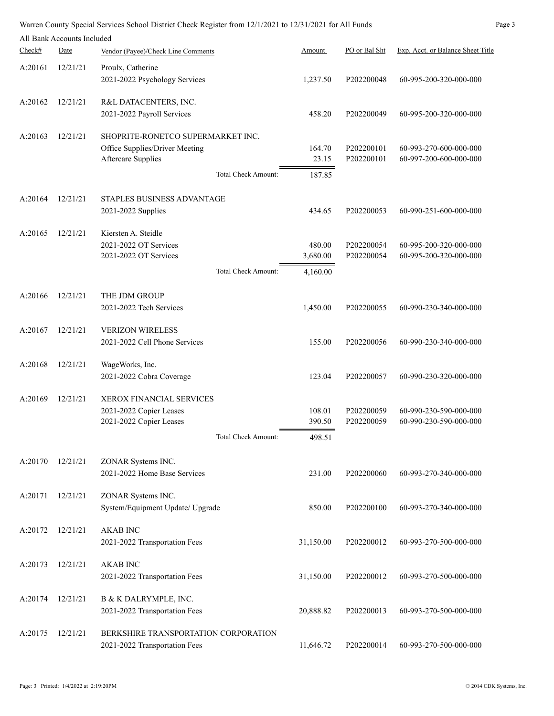|         |                            | Warren County Special Services School District Check Register from 12/1/2021 to 12/31/2021 for All Funds |                            |           |               | Page 3                            |
|---------|----------------------------|----------------------------------------------------------------------------------------------------------|----------------------------|-----------|---------------|-----------------------------------|
|         | All Bank Accounts Included |                                                                                                          |                            |           |               |                                   |
| Check#  | Date                       | Vendor (Payee)/Check Line Comments                                                                       |                            | Amount    | PO or Bal Sht | Exp. Acct. or Balance Sheet Title |
| A:20161 | 12/21/21                   | Proulx, Catherine                                                                                        |                            |           |               |                                   |
|         |                            | 2021-2022 Psychology Services                                                                            |                            | 1,237.50  | P202200048    | 60-995-200-320-000-000            |
|         |                            |                                                                                                          |                            |           |               |                                   |
| A:20162 | 12/21/21                   | R&L DATACENTERS, INC.                                                                                    |                            |           |               |                                   |
|         |                            | 2021-2022 Payroll Services                                                                               |                            | 458.20    | P202200049    | 60-995-200-320-000-000            |
|         |                            |                                                                                                          |                            |           |               |                                   |
| A:20163 | 12/21/21                   | SHOPRITE-RONETCO SUPERMARKET INC.<br>Office Supplies/Driver Meeting                                      |                            | 164.70    | P202200101    | 60-993-270-600-000-000            |
|         |                            | <b>Aftercare Supplies</b>                                                                                |                            | 23.15     | P202200101    | 60-997-200-600-000-000            |
|         |                            |                                                                                                          | <b>Total Check Amount:</b> |           |               |                                   |
|         |                            |                                                                                                          |                            | 187.85    |               |                                   |
| A:20164 | 12/21/21                   | STAPLES BUSINESS ADVANTAGE                                                                               |                            |           |               |                                   |
|         |                            | 2021-2022 Supplies                                                                                       |                            | 434.65    | P202200053    | 60-990-251-600-000-000            |
|         |                            |                                                                                                          |                            |           |               |                                   |
| A:20165 | 12/21/21                   | Kiersten A. Steidle                                                                                      |                            |           |               |                                   |
|         |                            | 2021-2022 OT Services                                                                                    |                            | 480.00    | P202200054    | 60-995-200-320-000-000            |
|         |                            | 2021-2022 OT Services                                                                                    |                            | 3,680.00  | P202200054    | 60-995-200-320-000-000            |
|         |                            |                                                                                                          | <b>Total Check Amount:</b> | 4,160.00  |               |                                   |
|         |                            |                                                                                                          |                            |           |               |                                   |
| A:20166 | 12/21/21                   | THE JDM GROUP                                                                                            |                            |           |               |                                   |
|         |                            | 2021-2022 Tech Services                                                                                  |                            | 1,450.00  | P202200055    | 60-990-230-340-000-000            |
| A:20167 | 12/21/21                   | <b>VERIZON WIRELESS</b>                                                                                  |                            |           |               |                                   |
|         |                            | 2021-2022 Cell Phone Services                                                                            |                            | 155.00    | P202200056    | 60-990-230-340-000-000            |
|         |                            |                                                                                                          |                            |           |               |                                   |
| A:20168 | 12/21/21                   | WageWorks, Inc.                                                                                          |                            |           |               |                                   |
|         |                            | 2021-2022 Cobra Coverage                                                                                 |                            | 123.04    | P202200057    | 60-990-230-320-000-000            |
|         |                            |                                                                                                          |                            |           |               |                                   |
| A:20169 | 12/21/21                   | <b>XEROX FINANCIAL SERVICES</b><br>2021-2022 Copier Leases                                               |                            | 108.01    | P202200059    | 60-990-230-590-000-000            |
|         |                            | 2021-2022 Copier Leases                                                                                  |                            | 390.50    | P202200059    | 60-990-230-590-000-000            |
|         |                            |                                                                                                          | <b>Total Check Amount:</b> | 498.51    |               |                                   |
|         |                            |                                                                                                          |                            |           |               |                                   |
| A:20170 | 12/21/21                   | ZONAR Systems INC.                                                                                       |                            |           |               |                                   |
|         |                            | 2021-2022 Home Base Services                                                                             |                            | 231.00    | P202200060    | 60-993-270-340-000-000            |
|         |                            |                                                                                                          |                            |           |               |                                   |
| A:20171 | 12/21/21                   | ZONAR Systems INC.                                                                                       |                            |           |               |                                   |
|         |                            | System/Equipment Update/ Upgrade                                                                         |                            | 850.00    | P202200100    | 60-993-270-340-000-000            |
|         |                            |                                                                                                          |                            |           |               |                                   |
| A:20172 | 12/21/21                   | <b>AKAB INC</b><br>2021-2022 Transportation Fees                                                         |                            | 31,150.00 | P202200012    | 60-993-270-500-000-000            |
|         |                            |                                                                                                          |                            |           |               |                                   |
| A:20173 | 12/21/21                   | <b>AKAB INC</b>                                                                                          |                            |           |               |                                   |
|         |                            | 2021-2022 Transportation Fees                                                                            |                            | 31,150.00 | P202200012    | 60-993-270-500-000-000            |
|         |                            |                                                                                                          |                            |           |               |                                   |
| A:20174 | 12/21/21                   | <b>B &amp; K DALRYMPLE, INC.</b>                                                                         |                            |           |               |                                   |
|         |                            | 2021-2022 Transportation Fees                                                                            |                            | 20,888.82 | P202200013    | 60-993-270-500-000-000            |
| A:20175 | 12/21/21                   | BERKSHIRE TRANSPORTATION CORPORATION                                                                     |                            |           |               |                                   |
|         |                            | 2021-2022 Transportation Fees                                                                            |                            | 11,646.72 | P202200014    | 60-993-270-500-000-000            |
|         |                            |                                                                                                          |                            |           |               |                                   |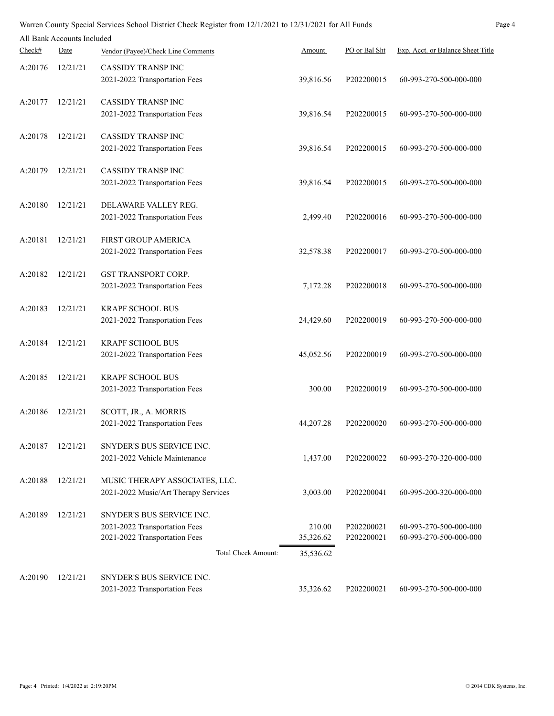| Page 4<br>Warren County Special Services School District Check Register from 12/1/2021 to 12/31/2021 for All Funds |                            |                                                                |                     |                          |                                                  |  |
|--------------------------------------------------------------------------------------------------------------------|----------------------------|----------------------------------------------------------------|---------------------|--------------------------|--------------------------------------------------|--|
|                                                                                                                    | All Bank Accounts Included |                                                                |                     |                          |                                                  |  |
| Check#                                                                                                             | Date                       | Vendor (Payee)/Check Line Comments                             | Amount              | PO or Bal Sht            | Exp. Acct. or Balance Sheet Title                |  |
| A:20176                                                                                                            | 12/21/21                   | <b>CASSIDY TRANSP INC</b>                                      |                     |                          |                                                  |  |
|                                                                                                                    |                            | 2021-2022 Transportation Fees                                  | 39,816.56           | P202200015               | 60-993-270-500-000-000                           |  |
| A:20177                                                                                                            | 12/21/21                   | <b>CASSIDY TRANSP INC</b>                                      |                     |                          |                                                  |  |
|                                                                                                                    |                            | 2021-2022 Transportation Fees                                  | 39,816.54           | P202200015               | 60-993-270-500-000-000                           |  |
| A:20178                                                                                                            | 12/21/21                   | <b>CASSIDY TRANSPINC</b>                                       |                     |                          |                                                  |  |
|                                                                                                                    |                            | 2021-2022 Transportation Fees                                  | 39,816.54           | P202200015               | 60-993-270-500-000-000                           |  |
| A:20179                                                                                                            | 12/21/21                   | <b>CASSIDY TRANSP INC</b>                                      |                     |                          |                                                  |  |
|                                                                                                                    |                            | 2021-2022 Transportation Fees                                  | 39,816.54           | P202200015               | 60-993-270-500-000-000                           |  |
| A:20180                                                                                                            | 12/21/21                   | DELAWARE VALLEY REG.                                           |                     |                          |                                                  |  |
|                                                                                                                    |                            | 2021-2022 Transportation Fees                                  | 2,499.40            | P202200016               | 60-993-270-500-000-000                           |  |
| A:20181                                                                                                            | 12/21/21                   | FIRST GROUP AMERICA                                            |                     |                          |                                                  |  |
|                                                                                                                    |                            | 2021-2022 Transportation Fees                                  | 32,578.38           | P202200017               | 60-993-270-500-000-000                           |  |
| A:20182                                                                                                            | 12/21/21                   | <b>GST TRANSPORT CORP.</b>                                     |                     |                          |                                                  |  |
|                                                                                                                    |                            | 2021-2022 Transportation Fees                                  | 7,172.28            | P202200018               | 60-993-270-500-000-000                           |  |
| A:20183                                                                                                            | 12/21/21                   | <b>KRAPF SCHOOL BUS</b>                                        |                     |                          |                                                  |  |
|                                                                                                                    |                            | 2021-2022 Transportation Fees                                  | 24,429.60           | P202200019               | 60-993-270-500-000-000                           |  |
| A:20184                                                                                                            | 12/21/21                   | <b>KRAPF SCHOOL BUS</b>                                        |                     |                          |                                                  |  |
|                                                                                                                    |                            | 2021-2022 Transportation Fees                                  | 45,052.56           | P202200019               | 60-993-270-500-000-000                           |  |
| A:20185                                                                                                            | 12/21/21                   | <b>KRAPF SCHOOL BUS</b>                                        |                     |                          |                                                  |  |
|                                                                                                                    |                            | 2021-2022 Transportation Fees                                  | 300.00              | P202200019               | 60-993-270-500-000-000                           |  |
| A:20186                                                                                                            | 12/21/21                   | SCOTT, JR., A. MORRIS                                          |                     |                          |                                                  |  |
|                                                                                                                    |                            | 2021-2022 Transportation Fees                                  | 44,207.28           | P202200020               | 60-993-270-500-000-000                           |  |
| A:20187                                                                                                            | 12/21/21                   | SNYDER'S BUS SERVICE INC.                                      |                     |                          |                                                  |  |
|                                                                                                                    |                            | 2021-2022 Vehicle Maintenance                                  | 1,437.00            | P202200022               | 60-993-270-320-000-000                           |  |
| A:20188                                                                                                            | 12/21/21                   | MUSIC THERAPY ASSOCIATES, LLC.                                 |                     |                          |                                                  |  |
|                                                                                                                    |                            | 2021-2022 Music/Art Therapy Services                           | 3,003.00            | P202200041               | 60-995-200-320-000-000                           |  |
| A:20189                                                                                                            | 12/21/21                   | SNYDER'S BUS SERVICE INC.                                      |                     |                          |                                                  |  |
|                                                                                                                    |                            | 2021-2022 Transportation Fees<br>2021-2022 Transportation Fees | 210.00<br>35,326.62 | P202200021<br>P202200021 | 60-993-270-500-000-000<br>60-993-270-500-000-000 |  |
|                                                                                                                    |                            | Total Check Amount:                                            |                     |                          |                                                  |  |
|                                                                                                                    |                            |                                                                | 35,536.62           |                          |                                                  |  |
| A:20190                                                                                                            | 12/21/21                   | SNYDER'S BUS SERVICE INC.                                      |                     |                          |                                                  |  |
|                                                                                                                    |                            | 2021-2022 Transportation Fees                                  | 35,326.62           | P202200021               | 60-993-270-500-000-000                           |  |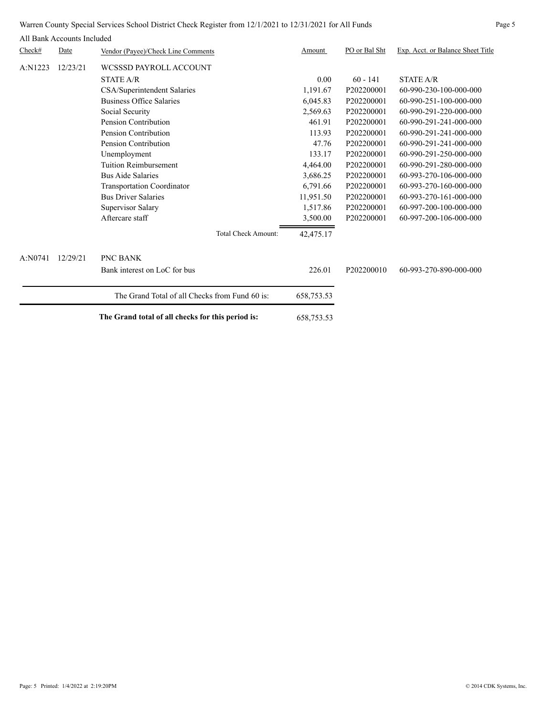Warren County Special Services School District Check Register from 12/1/2021 to 12/31/2021 for All Funds Page 5

| Check#  | ли папк десецию пецией<br>Date | Vendor (Payee)/Check Line Comments                | Amount     | PO or Bal Sht | Exp. Acct. or Balance Sheet Title |
|---------|--------------------------------|---------------------------------------------------|------------|---------------|-----------------------------------|
| A:N1223 | 12/23/21                       | WCSSSD PAYROLL ACCOUNT                            |            |               |                                   |
|         |                                | <b>STATE A/R</b>                                  | 0.00       | $60 - 141$    | <b>STATE A/R</b>                  |
|         |                                | CSA/Superintendent Salaries                       | 1,191.67   | P202200001    | 60-990-230-100-000-000            |
|         |                                | Business Office Salaries                          | 6,045.83   | P202200001    | 60-990-251-100-000-000            |
|         |                                | Social Security                                   | 2,569.63   | P202200001    | 60-990-291-220-000-000            |
|         |                                | Pension Contribution                              | 461.91     | P202200001    | 60-990-291-241-000-000            |
|         |                                | Pension Contribution                              | 113.93     | P202200001    | 60-990-291-241-000-000            |
|         |                                | Pension Contribution                              | 47.76      | P202200001    | 60-990-291-241-000-000            |
|         |                                | Unemployment                                      | 133.17     | P202200001    | 60-990-291-250-000-000            |
|         |                                | Tuition Reimbursement                             | 4,464.00   | P202200001    | 60-990-291-280-000-000            |
|         |                                | <b>Bus Aide Salaries</b>                          | 3,686.25   | P202200001    | 60-993-270-106-000-000            |
|         |                                | <b>Transportation Coordinator</b>                 | 6,791.66   | P202200001    | 60-993-270-160-000-000            |
|         |                                | <b>Bus Driver Salaries</b>                        | 11,951.50  | P202200001    | 60-993-270-161-000-000            |
|         |                                | Supervisor Salary                                 | 1,517.86   | P202200001    | 60-997-200-100-000-000            |
|         |                                | Aftercare staff                                   | 3,500.00   | P202200001    | 60-997-200-106-000-000            |
|         |                                | <b>Total Check Amount:</b>                        | 42,475.17  |               |                                   |
| A:N0741 | 12/29/21                       | PNC BANK                                          |            |               |                                   |
|         |                                | Bank interest on LoC for bus                      | 226.01     | P202200010    | 60-993-270-890-000-000            |
|         |                                | The Grand Total of all Checks from Fund 60 is:    | 658,753.53 |               |                                   |
|         |                                | The Grand total of all checks for this period is: | 658,753.53 |               |                                   |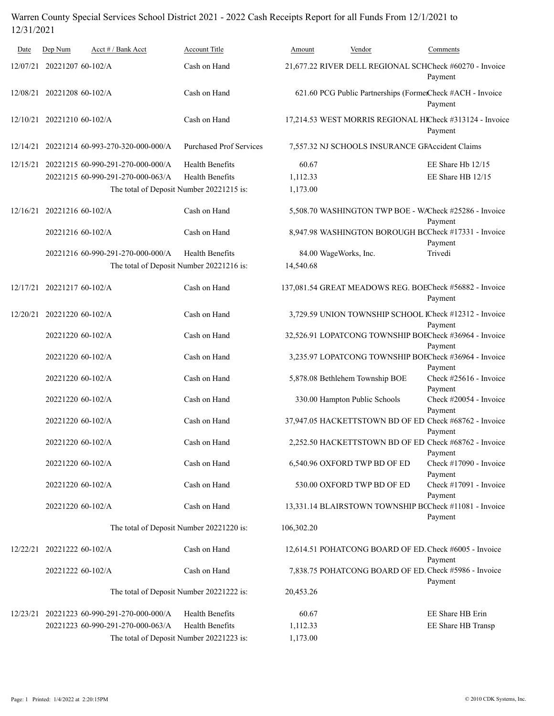## Warren County Special Services School District 2021 - 2022 Cash Receipts Report for all Funds From 12/1/2021 to 12/31/2021

| Date     | Dep Num                                  | Acct # / Bank Acct                                    | Account Title                  | Amount     | Vendor                                          | Comments                                                              |  |  |
|----------|------------------------------------------|-------------------------------------------------------|--------------------------------|------------|-------------------------------------------------|-----------------------------------------------------------------------|--|--|
| 12/07/21 | 20221207 60-102/A                        |                                                       | Cash on Hand                   |            |                                                 | 21,677.22 RIVER DELL REGIONAL SCHCheck #60270 - Invoice<br>Payment    |  |  |
| 12/08/21 | 20221208 60-102/A                        |                                                       | Cash on Hand                   |            |                                                 | 621.60 PCG Public Partnerships (FormerCheck #ACH - Invoice<br>Payment |  |  |
| 12/10/21 | 20221210 60-102/A                        |                                                       | Cash on Hand                   |            |                                                 | 17,214.53 WEST MORRIS REGIONAL HICheck #313124 - Invoice<br>Payment   |  |  |
| 12/14/21 |                                          | 20221214 60-993-270-320-000-000/A                     | <b>Purchased Prof Services</b> |            | 7,557.32 NJ SCHOOLS INSURANCE GRAccident Claims |                                                                       |  |  |
| 12/15/21 |                                          | 20221215 60-990-291-270-000-000/A                     | <b>Health Benefits</b>         | 60.67      |                                                 | EE Share Hb 12/15                                                     |  |  |
|          |                                          | 20221215 60-990-291-270-000-063/A                     | <b>Health Benefits</b>         | 1,112.33   |                                                 | EE Share HB 12/15                                                     |  |  |
|          |                                          | The total of Deposit Number 20221215 is:              |                                | 1,173.00   |                                                 |                                                                       |  |  |
| 12/16/21 | 20221216 60-102/A                        |                                                       | Cash on Hand                   |            |                                                 | 5,508.70 WASHINGTON TWP BOE - WACheck #25286 - Invoice<br>Payment     |  |  |
|          | 20221216 60-102/A                        |                                                       | Cash on Hand                   |            |                                                 | 8,947.98 WASHINGTON BOROUGH BCCheck #17331 - Invoice<br>Payment       |  |  |
|          |                                          | 20221216 60-990-291-270-000-000/A                     | <b>Health Benefits</b>         |            | 84.00 WageWorks, Inc.                           | Trivedi                                                               |  |  |
|          |                                          | The total of Deposit Number 20221216 is:<br>14,540.68 |                                |            |                                                 |                                                                       |  |  |
|          | 12/17/21 20221217 60-102/A               |                                                       | Cash on Hand                   |            |                                                 | 137,081.54 GREAT MEADOWS REG. BOECheck #56882 - Invoice<br>Payment    |  |  |
| 12/20/21 | 20221220 60-102/A                        |                                                       | Cash on Hand                   |            |                                                 | 3,729.59 UNION TOWNSHIP SCHOOL ICheck #12312 - Invoice<br>Payment     |  |  |
|          | 20221220 60-102/A                        |                                                       | Cash on Hand                   |            |                                                 | 32,526.91 LOPATCONG TOWNSHIP BOECheck #36964 - Invoice<br>Payment     |  |  |
|          | 20221220 60-102/A                        |                                                       | Cash on Hand                   |            |                                                 | 3,235.97 LOPATCONG TOWNSHIP BOECheck #36964 - Invoice<br>Payment      |  |  |
|          | 20221220 60-102/A                        |                                                       | Cash on Hand                   |            | 5,878.08 Bethlehem Township BOE                 | Check #25616 - Invoice<br>Payment                                     |  |  |
|          | 20221220 60-102/A                        |                                                       | Cash on Hand                   |            | 330.00 Hampton Public Schools                   | Check #20054 - Invoice<br>Payment                                     |  |  |
|          | 20221220 60-102/A                        |                                                       | Cash on Hand                   |            |                                                 | 37,947.05 HACKETTSTOWN BD OF ED Check #68762 - Invoice<br>Payment     |  |  |
|          | 20221220 60-102/A                        |                                                       | Cash on Hand                   |            |                                                 | 2,252.50 HACKETTSTOWN BD OF ED Check #68762 - Invoice<br>Payment      |  |  |
|          | 20221220 60-102/A                        |                                                       | Cash on Hand                   |            | 6,540.96 OXFORD TWP BD OF ED                    | Check #17090 - Invoice<br>Payment                                     |  |  |
|          | 20221220 60-102/A                        |                                                       | Cash on Hand                   |            | 530.00 OXFORD TWP BD OF ED                      | Check #17091 - Invoice<br>Payment                                     |  |  |
|          | 20221220 60-102/A                        |                                                       | Cash on Hand                   |            |                                                 | 13,331.14 BLAIRSTOWN TOWNSHIP BCCheck #11081 - Invoice<br>Payment     |  |  |
|          | The total of Deposit Number 20221220 is: |                                                       |                                | 106,302.20 |                                                 |                                                                       |  |  |
| 12/22/21 | 20221222 60-102/A                        |                                                       | Cash on Hand                   |            |                                                 | 12,614.51 POHATCONG BOARD OF ED. Check #6005 - Invoice<br>Payment     |  |  |
|          | 20221222 60-102/A                        |                                                       | Cash on Hand                   |            |                                                 | 7,838.75 POHATCONG BOARD OF ED. Check #5986 - Invoice<br>Payment      |  |  |
|          |                                          | The total of Deposit Number 20221222 is:              |                                | 20,453.26  |                                                 |                                                                       |  |  |
| 12/23/21 |                                          | 20221223 60-990-291-270-000-000/A                     | <b>Health Benefits</b>         | 60.67      |                                                 | EE Share HB Erin                                                      |  |  |
|          |                                          | 20221223 60-990-291-270-000-063/A                     | <b>Health Benefits</b>         | 1,112.33   |                                                 | EE Share HB Transp                                                    |  |  |
|          |                                          | The total of Deposit Number 20221223 is:              |                                | 1,173.00   |                                                 |                                                                       |  |  |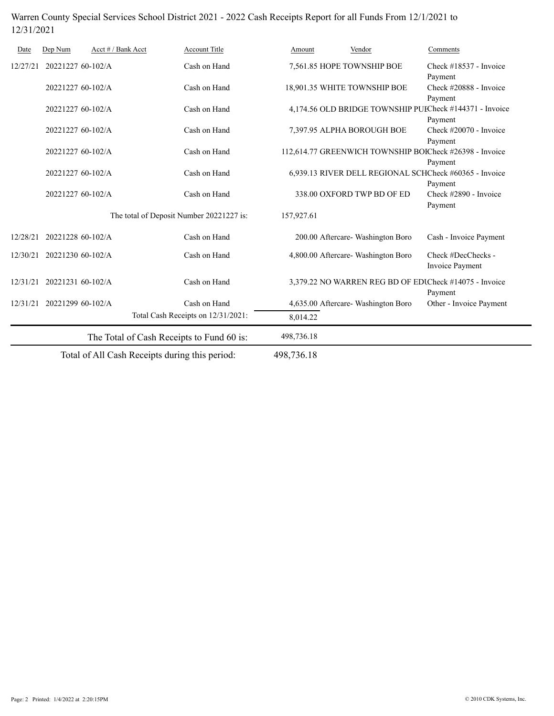## Warren County Special Services School District 2021 - 2022 Cash Receipts Report for all Funds From 12/1/2021 to 12/31/2021

| Date     | Dep Num                                  | Acct # / Bank Acct | Account Title                                  | Amount     | Vendor                                                  | Comments                                                |  |  |
|----------|------------------------------------------|--------------------|------------------------------------------------|------------|---------------------------------------------------------|---------------------------------------------------------|--|--|
| 12/27/21 | 20221227 60-102/A                        |                    | Cash on Hand                                   |            | 7,561.85 HOPE TOWNSHIP BOE                              | Check #18537 - Invoice                                  |  |  |
|          | 20221227 60-102/A                        |                    | Cash on Hand                                   |            | 18,901.35 WHITE TOWNSHIP BOE                            | Payment<br>Check #20888 - Invoice<br>Payment            |  |  |
|          | 20221227 60-102/A                        |                    | Cash on Hand                                   |            | 4,174.56 OLD BRIDGE TOWNSHIP PUECheck #144371 - Invoice |                                                         |  |  |
|          | 20221227 60-102/A                        |                    | Cash on Hand                                   |            | 7,397.95 ALPHA BOROUGH BOE                              | Payment<br>Check #20070 - Invoice<br>Payment            |  |  |
|          | 20221227 60-102/A                        |                    | Cash on Hand                                   |            |                                                         | 112,614.77 GREENWICH TOWNSHIP BOJCheck #26398 - Invoice |  |  |
|          | 20221227 60-102/A                        |                    | Cash on Hand                                   |            | 6,939.13 RIVER DELL REGIONAL SCHCheck #60365 - Invoice  | Payment                                                 |  |  |
|          | 20221227 60-102/A                        |                    | Cash on Hand                                   |            | 338.00 OXFORD TWP BD OF ED                              | Payment<br>Check #2890 - Invoice<br>Payment             |  |  |
|          | The total of Deposit Number 20221227 is: |                    |                                                | 157,927.61 |                                                         |                                                         |  |  |
| 12/28/21 | 20221228 60-102/A                        |                    | Cash on Hand                                   |            | 200.00 Aftercare- Washington Boro                       | Cash - Invoice Payment                                  |  |  |
| 12/30/21 | 20221230 60-102/A                        |                    | Cash on Hand                                   |            | 4,800.00 Aftercare- Washington Boro                     | Check #DecChecks -<br>Invoice Payment                   |  |  |
| 12/31/21 | 20221231 60-102/A                        |                    | Cash on Hand                                   |            | 3,379.22 NO WARREN REG BD OF EDICheck #14075 - Invoice  | Payment                                                 |  |  |
| 12/31/21 | 20221299 60-102/A                        |                    | Cash on Hand                                   |            | 4,635.00 Aftercare- Washington Boro                     | Other - Invoice Payment                                 |  |  |
|          |                                          |                    | Total Cash Receipts on 12/31/2021:             | 8,014.22   |                                                         |                                                         |  |  |
|          |                                          |                    | The Total of Cash Receipts to Fund 60 is:      | 498,736.18 |                                                         |                                                         |  |  |
|          |                                          |                    | Total of All Cash Receipts during this period: | 498,736.18 |                                                         |                                                         |  |  |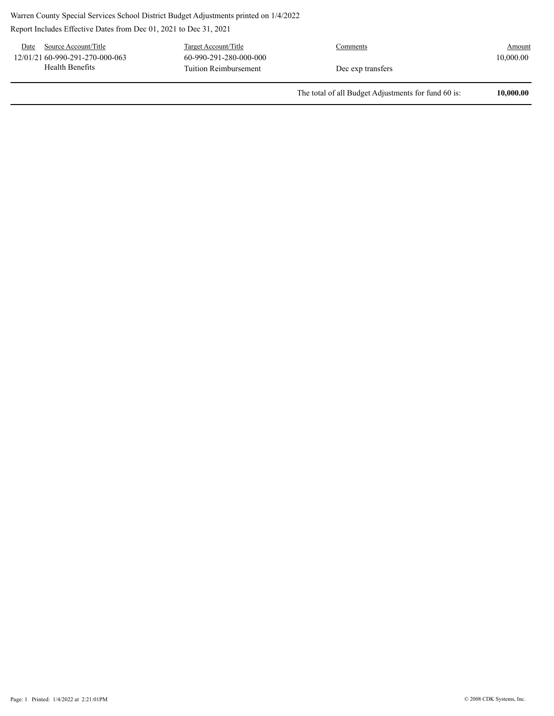Warren County Special Services School District Budget Adjustments printed on 1/4/2022

Report Includes Effective Dates from Dec 01, 2021 to Dec 31, 2021

Date Source Account/Title Target Account/Title Comments Comments Tuition Reimbursement 60-990-291-280-000-000 10,000.00 Health Benefits 12/01/21 60-990-291-270-000-063 Dec exp transfers

The total of all Budget Adjustments for fund 60 is: **10,000.00**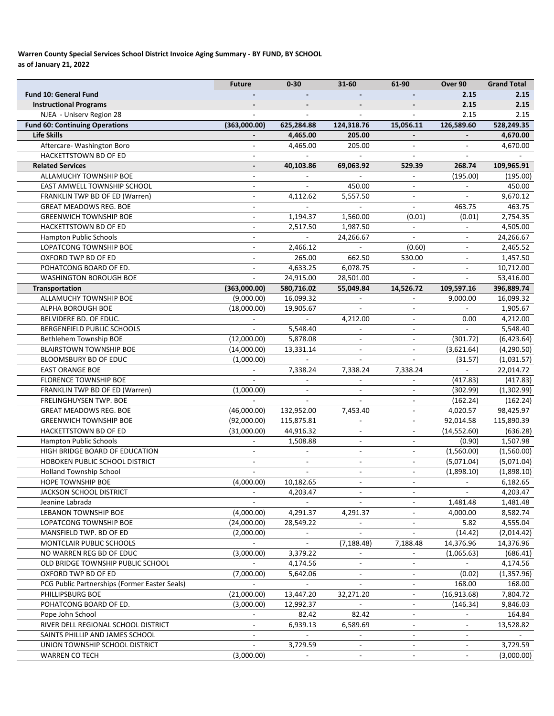### **Warren County Special Services School District Invoice Aging Summary ‐ BY FUND, BY SCHOOL as of January 21, 2022**

|                                               | <b>Future</b>            | $0 - 30$                    | 31-60                    | 61-90                    | Over 90                  | <b>Grand Total</b> |
|-----------------------------------------------|--------------------------|-----------------------------|--------------------------|--------------------------|--------------------------|--------------------|
| <b>Fund 10: General Fund</b>                  |                          |                             |                          |                          | 2.15                     | 2.15               |
| <b>Instructional Programs</b>                 |                          |                             |                          |                          | 2.15                     | 2.15               |
| NJEA - Uniserv Region 28                      |                          |                             |                          |                          | 2.15                     | 2.15               |
| <b>Fund 60: Continuing Operations</b>         | (363,000.00)             | 625,284.88                  | 124,318.76               | 15,056.11                | 126,589.60               | 528,249.35         |
| <b>Life Skills</b>                            |                          | 4,465.00                    | 205.00                   |                          |                          | 4,670.00           |
| Aftercare- Washington Boro                    |                          | 4,465.00                    | 205.00                   |                          |                          | 4,670.00           |
| HACKETTSTOWN BD OF ED                         | $\overline{a}$           |                             |                          | $\mathbf{r}$             | $\overline{a}$           |                    |
| <b>Related Services</b>                       | $\overline{\phantom{a}}$ | 40,103.86                   | 69,063.92                | 529.39                   | 268.74                   | 109,965.91         |
| ALLAMUCHY TOWNSHIP BOE                        | $\overline{a}$           |                             |                          | $\overline{a}$           | (195.00)                 | (195.00)           |
| EAST AMWELL TOWNSHIP SCHOOL                   | $\overline{\phantom{a}}$ |                             | 450.00                   | $\overline{\phantom{a}}$ |                          | 450.00             |
| FRANKLIN TWP BD OF ED (Warren)                | $\overline{a}$           | 4,112.62                    | 5,557.50                 | $\overline{a}$           |                          | 9,670.12           |
| <b>GREAT MEADOWS REG. BOE</b>                 | $\overline{\phantom{a}}$ |                             |                          | $\overline{\phantom{a}}$ | 463.75                   | 463.75             |
| <b>GREENWICH TOWNSHIP BOE</b>                 |                          | 1,194.37                    | 1,560.00                 | (0.01)                   | (0.01)                   | 2,754.35           |
| HACKETTSTOWN BD OF ED                         |                          | 2,517.50                    | 1,987.50                 |                          |                          | 4,505.00           |
| Hampton Public Schools                        | L.                       | $\mathbf{r}$                | 24,266.67                | $\overline{a}$           | $\overline{\phantom{a}}$ | 24,266.67          |
| LOPATCONG TOWNSHIP BOE                        | $\overline{\phantom{a}}$ | 2,466.12                    |                          | (0.60)                   | $\overline{\phantom{a}}$ | 2,465.52           |
| OXFORD TWP BD OF ED                           | $\overline{\phantom{a}}$ | 265.00                      | 662.50                   | 530.00                   | $\overline{\phantom{a}}$ | 1,457.50           |
| POHATCONG BOARD OF ED.                        |                          | 4,633.25                    | 6,078.75                 |                          | $\overline{\phantom{a}}$ | 10,712.00          |
|                                               |                          |                             |                          |                          |                          |                    |
| <b>WASHINGTON BOROUGH BOE</b>                 |                          | 24,915.00                   | 28,501.00                |                          |                          | 53,416.00          |
| Transportation                                | (363,000.00)             | 580,716.02                  | 55,049.84                | 14,526.72                | 109,597.16               | 396,889.74         |
| ALLAMUCHY TOWNSHIP BOE                        | (9,000.00)               | 16,099.32                   |                          |                          | 9,000.00                 | 16,099.32          |
| ALPHA BOROUGH BOE                             | (18,000.00)              | 19,905.67                   |                          |                          |                          | 1,905.67           |
| BELVIDERE BD. OF EDUC.                        |                          | $\mathbf{r}$                | 4,212.00                 | $\mathcal{L}$            | 0.00                     | 4,212.00           |
| BERGENFIELD PUBLIC SCHOOLS                    |                          | 5,548.40                    | $\mathbf{r}$             | $\overline{\phantom{a}}$ |                          | 5,548.40           |
| Bethlehem Township BOE                        | (12,000.00)              | 5,878.08                    | $\blacksquare$           | $\overline{\phantom{a}}$ | (301.72)                 | (6,423.64)         |
| <b>BLAIRSTOWN TOWNSHIP BOE</b>                | (14,000.00)              | 13,331.14                   | $\blacksquare$           | $\overline{\phantom{a}}$ | (3,621.64)               | (4,290.50)         |
| BLOOMSBURY BD OF EDUC                         | (1,000.00)               |                             |                          |                          | (31.57)                  | (1,031.57)         |
| <b>EAST ORANGE BOE</b>                        |                          | 7,338.24                    | 7,338.24                 | 7,338.24                 |                          | 22,014.72          |
| FLORENCE TOWNSHIP BOE                         |                          |                             |                          |                          | (417.83)                 | (417.83)           |
| FRANKLIN TWP BD OF ED (Warren)                | (1,000.00)               |                             |                          | $\overline{a}$           | (302.99)                 | (1,302.99)         |
| FRELINGHUYSEN TWP. BOE                        |                          |                             |                          |                          | (162.24)                 | (162.24)           |
| <b>GREAT MEADOWS REG. BOE</b>                 | (46,000.00)              | 132,952.00                  | 7,453.40                 | $\blacksquare$           | 4,020.57                 | 98,425.97          |
| <b>GREENWICH TOWNSHIP BOE</b>                 | (92,000.00)              | 115,875.81                  | $\frac{1}{2}$            | $\blacksquare$           | 92,014.58                | 115,890.39         |
| HACKETTSTOWN BD OF ED                         | (31,000.00)              | 44,916.32                   | $\blacksquare$           | $\overline{\phantom{a}}$ | (14, 552.60)             | (636.28)           |
| <b>Hampton Public Schools</b>                 |                          | 1,508.88                    | $\overline{\phantom{a}}$ | $\overline{\phantom{a}}$ | (0.90)                   | 1,507.98           |
| HIGH BRIDGE BOARD OF EDUCATION                |                          |                             | $\blacksquare$           | $\overline{\phantom{a}}$ | (1,560.00)               | (1,560.00)         |
| HOBOKEN PUBLIC SCHOOL DISTRICT                | $\overline{\phantom{a}}$ |                             | $\blacksquare$           | $\overline{\phantom{a}}$ | (5,071.04)               | (5,071.04)         |
| <b>Holland Township School</b>                |                          |                             |                          | $\overline{a}$           | (1,898.10)               | (1,898.10)         |
| <b>HOPE TOWNSHIP BOE</b>                      | (4,000.00)               | 10,182.65                   | $\overline{\phantom{a}}$ | $\overline{\phantom{a}}$ |                          | 6,182.65           |
| JACKSON SCHOOL DISTRICT                       |                          | 4,203.47                    |                          | $\overline{\phantom{a}}$ | $\blacksquare$           | 4,203.47           |
| Jeanine Labrada                               |                          |                             |                          | $\blacksquare$           | 1,481.48                 | 1,481.48           |
| LEBANON TOWNSHIP BOE                          | (4,000.00)               | 4,291.37                    | 4,291.37                 | $\blacksquare$           | 4,000.00                 | 8,582.74           |
| LOPATCONG TOWNSHIP BOE                        | (24,000.00)              | 28,549.22                   |                          | $\overline{\phantom{a}}$ | 5.82                     | 4,555.04           |
| MANSFIELD TWP. BD OF ED                       | (2,000.00)               |                             |                          |                          | (14.42)                  | (2,014.42)         |
| MONTCLAIR PUBLIC SCHOOLS                      | $\sim$                   |                             | (7, 188.48)              | 7,188.48                 | 14,376.96                | 14,376.96          |
| NO WARREN REG BD OF EDUC                      | (3,000.00)               | 3,379.22                    |                          | $\overline{a}$           | (1,065.63)               | (686.41)           |
| OLD BRIDGE TOWNSHIP PUBLIC SCHOOL             |                          | 4,174.56                    |                          |                          |                          | 4,174.56           |
| OXFORD TWP BD OF ED                           | (7,000.00)               | 5,642.06                    |                          |                          | (0.02)                   | (1,357.96)         |
| PCG Public Partnerships (Former Easter Seals) |                          | $\mathcal{L}^{\mathcal{A}}$ | $\mathbf{r}$             | $\overline{\phantom{a}}$ | 168.00                   | 168.00             |
|                                               |                          |                             |                          |                          |                          |                    |
| PHILLIPSBURG BOE                              | (21,000.00)              | 13,447.20                   | 32,271.20                | $\blacksquare$           | (16,913.68)              | 7,804.72           |
| POHATCONG BOARD OF ED.                        | (3,000.00)               | 12,992.37                   |                          | $\overline{\phantom{a}}$ | (146.34)                 | 9,846.03           |
| Pope John School                              |                          | 82.42                       | 82.42                    | $\overline{\phantom{a}}$ |                          | 164.84             |
| RIVER DELL REGIONAL SCHOOL DISTRICT           | $\overline{\phantom{a}}$ | 6,939.13                    | 6,589.69                 | $\overline{\phantom{a}}$ | $\overline{\phantom{a}}$ | 13,528.82          |
| SAINTS PHILLIP AND JAMES SCHOOL               |                          |                             |                          | $\overline{\phantom{a}}$ |                          |                    |
| UNION TOWNSHIP SCHOOL DISTRICT                |                          | 3,729.59                    |                          |                          |                          | 3,729.59           |
| <b>WARREN CO TECH</b>                         | (3,000.00)               |                             |                          |                          |                          | (3,000.00)         |